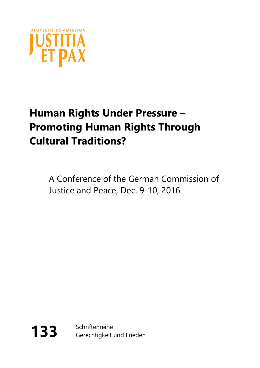

# **Human Rights Under Pressure – Promoting Human Rights Through Cultural Traditions?**

A Conference of the German Commission of Justice and Peace, Dec. 9-10, 2016



133 Schriftenreihe Gerechtigkeit und Frieden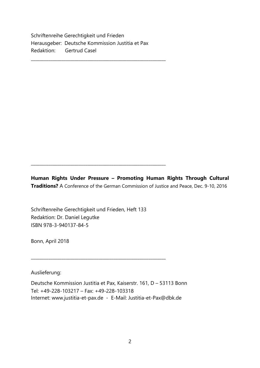Schriftenreihe Gerechtigkeit und Frieden Herausgeber: Deutsche Kommission Justitia et Pax Redaktion: Gertrud Casel

\_\_\_\_\_\_\_\_\_\_\_\_\_\_\_\_\_\_\_\_\_\_\_\_\_\_\_\_\_\_\_\_\_\_\_\_\_\_\_\_\_\_\_\_\_\_\_\_\_\_\_\_\_\_\_\_\_\_\_\_\_\_

**Human Rights Under Pressure – Promoting Human Rights Through Cultural Traditions?** A Conference of the German Commission of Justice and Peace, Dec. 9-10, 2016

Schriftenreihe Gerechtigkeit und Frieden, Heft 133 Redaktion: Dr. Daniel Legutke ISBN 978-3-940137-84-5

\_\_\_\_\_\_\_\_\_\_\_\_\_\_\_\_\_\_\_\_\_\_\_\_\_\_\_\_\_\_\_\_\_\_\_\_\_\_\_\_\_\_\_\_\_\_\_\_\_\_\_\_\_\_\_\_\_\_\_\_\_\_

\_\_\_\_\_\_\_\_\_\_\_\_\_\_\_\_\_\_\_\_\_\_\_\_\_\_\_\_\_\_\_\_\_\_\_\_\_\_\_\_\_\_\_\_\_\_\_\_\_\_\_\_\_\_\_\_\_\_\_\_\_\_

Bonn, April 2018

Auslieferung:

Deutsche Kommission Justitia et Pax, Kaiserstr. 161, D – 53113 Bonn Tel: +49-228-103217 – Fax: +49-228-103318 Internet: www.justitia-et-pax.de - E-Mail: [Justitia-et-Pax@dbk.de](mailto:Justitia-et-Pax@dbk.de)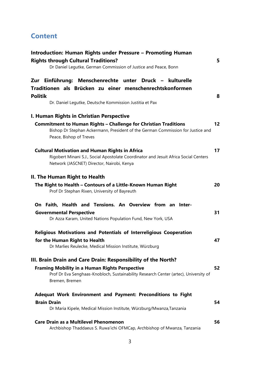# **Content**

| Introduction: Human Rights under Pressure - Promoting Human<br><b>Rights through Cultural Traditions?</b><br>Dr Daniel Legutke, German Commission of Justice and Peace, Bonn                     | 5  |
|--------------------------------------------------------------------------------------------------------------------------------------------------------------------------------------------------|----|
| Zur Einführung: Menschenrechte unter Druck - kulturelle<br>Traditionen als Brücken zu einer menschenrechtskonformen<br><b>Politik</b><br>Dr. Daniel Legutke, Deutsche Kommission Justitia et Pax | 8  |
| I. Human Rights in Christian Perspective                                                                                                                                                         |    |
| <b>Commitment to Human Rights - Challenge for Christian Traditions</b><br>Bishop Dr Stephan Ackermann, President of the German Commission for Justice and<br>Peace, Bishop of Treves             | 12 |
| <b>Cultural Motivation and Human Rights in Africa</b><br>Rigobert Minani S.J., Social Apostolate Coordinator and Jesuit Africa Social Centers<br>Network (JASCNET) Director, Nairobi, Kenya      | 17 |
| II. The Human Right to Health<br>The Right to Health - Contours of a Little-Known Human Right<br>Prof Dr Stephan Rixen, University of Bayreuth                                                   | 20 |
| On Faith, Health and Tensions. An Overview from an Inter-<br><b>Governmental Perspective</b><br>Dr Azza Karam, United Nations Population Fund, New York, USA                                     | 31 |
| Religious Motivations and Potentials of Interreligious Cooperation                                                                                                                               |    |
| for the Human Right to Health<br>Dr Marlies Reulecke, Medical Mission Institute, Würzburg                                                                                                        | 47 |
| III. Brain Drain and Care Drain: Responsibility of the North?                                                                                                                                    |    |
| <b>Framing Mobility in a Human Rights Perspective</b><br>Prof Dr Eva Senghaas-Knobloch, Sustainability Research Center (artec), University of<br>Bremen, Bremen                                  | 52 |
| Adequat Work Environment and Payment: Preconditions to Fight                                                                                                                                     |    |
| <b>Brain Drain</b><br>Dr Maria Kipele, Medical Mission Institute, Würzburg/Mwanza, Tanzania                                                                                                      | 54 |
| <b>Care Drain as a Multilevel Phenomenon</b><br>Archbishop Thaddaeus S. Ruwa'ichi OFMCap, Archbishop of Mwanza, Tanzania                                                                         | 56 |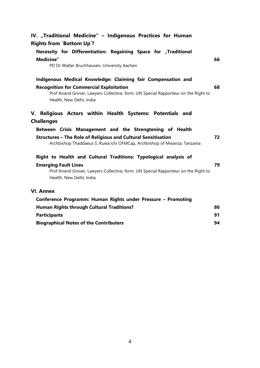| IV. "Traditional Medicine" - Indigenous Practices for Human                                                                                      |    |
|--------------------------------------------------------------------------------------------------------------------------------------------------|----|
| <b>Rights from `Bottom Up`?</b>                                                                                                                  |    |
| Necessity for Differentiation: Regaining Space for "Traditional                                                                                  |    |
| Medicine"                                                                                                                                        | 66 |
| PD Dr Walter Bruchhausen, University Aachen                                                                                                      |    |
| Indigenous Medical Knowledge: Claiming fair Compensation and                                                                                     |    |
| <b>Recognition for Commercial Exploitation</b>                                                                                                   | 68 |
| Prof Anand Grover, Lawyers Collective, form. UN Special Rapporteur on the Right to<br>Health, New Delhi, India                                   |    |
| V. Religious Actors within Health Systems: Potentials and                                                                                        |    |
| <b>Challenges</b>                                                                                                                                |    |
| Between Crisis Management and the Strengtening of Health                                                                                         |    |
| <b>Structures - The Role of Religious and Cultural Sensitisation</b><br>Archbishop Thaddaeus S. Ruwa'ichi OFMCap, Archbishop of Mwanza, Tanzania | 72 |
| Right to Health and Cultural Traditions: Typological analysis of                                                                                 |    |
| <b>Emerging Fault Lines</b>                                                                                                                      | 79 |
| Prof Anand Grover, Lawyers Collective, form. UN Special Rapporteur on the Right to<br>Health, New Delhi, India                                   |    |
| <b>VI. Annex</b>                                                                                                                                 |    |
| Conference Programm: Human Rights under Pressure - Promoting                                                                                     |    |
| <b>Human Rights through Cultural Traditions?</b>                                                                                                 | 86 |
| <b>Participants</b>                                                                                                                              | 91 |
| <b>Biographical Notes of the Contributers</b>                                                                                                    | 94 |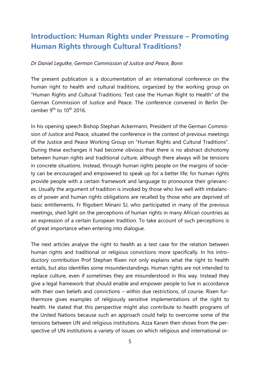# <span id="page-4-0"></span>**Introduction: Human Rights under Pressure – Promoting Human Rights through Cultural Traditions?**

#### <span id="page-4-1"></span>*Dr Daniel Legutke, German Commission of Justice and Peace, Bonn*

The present publication is a documentation of an international conference on the human right to health and cultural traditions, organized by the working group on "Human Rights and Cultural Traditions: Test case the Human Right to Health" of the German Commission of Justice and Peace. The conference convened in Berlin December 9<sup>th</sup> to  $10^{th}$  2016.

In his opening speech Bishop Stephan Ackermann, President of the German Commission of Justice and Peace, situated the conference in the context of previous meetings of the Justice and Peace Working Group on "Human Rights and Cultural Traditions". During these exchanges it had become obvious that there is no abstract dichotomy between human rights and traditional culture, although there always will be tensions in concrete situations. Instead, through human rights people on the margins of society can be encouraged and empowered to speak up for a better life; for human rights provide people with a certain framework and language to pronounce their grievances. Usually the argument of tradition is invoked by those who live well with imbalances of power and human rights obligations are recalled by those who are deprived of basic entitlements. Fr Rigobert Minani SJ, who participated in many of the previous meetings, shed light on the perceptions of human rights in many African countries as an expression of a certain European tradition. To take account of such perceptions is of great importance when entering into dialogue.

The next articles analyse the right to health as a test case for the relation between human rights and traditional or religious convictions more specifically. In his introductory contribution Prof Stephan Rixen not only explains what the right to health entails, but also identifies some misunderstandings. Human rights are not intended to replace culture, even if sometimes they are misunderstood in this way. Instead they give a legal framework that should enable and empower people to live in accordance with their own beliefs and convictions – within due restrictions, of course. Rixen furthermore gives examples of religiously sensitive implementations of the right to health. He stated that this perspective might also contribute to health programs of the United Nations because such an approach could help to overcome some of the tensions between UN and religious institutions. Azza Karam then shows from the perspective of UN institutions a variety of issues on which religious and international or-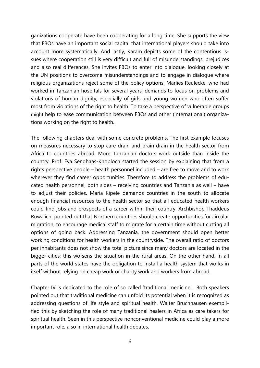ganizations cooperate have been cooperating for a long time. She supports the view that FBOs have an important social capital that international players should take into account more systematically. And lastly, Karam depicts some of the contentious issues where cooperation still is very difficult and full of misunderstandings, prejudices and also real differences. She invites FBOs to enter into dialogue, looking closely at the UN positions to overcome misunderstandings and to engage in dialogue where religious organizations reject some of the policy options. Marlies Reulecke, who had worked in Tanzanian hospitals for several years, demands to focus on problems and violations of human dignity, especially of girls and young women who often suffer most from violations of the right to health. To take a perspective of vulnerable groups might help to ease communication between FBOs and other (international) organizations working on the right to health.

The following chapters deal with some concrete problems. The first example focuses on measures necessary to stop care drain and brain drain in the health sector from Africa to countries abroad. More Tanzanian doctors work outside than inside the country. Prof. Eva Senghaas-Knobloch started the session by explaining that from a rights perspective people – health personnel included – are free to move and to work wherever they find career opportunities. Therefore to address the problems of educated health personnel, both sides – receiving countries and Tanzania as well – have to adjust their policies. Maria Kipele demands countries in the south to allocate enough financial resources to the health sector so that all educated health workers could find jobs and prospects of a career within their country. Archbishop Thaddeus Ruwa'ichi pointed out that Northern countries should create opportunities for circular migration, to encourage medical staff to migrate for a certain time without cutting all options of going back. Addressing Tanzania, the government should open better working conditions for health workers in the countryside. The overall ratio of doctors per inhabitants does not show the total picture since many doctors are located in the bigger cities; this worsens the situation in the rural areas. On the other hand, in all parts of the world states have the obligation to install a health system that works in itself without relying on cheap work or charity work and workers from abroad.

Chapter IV is dedicated to the role of so called 'traditional medicine'. Both speakers pointed out that traditional medicine can unfold its potential when it is recognized as addressing questions of life style and spiritual health. Walter Bruchhausen exemplified this by sketching the role of many traditional healers in Africa as care takers for spiritual health. Seen in this perspective nonconventional medicine could play a more important role, also in international health debates.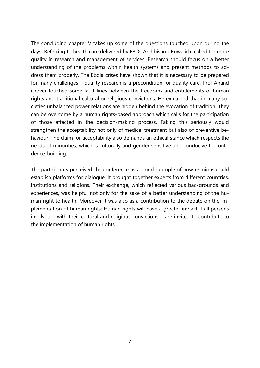The concluding chapter V takes up some of the questions touched upon during the days. Referring to health care delivered by FBOs Archbishop Ruwa'ichi called for more quality in research and management of services. Research should focus on a better understanding of the problems within health systems and present methods to address them properly. The Ebola crises have shown that it is necessary to be prepared for many challenges – quality research is a precondition for quality care. Prof Anand Grover touched some fault lines between the freedoms and entitlements of human rights and traditional cultural or religious convictions. He explained that in many societies unbalanced power relations are hidden behind the evocation of tradition. They can be overcome by a human rights-based approach which calls for the participation of those affected in the decision-making process. Taking this seriously would strengthen the acceptability not only of medical treatment but also of preventive behaviour. The claim for acceptability also demands an ethical stance which respects the needs of minorities, which is culturally and gender sensitive and conducive to confidence-building.

The participants perceived the conference as a good example of how religions could establish platforms for dialogue. It brought together experts from different countries, institutions and religions. Their exchange, which reflected various backgrounds and experiences, was helpful not only for the sake of a better understanding of the human right to health. Moreover it was also as a contribution to the debate on the implementation of human rights: Human rights will have a greater impact if all persons involved – with their cultural and religious convictions – are invited to contribute to the implementation of human rights.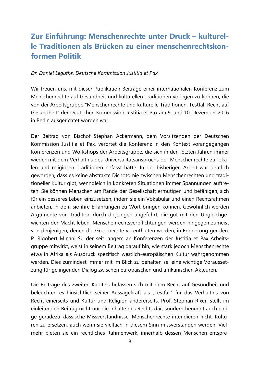# <span id="page-7-0"></span>**Zur Einführung: Menschenrechte unter Druck – kulturelle Traditionen als Brücken zu einer menschenrechtskonformen Politik**

#### <span id="page-7-1"></span>*Dr. Daniel Legutke, Deutsche Kommission Justitia et Pax*

Wir freuen uns, mit dieser Publikation Beiträge einer internationalen Konferenz zum Menschenrechte auf Gesundheit und kulturellen Traditionen vorlegen zu können, die von der Arbeitsgruppe "Menschenrechte und kulturelle Traditionen: Testfall Recht auf Gesundheit" der Deutschen Kommission Justitia et Pax am 9. und 10. Dezember 2016 in Berlin ausgerichtet worden war.

Der Beitrag von Bischof Stephan Ackermann, dem Vorsitzenden der Deutschen Kommission Justitia et Pax, verortet die Konferenz in den Kontext vorangegangen Konferenzen und Workshops der Arbeitsgruppe, die sich in den letzten Jahren immer wieder mit dem Verhältnis des Universalitätsanspruchs der Menschenrechte zu lokalen und religiösen Traditionen befasst hatte. In der bisherigen Arbeit war deutlich geworden, dass es keine abstrakte Dichotomie zwischen Menschenrechten und traditioneller Kultur gibt, wenngleich in konkreten Situationen immer Spannungen auftreten. Sie können Menschen am Rande der Gesellschaft ermutigen und befähigen, sich für ein besseres Leben einzusetzen, indem sie ein Vokabular und einen Rechtsrahmen anbieten, in dem sie ihre Erfahrungen zu Wort bringen können. Gewöhnlich werden Argumente von Tradition durch diejenigen angeführt, die gut mit den Ungleichgewichten der Macht leben. Menschenrechtsverpflichtungen werden hingegen zumeist von denjenigen, denen die Grundrechte vorenthalten werden, in Erinnerung gerufen. P. Rigobert Minani SJ, der seit langem an Konferenzen der Justitia et Pax Arbeitsgruppe mitwirkt, weist in seinem Beitrag darauf hin, wie stark jedoch Menschenrechte etwa in Afrika als Ausdruck spezifisch westlich-europäischen Kultur wahrgenommen werden. Dies zumindest immer mit im Blick zu behalten sei eine wichtige Voraussetzung für gelingenden Dialog zwischen europäischen und afrikanischen Akteuren.

Die Beiträge des zweiten Kapitels befassen sich mit dem Recht auf Gesundheit und beleuchten es hinsichtlich seiner Aussagekraft als "Testfall" für das Verhältnis von Recht einerseits und Kultur und Religion andererseits. Prof. Stephan Rixen stellt im einleitenden Beitrag nicht nur die Inhalte des Rechts dar, sondern benennt auch einige geradezu klassische Missverständnisse. Menschenrechte intendieren nicht, Kulturen zu ersetzen, auch wenn sie vielfach in diesem Sinn missverstanden werden. Vielmehr bieten sie ein rechtliches Rahmenwerk, innerhalb dessen Menschen entspre-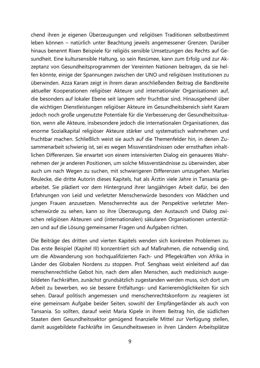chend ihren je eigenen Überzeugungen und religiösen Traditionen selbstbestimmt leben können – natürlich unter Beachtung jeweils angemessener Grenzen. Darüber hinaus benennt Rixen Beispiele für religiös sensible Umsetzungen des Rechts auf Gesundheit. Eine kultursensible Haltung, so sein Resümee, kann zum Erfolg und zur Akzeptanz von Gesundheitsprogrammen der Vereinten Nationen beitragen, da sie helfen könnte, einige der Spannungen zwischen der UNO und religiösen Institutionen zu überwinden. Azza Karam zeigt in ihrem daran anschließenden Beitrag die Bandbreite aktueller Kooperationen religiöser Akteure und internationaler Organisationen auf, die besonders auf lokaler Ebene seit langem sehr fruchtbar sind. Hinausgehend über die wichtigen Dienstleistungen religiöser Akteure im Gesundheitsbereich sieht Karam jedoch noch große ungenutzte Potentiale für die Verbesserung der Gesundheitssituation, wenn alle Akteure, insbesondere jedoch die internationalen Organisationen, das enorme Sozialkapital religiöser Akteure stärker und systematisch wahrnehmen und fruchtbar machen. Schließlich weist sie auch auf die Themenfelder hin, in denen Zusammenarbeit schwierig ist, sei es wegen Missverständnissen oder ernsthaften inhaltlichen Differenzen. Sie erwartet von einem intensivierten Dialog ein genaueres Wahrnehmen der je anderen Positionen, um solche Missverständnisse zu überwinden, aber auch um nach Wegen zu suchen, mit schwierigeren Differenzen umzugehen. Marlies Reulecke, die dritte Autorin dieses Kapitels, hat als Ärztin viele Jahre in Tansania gearbeitet. Sie plädiert vor dem Hintergrund ihrer langjährigen Arbeit dafür, bei den Erfahrungen von Leid und verletzter Menschenwürde besonders von Mädchen und jungen Frauen anzusetzen. Menschenrechte aus der Perspektive verletzter Menschenwürde zu sehen, kann so ihre Überzeugung, den Austausch und Dialog zwischen religiösen Akteuren und (internationalen) säkularen Organisationen unterstützen und auf die Lösung gemeinsamer Fragen und Aufgaben richten.

Die Beiträge des dritten und vierten Kapitels wenden sich konkreten Problemen zu. Das erste Beispiel (Kapitel III) konzentriert sich auf Maßnahmen, die notwendig sind, um die Abwanderung von hochqualifizierten Fach- und Pflegekräften von Afrika in Länder des Globalen Nordens zu stoppen. Prof. Senghaas weist einleitend auf das menschenrechtliche Gebot hin, nach dem allen Menschen, auch medizinisch ausgebildeten Fachkräften, zunächst grundsätzlich zugestanden werden muss, sich dort um Arbeit zu bewerben, wo sie bessere Entfaltungs- und Karrieremöglichkeiten für sich sehen. Darauf politisch angemessen und menschenrechtskonform zu reagieren ist eine gemeinsam Aufgabe beider Seiten, sowohl der Empfängerländer als auch von Tansania. So sollten, darauf weist Maria Kipele in ihrem Beitrag hin, die südlichen Staaten dem Gesundheitssektor genügend finanzielle Mittel zur Verfügung stellen, damit ausgebildete Fachkräfte im Gesundheitswesen in ihren Ländern Arbeitsplätze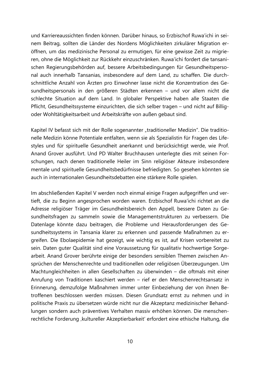und Karriereaussichten finden können. Darüber hinaus, so Erzbischof Ruwa'ichi in seinem Beitrag, sollten die Länder des Nordens Möglichkeiten zirkulärer Migration eröffnen, um das medizinische Personal zu ermutigen, für eine gewisse Zeit zu migrieren, ohne die Möglichkeit zur Rückkehr einzuschränken. Ruwa'ichi fordert die tansanischen Regierungsbehörden auf, bessere Arbeitsbedingungen für Gesundheitspersonal auch innerhalb Tansanias, insbesondere auf dem Land, zu schaffen. Die durchschnittliche Anzahl von Ärzten pro Einwohner lasse nicht die Konzentration des Gesundheitspersonals in den größeren Städten erkennen – und vor allem nicht die schlechte Situation auf dem Land. In globaler Perspektive haben alle Staaten die Pflicht, Gesundheitssysteme einzurichten, die sich selber tragen – und nicht auf Billigoder Wohltätigkeitsarbeit und Arbeitskräfte von außen gebaut sind.

Kapitel IV befasst sich mit der Rolle sogenannter "traditioneller Medizin". Die traditionelle Medizin könne Potentiale entfalten, wenn sie als Spezialistin für Fragen des Lifestyles und für spirituelle Gesundheit anerkannt und berücksichtigt werde, wie Prof. Anand Grover ausführt. Und PD Walter Bruchhausen unterlegte dies mit seinen Forschungen, nach denen traditionelle Heiler im Sinn religiöser Akteure insbesondere mentale und spirituelle Gesundheitsbedürfnisse befriedigten. So gesehen könnten sie auch in internationalen Gesundheitsdebatten eine stärkere Rolle spielen.

Im abschließenden Kapitel V werden noch einmal einige Fragen aufgegriffen und vertieft, die zu Beginn angesprochen worden waren. Erzbischof Ruwa'ichi richtet an die Adresse religiöser Träger im Gesundheitsbereich den Appell, bessere Daten zu Gesundheitsfragen zu sammeln sowie die Managementstrukturen zu verbessern. Die Datenlage könnte dazu beitragen, die Probleme und Herausforderungen des Gesundheitssystems in Tansania klarer zu erkennen und passende Maßnahmen zu ergreifen. Die Ebolaepidemie hat gezeigt, wie wichtig es ist, auf Krisen vorbereitet zu sein. Daten guter Qualität sind eine Voraussetzung für qualitativ hochwertige Sorgearbeit. Anand Grover berührte einige der besonders sensiblen Themen zwischen Ansprüchen der Menschenrechte und traditionellen oder religiösen Überzeugungen. Um Machtungleichheiten in allen Gesellschaften zu überwinden – die oftmals mit einer Anrufung von Traditionen kaschiert werden – rief er den Menschenrechtsansatz in Erinnerung, demzufolge Maßnahmen immer unter Einbeziehung der von ihnen Betroffenen beschlossen werden müssen. Diesen Grundsatz ernst zu nehmen und in politische Praxis zu übersetzen würde nicht nur die Akzeptanz medizinischer Behandlungen sondern auch präventives Verhalten massiv erhöhen können. Die menschenrechtliche Forderung , kultureller Akzeptierbarkeit' erfordert eine ethische Haltung, die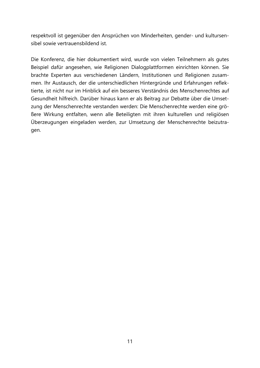respektvoll ist gegenüber den Ansprüchen von Minderheiten, gender- und kultursensibel sowie vertrauensbildend ist.

Die Konferenz, die hier dokumentiert wird, wurde von vielen Teilnehmern als gutes Beispiel dafür angesehen, wie Religionen Dialogplattformen einrichten können. Sie brachte Experten aus verschiedenen Ländern, Institutionen und Religionen zusammen. Ihr Austausch, der die unterschiedlichen Hintergründe und Erfahrungen reflektierte, ist nicht nur im Hinblick auf ein besseres Verständnis des Menschenrechtes auf Gesundheit hilfreich. Darüber hinaus kann er als Beitrag zur Debatte über die Umsetzung der Menschenrechte verstanden werden: Die Menschenrechte werden eine größere Wirkung entfalten, wenn alle Beteiligten mit ihren kulturellen und religiösen Überzeugungen eingeladen werden, zur Umsetzung der Menschenrechte beizutragen.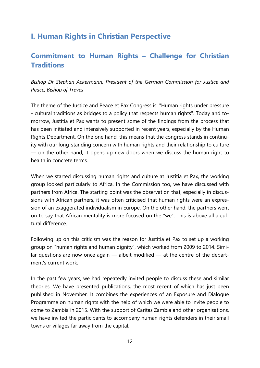# <span id="page-11-0"></span>**I. Human Rights in Christian Perspective**

### <span id="page-11-1"></span>**Commitment to Human Rights – Challenge for Christian Traditions**

<span id="page-11-2"></span>*Bishop Dr Stephan Ackermann, President of the German Commission for Justice and Peace, Bishop of Treves*

The theme of the Justice and Peace et Pax Congress is: "Human rights under pressure - cultural traditions as bridges to a policy that respects human rights". Today and tomorrow, Justitia et Pax wants to present some of the findings from the process that has been initiated and intensively supported in recent years, especially by the Human Rights Department. On the one hand, this means that the congress stands in continuity with our long-standing concern with human rights and their relationship to culture — on the other hand, it opens up new doors when we discuss the human right to health in concrete terms.

When we started discussing human rights and culture at Justitia et Pax, the working group looked particularly to Africa. In the Commission too, we have discussed with partners from Africa. The starting point was the observation that, especially in discussions with African partners, it was often criticised that human rights were an expression of an exaggerated individualism in Europe. On the other hand, the partners went on to say that African mentality is more focused on the "we". This is above all a cultural difference.

Following up on this criticism was the reason for Justitia et Pax to set up a working group on "human rights and human dignity", which worked from 2009 to 2014. Similar questions are now once again — albeit modified — at the centre of the department's current work.

In the past few years, we had repeatedly invited people to discuss these and similar theories. We have presented publications, the most recent of which has just been published in November. It combines the experiences of an Exposure and Dialogue Programme on human rights with the help of which we were able to invite people to come to Zambia in 2015. With the support of Caritas Zambia and other organisations, we have invited the participants to accompany human rights defenders in their small towns or villages far away from the capital.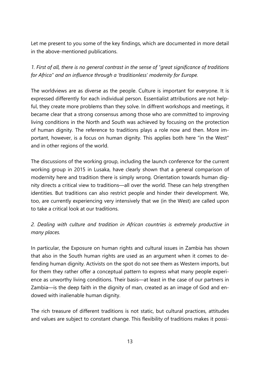Let me present to you some of the key findings, which are documented in more detail in the above-mentioned publications.

*1. First of all, there is no general contrast in the sense of "great significance of traditions for Africa" and an influence through a 'traditionless' modernity for Europe.*

The worldviews are as diverse as the people. Culture is important for everyone. It is expressed differently for each individual person. Essentialist attributions are not helpful, they create more problems than they solve. In diffrent workshops and meetings, it became clear that a strong consensus among those who are committed to improving living conditions in the North and South was achieved by focusing on the protection of human dignity. The reference to traditions plays a role now and then. More important, however, is a focus on human dignity. This applies both here "in the West" and in other regions of the world.

The discussions of the working group, including the launch conference for the current working group in 2015 in Lusaka, have clearly shown that a general comparison of modernity here and tradition there is simply wrong. Orientation towards human dignity directs a critical view to traditions—all over the world. These can help strengthen identities. But traditions can also restrict people and hinder their development. We, too, are currently experiencing very intensively that we (in the West) are called upon to take a critical look at our traditions.

### *2. Dealing with culture and tradition in African countries is extremely productive in many places.*

In particular, the Exposure on human rights and cultural issues in Zambia has shown that also in the South human rights are used as an argument when it comes to defending human dignity. Activists on the spot do not see them as Western imports, but for them they rather offer a conceptual pattern to express what many people experience as unworthy living conditions. Their basis—at least in the case of our partners in Zambia—is the deep faith in the dignity of man, created as an image of God and endowed with inalienable human dignity.

The rich treasure of different traditions is not static, but cultural practices, attitudes and values are subject to constant change. This flexibility of traditions makes it possi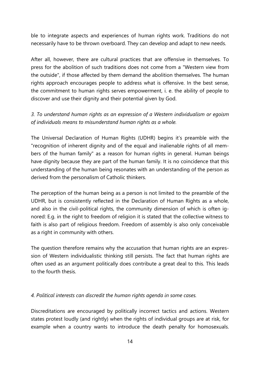ble to integrate aspects and experiences of human rights work. Traditions do not necessarily have to be thrown overboard. They can develop and adapt to new needs.

After all, however, there are cultural practices that are offensive in themselves. To press for the abolition of such traditions does not come from a "Western view from the outside", if those affected by them demand the abolition themselves. The human rights approach encourages people to address what is offensive. In the best sense, the commitment to human rights serves empowerment, i. e. the ability of people to discover and use their dignity and their potential given by God.

*3. To understand human rights as an expression of a Western individualism or egoism of individuals means to misunderstand human rights as a whole.*

The Universal Declaration of Human Rights (UDHR) begins it's preamble with the "recognition of inherent dignity and of the equal and inalienable rights of all members of the human family" as a reason for human rights in general. Human beings have dignity because they are part of the human family. It is no coincidence that this understanding of the human being resonates with an understanding of the person as derived from the personalism of Catholic thinkers.

The perception of the human being as a person is not limited to the preamble of the UDHR, but is consistently reflected in the Declaration of Human Rights as a whole, and also in the civil-political rights, the community dimension of which is often ignored: E.g. in the right to freedom of religion it is stated that the collective witness to faith is also part of religious freedom. Freedom of assembly is also only conceivable as a right in community with others.

The question therefore remains why the accusation that human rights are an expression of Western individualistic thinking still persists. The fact that human rights are often used as an argument politically does contribute a great deal to this. This leads to the fourth thesis.

*4. Political interests can discredit the human rights agenda in some cases.*

Discreditations are encouraged by politically incorrect tactics and actions. Western states protest loudly (and rightly) when the rights of individual groups are at risk, for example when a country wants to introduce the death penalty for homosexuals.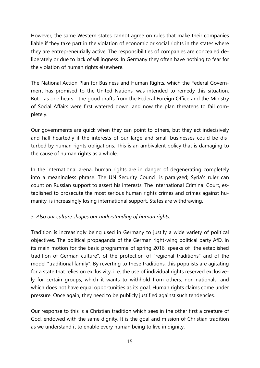However, the same Western states cannot agree on rules that make their companies liable if they take part in the violation of economic or social rights in the states where they are entrepreneurially active. The responsibilities of companies are concealed deliberately or due to lack of willingness. In Germany they often have nothing to fear for the violation of human rights elsewhere.

The National Action Plan for Business and Human Rights, which the Federal Government has promised to the United Nations, was intended to remedy this situation. But—as one hears—the good drafts from the Federal Foreign Office and the Ministry of Social Affairs were first watered down, and now the plan threatens to fail completely.

Our governments are quick when they can point to others, but they act indecisively and half-heartedly if the interests of our large and small businesses could be disturbed by human rights obligations. This is an ambivalent policy that is damaging to the cause of human rights as a whole.

In the international arena, human rights are in danger of degenerating completely into a meaningless phrase. The UN Security Council is paralyzed; Syria's ruler can count on Russian support to assert his interests. The International Criminal Court, established to prosecute the most serious human rights crimes and crimes against humanity, is increasingly losing international support. States are withdrawing.

#### *5. Also our culture shapes our understanding of human rights.*

Tradition is increasingly being used in Germany to justify a wide variety of political objectives. The political propaganda of the German right-wing political party AfD, in its main motion for the basic programme of spring 2016, speaks of "the established tradition of German culture", of the protection of "regional traditions" and of the model "traditional family". By reverting to these traditions, this populists are agitating for a state that relies on exclusivity, i. e. the use of individual rights reserved exclusively for certain groups, which it wants to withhold from others, non-nationals, and which does not have equal opportunities as its goal. Human rights claims come under pressure. Once again, they need to be publicly justified against such tendencies.

Our response to this is a Christian tradition which sees in the other first a creature of God, endowed with the same dignity. It is the goal and mission of Christian tradition as we understand it to enable every human being to live in dignity.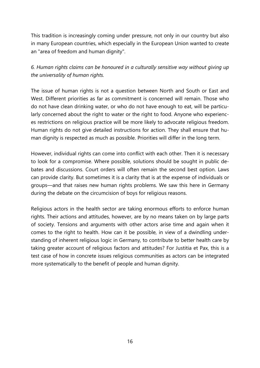This tradition is increasingly coming under pressure, not only in our country but also in many European countries, which especially in the European Union wanted to create an "area of freedom and human dignity".

*6. Human rights claims can be honoured in a culturally sensitive way without giving up the universality of human rights.*

The issue of human rights is not a question between North and South or East and West. Different priorities as far as commitment is concerned will remain. Those who do not have clean drinking water, or who do not have enough to eat, will be particularly concerned about the right to water or the right to food. Anyone who experiences restrictions on religious practice will be more likely to advocate religious freedom. Human rights do not give detailed instructions for action. They shall ensure that human dignity is respected as much as possible. Priorities will differ in the long term.

However, individual rights can come into conflict with each other. Then it is necessary to look for a compromise. Where possible, solutions should be sought in public debates and discussions. Court orders will often remain the second best option. Laws can provide clarity. But sometimes it is a clarity that is at the expense of individuals or groups—and that raises new human rights problems. We saw this here in Germany during the debate on the circumcision of boys for religious reasons.

Religious actors in the health sector are taking enormous efforts to enforce human rights. Their actions and attitudes, however, are by no means taken on by large parts of society. Tensions and arguments with other actors arise time and again when it comes to the right to health. How can it be possible, in view of a dwindling understanding of inherent religious logic in Germany, to contribute to better health care by taking greater account of religious factors and attitudes? For Justitia et Pax, this is a test case of how in concrete issues religious communities as actors can be integrated more systematically to the benefit of people and human dignity.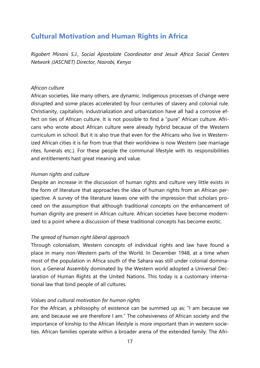### <span id="page-16-0"></span>**Cultural Motivation and Human Rights in Africa**

<span id="page-16-1"></span>*Rigobert Minani S.J., Social Apostolate Coordinator and Jesuit Africa Social Centers Network (JASCNET) Director, Nairobi, Kenya*

#### *African culture*

African societies, like many others, are dynamic. Indigenous processes of change were disrupted and some places accelerated by four centuries of slavery and colonial rule. Christianity, capitalism, industrialization and urbanization have all had a corrosive effect on ties of African culture. It is not possible to find a "pure" African culture. Africans who wrote about African culture were already hybrid because of the Western curriculum in school. But it is also true that even for the Africans who live in Westernized African cities it is far from true that their worldview is now Western (see marriage rites, funerals etc.). For these people the communal lifestyle with its responsibilities and entitlements hast great meaning and value.

#### *Human rights and culture*

Despite an increase in the discussion of human rights and culture very little exists in the form of literature that approaches the idea of human rights from an African perspective. A survey of the literature leaves one with the impression that scholars proceed on the assumption that although traditional concepts on the enhancement of human dignity are present in African culture. African societies have become modernized to a point where a discussion of these traditional concepts has become exotic.

#### *The spread of human right liberal approach*

Through colonialism, Western concepts of individual rights and law have found a place in many non-Western parts of the World. In December 1948, at a time when most of the population in Africa south of the Sahara was still under colonial domination, a General Assembly dominated by the Western world adopted a Universal Declaration of Human Rights at the United Nations. This today is a customary international law that bind people of all cultures.

#### *Values and cultural motivation for human rights*

For the African, a philosophy of existence can be summed up as: "I am because we are, and because we are therefore I am." The cohesiveness of African society and the importance of kinship to the African lifestyle is more important than in western societies. African families operate within a broader arena of the extended family. The Afri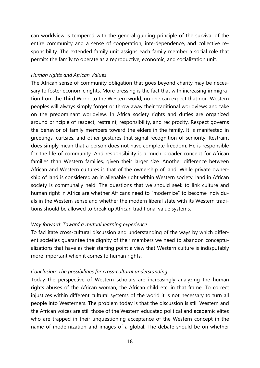can worldview is tempered with the general guiding principle of the survival of the entire community and a sense of cooperation, interdependence, and collective responsibility. The extended family unit assigns each family member a social role that permits the family to operate as a reproductive, economic, and socialization unit.

#### *Human rights and African Values*

The African sense of community obligation that goes beyond charity may be necessary to foster economic rights. More pressing is the fact that with increasing immigration from the Third World to the Western world, no one can expect that non-Western peoples will always simply forget or throw away their traditional worldviews and take on the predominant worldview. In Africa society rights and duties are organized around principle of respect, restraint, responsibility, and reciprocity. Respect governs the behavior of family members toward the elders in the family. It is manifested in greetings, curtsies, and other gestures that signal recognition of seniority. Restraint does simply mean that a person does not have complete freedom. He is responsible for the life of community. And responsibility is a much broader concept for African families than Western families, given their larger size. Another difference between African and Western cultures is that of the ownership of land. While private ownership of land is considered an in alienable right within Western society, land in African society is communally held. The questions that we should seek to link culture and human right in Africa are whether Africans need to "modernize" to become individuals in the Western sense and whether the modern liberal state with its Western traditions should be allowed to break up African traditional value systems.

#### *Way forward: Toward a mutual learning experience*

To facilitate cross-cultural discussion and understanding of the ways by which different societies guarantee the dignity of their members we need to abandon conceptualizations that have as their starting point a view that Western culture is indisputably more important when it comes to human rights.

#### *Conclusion: The possibilities for cross-cultural understanding*

Today the perspective of Western scholars are increasingly analyzing the human rights abuses of the African woman, the African child etc. in that frame. To correct injustices within different cultural systems of the world it is not necessary to turn all people into Westerners. The problem today is that the discussion is still Western and the African voices are still those of the Western educated political and academic elites who are trapped in their unquestioning acceptance of the Western concept in the name of modernization and images of a global. The debate should be on whether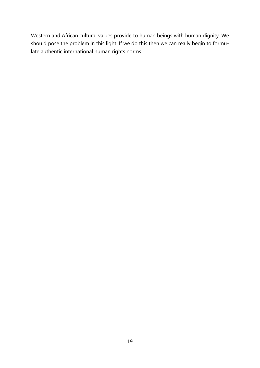Western and African cultural values provide to human beings with human dignity. We should pose the problem in this light. If we do this then we can really begin to formulate authentic international human rights norms.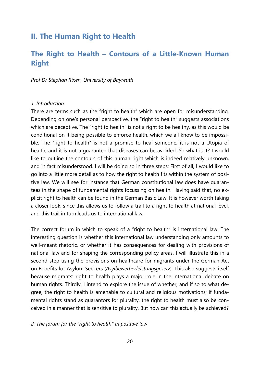### <span id="page-19-0"></span>**II. The Human Right to Health**

### <span id="page-19-1"></span>**The Right to Health – Contours of a Little-Known Human Right**

<span id="page-19-2"></span>*Prof Dr Stephan Rixen, University of Bayreuth*

#### *1. Introduction*

There are terms such as the "right to health" which are open for misunderstanding. Depending on one's personal perspective, the "right to health" suggests associations which are deceptive. The "right to health" is not a right to be healthy, as this would be conditional on it being possible to enforce health, which we all know to be impossible. The "right to health" is not a promise to heal someone, it is not a Utopia of health, and it is not a guarantee that diseases can be avoided. So what is it? I would like to outline the contours of this human right which is indeed relatively unknown, and in fact misunderstood. I will be doing so in three steps: First of all, I would like to go into a little more detail as to how the right to health fits within the system of positive law. We will see for instance that German constitutional law does have guarantees in the shape of fundamental rights focussing on health. Having said that, no explicit right to health can be found in the German Basic Law. It is however worth taking a closer look, since this allows us to follow a trail to a right to health at national level, and this trail in turn leads us to international law.

The correct forum in which to speak of a "right to health" is international law. The interesting question is whether this international law understanding only amounts to well-meant rhetoric, or whether it has consequences for dealing with provisions of national law and for shaping the corresponding policy areas. I will illustrate this in a second step using the provisions on healthcare for migrants under the German Act on Benefits for Asylum Seekers (*Asylbewerberleistungsgesetz*). This also suggests itself because migrants' right to health plays a major role in the international debate on human rights. Thirdly, I intend to explore the issue of whether, and if so to what degree, the right to health is amenable to cultural and religious motivations; if fundamental rights stand as guarantors for plurality, the right to health must also be conceived in a manner that is sensitive to plurality. But how can this actually be achieved?

#### *2. The forum for the "right to health" in positive law*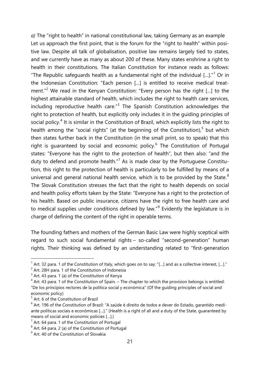*a)* The "right to health" in national constitutional law, taking Germany as an example Let us approach the first point, that is the forum for the "right to health" within positive law. Despite all talk of globalisation, positive law remains largely tied to states, and we currently have as many as about 200 of these. Many states enshrine a right to health in their constitutions. The Italian Constitution for instance reads as follows: "The Republic safeguards health as a fundamental right of the individual  $\left[ ... \right]$ ." Or in the Indonesian Constitution: "Each person […] is entitled to receive medical treat-ment."<sup>[2](#page-20-1)</sup> We read in the Kenyan Constitution: "Every person has the right [...] to the highest attainable standard of health, which includes the right to health care services, including reproductive health care." $3$  The Spanish Constitution acknowledges the right to protection of health, but explicitly only includes it in the guiding principles of social policy.<sup>[4](#page-20-3)</sup> It is similar in the Constitution of Brazil, which explicitly lists the right to health among the "social rights" (at the beginning of the Constitution), $5$  but which then states further back in the Constitution (in the small print, so to speak) that this right is guaranteed by social and economic policy.<sup>[6](#page-20-5)</sup> The Constitution of Portugal states: "Everyone has the right to the protection of health", but then also: "and the duty to defend and promote health."<sup>[7](#page-20-6)</sup> As is made clear by the Portuguese Constitution, this right to the protection of health is particularly to be fulfilled by means of a universal and general national health service, which is to be provided by the State.<sup>[8](#page-20-7)</sup> The Slovak Constitution stresses the fact that the right to health depends on social and health policy efforts taken by the State: "Everyone has a right to the protection of his health. Based on public insurance, citizens have the right to free health care and to medical supplies under conditions defined by law." $9$  Evidently the legislature is in charge of defining the content of the right in operable terms.

The founding fathers and mothers of the German Basic Law were highly sceptical with regard to such social fundamental rights – so-called "second-generation" human rights. Their thinking was defined by an understanding related to "first-generation

 $1$  Art. 32 para. 1 of the Constitution of Italy, which goes on to say: "[...] and as a collective interest, [...]."

<span id="page-20-1"></span><span id="page-20-0"></span><sup>&</sup>lt;sup>2</sup> Art. 28H para. 1 of the Constitution of Indonesia

<span id="page-20-2"></span> $3$  Art. 43 para. 1 (a) of the Constitution of Kenya

<span id="page-20-3"></span> $4$  Art. 43 para. 1 of the Constitution of Spain. – The chapter to which the provision belongs is entitled: "De los principios rectores de la política social y económica" (Of the guiding principles of social and economic policy)

<span id="page-20-4"></span> $<sup>5</sup>$  Art. 6 of the Constitution of Brazil</sup>

<span id="page-20-5"></span> $6$  Art. 196 of the Constitution of Brazil: "A saúde é direito de todos e dever do Estado, garantido mediante políticas sociais e econômicas […]." (Health is a right of all and a duty of the State, guaranteed by means of social and economic policies […].)

<span id="page-20-6"></span> $7$  Art. 64 para. 1 of the Constitution of Portugal

<span id="page-20-7"></span> $8$  Art. 64 para. 2 (a) of the Constitution of Portugal

<span id="page-20-8"></span><sup>&</sup>lt;sup>9</sup> Art. 40 of the Constitution of Slovakia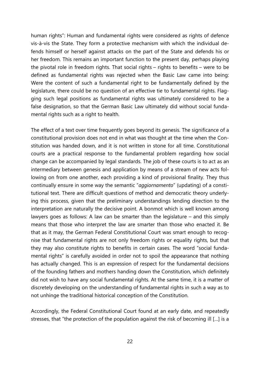human rights": Human and fundamental rights were considered as rights of defence vis-à-vis the State. They form a protective mechanism with which the individual defends himself or herself against attacks on the part of the State and defends his or her freedom. This remains an important function to the present day, perhaps playing the pivotal role in freedom rights. That social rights – rights to benefits – were to be defined as fundamental rights was rejected when the Basic Law came into being: Were the content of such a fundamental right to be fundamentally defined by the legislature, there could be no question of an effective tie to fundamental rights. Flagging such legal positions as fundamental rights was ultimately considered to be a false designation, so that the German Basic Law ultimately did without social fundamental rights such as a right to health.

The effect of a text over time frequently goes beyond its genesis. The significance of a constitutional provision does not end in what was thought at the time when the Constitution was handed down, and it is not written in stone for all time. Constitutional courts are a practical response to the fundamental problem regarding how social change can be accompanied by legal standards. The job of these courts is to act as an intermediary between genesis and application by means of a stream of new acts following on from one another, each providing a kind of provisional finality. They thus continually ensure in some way the semantic "*aggiornamento*" (updating) of a constitutional text. There are difficult questions of method and democratic theory underlying this process, given that the preliminary understandings lending direction to the interpretation are naturally the decisive point. A bonmot which is well known among lawyers goes as follows: A law can be smarter than the legislature – and this simply means that those who interpret the law are smarter than those who enacted it. Be that as it may, the German Federal Constitutional Court was smart enough to recognise that fundamental rights are not only freedom rights or equality rights, but that they may also constitute rights to benefits in certain cases. The word "social fundamental rights" is carefully avoided in order not to spoil the appearance that nothing has actually changed. This is an expression of respect for the fundamental decisions of the founding fathers and mothers handing down the Constitution, which definitely did not wish to have any social fundamental rights. At the same time, it is a matter of discretely developing on the understanding of fundamental rights in such a way as to not unhinge the traditional historical conception of the Constitution.

Accordingly, the Federal Constitutional Court found at an early date, and repeatedly stresses, that "the protection of the population against the risk of becoming ill […] is a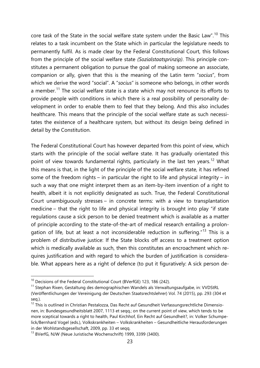core task of the State in the social welfare state system under the Basic Law".<sup>[10](#page-22-0)</sup> This relates to a task incumbent on the State which in particular the legislature needs to permanently fulfil. As is made clear by the Federal Constitutional Court, this follows from the principle of the social welfare state *(Sozialstaatsprinzip)*. This principle constitutes a permanent obligation to pursue the goal of making someone an associate, companion or ally, given that this is the meaning of the Latin term "*socius*", from which we derive the word "social". A "*socius*" is someone who belongs, in other words a member.<sup>[11](#page-22-1)</sup> The social welfare state is a state which may not renounce its efforts to provide people with conditions in which there is a real possibility of personality development in order to enable them to feel that they belong. And this also includes healthcare. This means that the principle of the social welfare state as such necessitates the existence of a healthcare system, but without its design being defined in detail by the Constitution.

The Federal Constitutional Court has however departed from this point of view, which starts with the principle of the social welfare state. It has gradually orientated this point of view towards fundamental rights, particularly in the last ten years.<sup>[12](#page-22-2)</sup> What this means is that, in the light of the principle of the social welfare state, it has refined some of the freedom rights – in particular the right to life and physical integrity – in such a way that one might interpret them as an item-by-item invention of a right to health, albeit it is not explicitly designated as such. True, the Federal Constitutional Court unambiguously stresses – in concrete terms: with a view to transplantation medicine – that the right to life and physical integrity is brought into play "if state regulations cause a sick person to be denied treatment which is available as a matter of principle according to the state-of-the-art of medical research entailing a prolongation of life, but at least a not inconsiderable reduction in suffering."[13](#page-22-3) This is a problem of distributive justice: If the State blocks off access to a treatment option which is medically available as such, then this constitutes an encroachment which requires justification and with regard to which the burden of justification is considerable. What appears here as a right of defence (to put it figuratively: A sick person de-

<span id="page-22-0"></span><sup>&</sup>lt;sup>10</sup> Decisions of the Federal Constitutional Court (BVerfGE) 123, 186 (242).

<span id="page-22-1"></span><sup>&</sup>lt;sup>11</sup> Stephan Rixen, Gestaltung des demographischen Wandels als Verwaltungsaufgabe, in: VVDStRL (Veröffentlichungen der Vereinigung der Deutschen Staatsrechtslehrer) Vol. 74 (2015), pp. 293 (304 et seq.).

<span id="page-22-2"></span> $12$  This is outlined in Christian Pestalozza, Das Recht auf Gesundheit Verfassungsrechtliche Dimensionen, in: Bundesgesundheitsblatt 2007, 1113 et seqq.; on the current point of view, which tends to be more sceptical towards a right to health, Paul Kirchhof, Ein Recht auf Gesundheit?, in: Volker Schumpelick/Bernhard Vogel (eds.), Volkskrankheiten – Volkskrankheiten – Gesundheitliche Herausforderungen in der Wohlstandsgesellschaft, 2009, pp. 33 et seqq.

<span id="page-22-3"></span><sup>13</sup> BVerfG, NJW (Neue Juristische Wochenschrift) 1999, 3399 (3400).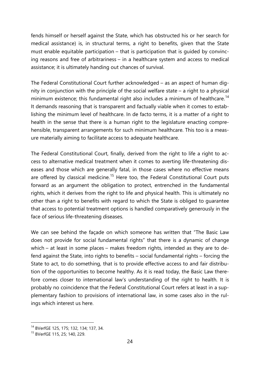fends himself or herself against the State, which has obstructed his or her search for medical assistance) is, in structural terms, a right to benefits, given that the State must enable equitable participation – that is participation that is guided by convincing reasons and free of arbitrariness – in a healthcare system and access to medical assistance; it is ultimately handing out chances of survival.

The Federal Constitutional Court further acknowledged – as an aspect of human dignity in conjunction with the principle of the social welfare state – a right to a physical minimum existence; this fundamental right also includes a minimum of healthcare.<sup>[14](#page-23-0)</sup> It demands reasoning that is transparent and factually viable when it comes to establishing the minimum level of healthcare. In de facto terms, it is a matter of a right to health in the sense that there is a human right to the legislature enacting comprehensible, transparent arrangements for such minimum healthcare. This too is a measure materially aiming to facilitate access to adequate healthcare.

The Federal Constitutional Court, finally, derived from the right to life a right to access to alternative medical treatment when it comes to averting life-threatening diseases and those which are generally fatal, in those cases where no effective means are offered by classical medicine.<sup>[15](#page-23-1)</sup> Here too, the Federal Constitutional Court puts forward as an argument the obligation to protect, entrenched in the fundamental rights, which it derives from the right to life and physical health. This is ultimately no other than a right to benefits with regard to which the State is obliged to guarantee that access to potential treatment options is handled comparatively generously in the face of serious life-threatening diseases.

We can see behind the façade on which someone has written that "The Basic Law does not provide for social fundamental rights" that there is a dynamic of change which – at least in some places – makes freedom rights, intended as they are to defend against the State, into rights to benefits – social fundamental rights – forcing the State to act, to do something, that is to provide effective access to and fair distribution of the opportunities to become healthy. As it is read today, the Basic Law therefore comes closer to international law's understanding of the right to health. It is probably no coincidence that the Federal Constitutional Court refers at least in a supplementary fashion to provisions of international law, in some cases also in the rulings which interest us here.

<span id="page-23-0"></span> <sup>14</sup> BVerfGE 125, 175; 132, 134; 137, 34.

<span id="page-23-1"></span><sup>15</sup> BVerfGE 115, 25; 140, 229.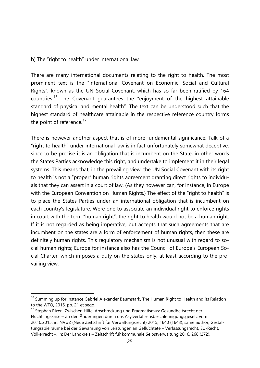#### b) The "right to health" under international law

There are many international documents relating to the right to health. The most prominent text is the "International Covenant on Economic, Social and Cultural Rights", known as the UN Social Covenant, which has so far been ratified by 164 countries.<sup>[16](#page-24-0)</sup> The Covenant guarantees the "enjoyment of the highest attainable standard of physical and mental health". The text can be understood such that the highest standard of healthcare attainable in the respective reference country forms the point of reference. $17$ 

There is however another aspect that is of more fundamental significance: Talk of a "right to health" under international law is in fact unfortunately somewhat deceptive, since to be precise it is an obligation that is incumbent on the State, in other words the States Parties acknowledge this right, and undertake to implement it in their legal systems. This means that, in the prevailing view, the UN Social Covenant with its right to health is not a "proper" human rights agreement granting direct rights to individuals that they can assert in a court of law. (As they however can, for instance, in Europe with the European Convention on Human Rights.) The effect of the "right to health" is to place the States Parties under an international obligation that is incumbent on each country's legislature. Were one to associate an individual right to enforce rights in court with the term "human right", the right to health would not be a human right. If it is not regarded as being imperative, but accepts that such agreements that are incumbent on the states are a form of enforcement of human rights, then these are definitely human rights. This regulatory mechanism is not unusual with regard to social human rights; Europe for instance also has the Council of Europe's European Social Charter, which imposes a duty on the states only, at least according to the prevailing view.

<span id="page-24-0"></span><sup>&</sup>lt;sup>16</sup> Summing up for instance Gabriel Alexander Baumstark, The Human Right to Health and its Relation to the WTO, 2016, pp. 21 et seqq.

<span id="page-24-1"></span><sup>&</sup>lt;sup>17</sup> Stephan Rixen, Zwischen Hilfe, Abschreckung und Pragmatismus: Gesundheitsrecht der Flüchtlingskrise – Zu den Änderungen durch das Asylverfahrensbeschleunigungsgesetz vom 20.10.2015, in: NVwZ (Neue Zeitschrift für Verwaltungsrecht) 2015, 1640 (1643); same author, Gestaltungsspielräume bei der Gewährung von Leistungen an Geflüchtete – Verfassungsrecht, EU-Recht, Völkerrecht –, in: Der Landkreis – Zeitschrift für kommunale Selbstverwaltung 2016, 268 (272).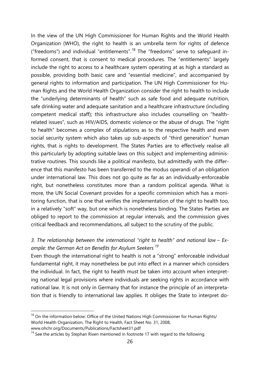In the view of the UN High Commissioner for Human Rights and the World Health Organization (WHO), the right to health is an umbrella term for rights of defence ("freedoms") and individual "entitlements".<sup>[18](#page-25-0)</sup> The "freedoms" serve to safequard informed consent, that is consent to medical procedures. The "entitlements" largely include the right to access to a healthcare system operating at as high a standard as possible, providing both basic care and "essential medicine", and accompanied by general rights to information and participation. The UN High Commissioner for Human Rights and the World Health Organization consider the right to health to include the "underlying determinants of health" such as safe food and adequate nutrition, safe drinking water and adequate sanitation and a healthcare infrastructure (including competent medical staff); this infrastructure also includes counselling on "healthrelated issues", such as HIV/AIDS, domestic violence or the abuse of drugs. The "right to health" becomes a complex of stipulations as to the respective health and even social security system which also takes up sub-aspects of "third generation" human rights, that is rights to development. The States Parties are to effectively realise all this particularly by adopting suitable laws on this subject and implementing administrative routines. This sounds like a political manifesto, but admittedly with the difference that this manifesto has been transferred to the modus operandi of an obligation under international law. This does not go quite as far as an individually-enforceable right, but nonetheless constitutes more than a random political agenda. What is more, the UN Social Covenant provides for a specific commission which has a monitoring function, that is one that verifies the implementation of the right to health too, in a relatively "soft" way, but one which is nonetheless binding. The States Parties are obliged to report to the commission at regular intervals, and the commission gives critical feedback and recommendations, all subject to the scrutiny of the public.

#### *3. The relationship between the international "right to health" and national law – Example: the German Act on Benefits for Asylum Seekers [19](#page-25-1)*

Even though the international right to health is not a "strong" enforceable individual fundamental right, it may nonetheless be put into effect in a manner which considers the individual. In fact, the right to health must be taken into account when interpreting national legal provisions where individuals are seeking rights in accordance with national law. It is not only in Germany that for instance the principle of an interpretation that is friendly to international law applies. It obliges the State to interpret do-

<span id="page-25-0"></span> $18$  On the information below: Office of the United Nations High Commissioner for Human Rights/ World Health Organization, The Right to Health, Fact Sheet No. 31, 2008, www.ohchr.org/Documents/Publications/Factsheet31.pdf

<span id="page-25-1"></span> $19$  See the articles by Stephan Rixen mentioned in footnote 17 with regard to the following.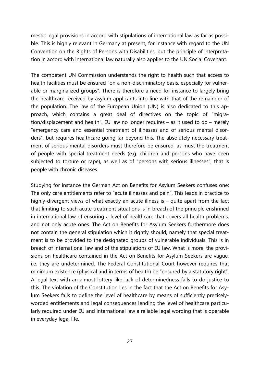mestic legal provisions in accord with stipulations of international law as far as possible. This is highly relevant in Germany at present, for instance with regard to the UN Convention on the Rights of Persons with Disabilities, but the principle of interpretation in accord with international law naturally also applies to the UN Social Covenant.

The competent UN Commission understands the right to health such that access to health facilities must be ensured "on a non-discriminatory basis, especially for vulnerable or marginalized groups". There is therefore a need for instance to largely bring the healthcare received by asylum applicants into line with that of the remainder of the population. The law of the European Union (UN) is also dedicated to this approach, which contains a great deal of directives on the topic of "migration/displacement and health". EU law no longer requires – as it used to do – merely "emergency care and essential treatment of illnesses and of serious mental disorders", but requires healthcare going far beyond this. The absolutely necessary treatment of serious mental disorders must therefore be ensured, as must the treatment of people with special treatment needs (e.g. children and persons who have been subjected to torture or rape), as well as of "persons with serious illnesses", that is people with chronic diseases.

Studying for instance the German Act on Benefits for Asylum Seekers confuses one: The only care entitlements refer to "acute illnesses and pain". This leads in practice to highly-divergent views of what exactly an acute illness is – quite apart from the fact that limiting to such acute treatment situations is in breach of the principle enshrined in international law of ensuring a level of healthcare that covers all health problems, and not only acute ones. The Act on Benefits for Asylum Seekers furthermore does not contain the general stipulation which it rightly should, namely that special treatment is to be provided to the designated groups of vulnerable individuals. This is in breach of international law and of the stipulations of EU law. What is more, the provisions on healthcare contained in the Act on Benefits for Asylum Seekers are vague, i.e. they are undetermined. The Federal Constitutional Court however requires that minimum existence (physical and in terms of health) be "ensured by a statutory right". A legal text with an almost lottery-like lack of determinedness fails to do justice to this. The violation of the Constitution lies in the fact that the Act on Benefits for Asylum Seekers fails to define the level of healthcare by means of sufficiently preciselyworded entitlements and legal consequences lending the level of healthcare particularly required under EU and international law a reliable legal wording that is operable in everyday legal life.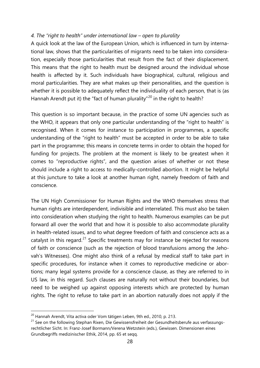#### *4. The "right to health" under international law – open to plurality*

A quick look at the law of the European Union, which is influenced in turn by international law, shows that the particularities of migrants need to be taken into consideration, especially those particularities that result from the fact of their displacement. This means that the right to health must be designed around the individual whose health is affected by it. Such individuals have biographical, cultural, religious and moral particularities. They are what makes up their personalities, and the question is whether it is possible to adequately reflect the individuality of each person, that is (as Hannah Arendt put it) the "fact of human plurality"<sup>[20](#page-27-0)</sup> in the right to health?

This question is so important because, in the practice of some UN agencies such as the WHO, it appears that only one particular understanding of the "right to health" is recognised. When it comes for instance to participation in programmes, a specific understanding of the "right to health" must be accepted in order to be able to take part in the programme; this means in concrete terms in order to obtain the hoped for funding for projects. The problem at the moment is likely to be greatest when it comes to "reproductive rights", and the question arises of whether or not these should include a right to access to medically-controlled abortion. It might be helpful at this juncture to take a look at another human right, namely freedom of faith and conscience.

The UN High Commissioner for Human Rights and the WHO themselves stress that human rights are interdependent, indivisible and interrelated. This must also be taken into consideration when studying the right to health. Numerous examples can be put forward all over the world that and how it is possible to also accommodate plurality in health-related issues, and to what degree freedom of faith and conscience acts as a catalyst in this regard.<sup>[21](#page-27-1)</sup> Specific treatments may for instance be rejected for reasons of faith or conscience (such as the rejection of blood transfusions among the Jehovah's Witnesses). One might also think of a refusal by medical staff to take part in specific procedures, for instance when it comes to reproductive medicine or abortions; many legal systems provide for a conscience clause, as they are referred to in US law, in this regard. Such clauses are naturally not without their boundaries, but need to be weighed up against opposing interests which are protected by human rights. The right to refuse to take part in an abortion naturally does not apply if the

<span id="page-27-0"></span> $20$  Hannah Arendt, Vita activa oder Vom tätigen Leben, 9th ed., 2010, p. 213.

<span id="page-27-1"></span><sup>&</sup>lt;sup>21</sup> See on the following Stephan Rixen, Die Gewissensfreiheit der Gesundheitsberufe aus verfassungsrechtlicher Sicht. In: Franz-Josef Bormann/Verena Wetzstein (eds.), Gewissen. Dimensionen eines Grundbegriffs medizinischer Ethik, 2014, pp. 65 et seqq.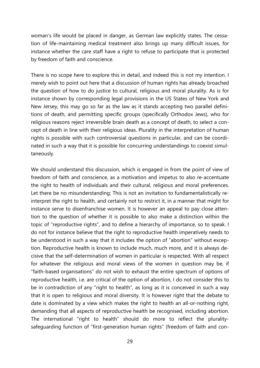woman's life would be placed in danger, as German law explicitly states. The cessation of life-maintaining medical treatment also brings up many difficult issues, for instance whether the care staff have a right to refuse to participate that is protected by freedom of faith and conscience.

There is no scope here to explore this in detail, and indeed this is not my intention. I merely wish to point out here that a discussion of human rights has already broached the question of how to do justice to cultural, religious and moral plurality. As is for instance shown by corresponding legal provisions in the US States of New York and New Jersey, this may go so far as the law as it stands accepting two parallel definitions of death, and permitting specific groups (specifically Orthodox Jews), who for religious reasons reject irreversible brain death as a concept of death, to select a concept of death in line with their religious ideas. Plurality in the interpretation of human rights is possible with such controversial questions in particular, and can be coordinated in such a way that it is possible for concurring understandings to coexist simultaneously.

We should understand this discussion, which is engaged in from the point of view of freedom of faith and conscience, as a motivation and impetus to also re-accentuate the right to health of individuals and their cultural, religious and moral preferences. Let there be no misunderstanding: This is not an invitation to fundamentalistically reinterpret the right to health, and certainly not to restrict it, in a manner that might for instance serve to disenfranchise women. It is however an appeal to pay close attention to the question of whether it is possible to also make a distinction within the topic of "reproductive rights", and to define a hierarchy of importance, so to speak. I do not for instance believe that the right to reproductive health imperatively needs to be understood in such a way that it includes the option of "abortion" without exception. Reproductive health is known to include much, much more, and it is always decisive that the self-determination of women in particular is respected. With all respect for whatever the religious and moral views of the women in question may be, if "faith-based organisations" do not wish to exhaust the entire spectrum of options of reproductive health, i.e. are critical of the option of abortion, I do not consider this to be in contradiction of any "right to health", as long as it is conceived in such a way that it is open to religious and moral diversity. It is however right that the debate to date is dominated by a view which makes the right to health an all-or-nothing right, demanding that all aspects of reproductive health be recognised, including abortion. The international "right to health" should do more to reflect the pluralitysafeguarding function of "first-generation human rights" (freedom of faith and con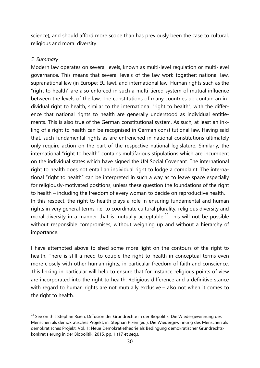science), and should afford more scope than has previously been the case to cultural, religious and moral diversity.

#### *5. Summary*

Modern law operates on several levels, known as multi-level regulation or multi-level governance. This means that several levels of the law work together: national law, supranational law (in Europe: EU law), and international law. Human rights such as the "right to health" are also enforced in such a multi-tiered system of mutual influence between the levels of the law. The constitutions of many countries do contain an individual right to health, similar to the international "right to health", with the difference that national rights to health are generally understood as individual entitlements. This is also true of the German constitutional system. As such, at least an inkling of a right to health can be recognised in German constitutional law. Having said that, such fundamental rights as are entrenched in national constitutions ultimately only require action on the part of the respective national legislature. Similarly, the international "right to health" contains multifarious stipulations which are incumbent on the individual states which have signed the UN Social Covenant. The international right to health does not entail an individual right to lodge a complaint. The international "right to health" can be interpreted in such a way as to leave space especially for religiously-motivated positions, unless these question the foundations of the right to health – including the freedom of every woman to decide on reproductive health. In this respect, the right to health plays a role in ensuring fundamental and human rights in very general terms, i.e. to coordinate cultural plurality, religious diversity and moral diversity in a manner that is mutually acceptable.<sup>[22](#page-29-0)</sup> This will not be possible without responsible compromises, without weighing up and without a hierarchy of importance.

I have attempted above to shed some more light on the contours of the right to health. There is still a need to couple the right to health in conceptual terms even more closely with other human rights, in particular freedom of faith and conscience. This linking in particular will help to ensure that for instance religious points of view are incorporated into the right to health. Religious difference and a definitive stance with regard to human rights are not mutually exclusive – also not when it comes to the right to health.

<span id="page-29-0"></span><sup>&</sup>lt;sup>22</sup> See on this Stephan Rixen, Diffusion der Grundrechte in der Biopolitik: Die Wiedergewinnung des Menschen als demokratisches Projekt, in: Stephan Rixen (ed.), Die Wiedergewinnung des Menschen als demokratisches Projekt, Vol. 1: Neue Demokratietheorie als Bedingung demokratischer Grundrechtskonkretisierung in der Biopolitik, 2015, pp. 1 (17 et seq.).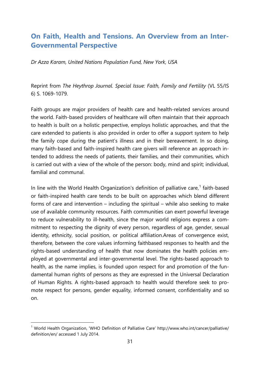### <span id="page-30-0"></span>**On Faith, Health and Tensions. An Overview from an Inter-Governmental Perspective**

<span id="page-30-1"></span>*Dr Azza Karam, United Nations Population Fund, New York, USA*

Reprint from *The Heythrop Journal. Special Issue: Faith, Family and Fertility* (VL 55/IS 6) S. 1069-1079.

Faith groups are major providers of health care and health-related services around the world. Faith-based providers of healthcare will often maintain that their approach to health is built on a holistic perspective, employs holistic approaches, and that the care extended to patients is also provided in order to offer a support system to help the family cope during the patient's illness and in their bereavement. In so doing, many faith-based and faith-inspired health care givers will reference an approach intended to address the needs of patients, their families, and their communities, which is carried out with a view of the whole of the person: body, mind and spirit; individual, familial and communal.

In line with the World Health Organization's definition of palliative care, $1$  faith-based or faith-inspired health care tends to be built on approaches which blend different forms of care and intervention – including the spiritual – while also seeking to make use of available community resources. Faith communities can exert powerful leverage to reduce vulnerability to ill-health, since the major world religions express a commitment to respecting the dignity of every person, regardless of age, gender, sexual identity, ethnicity, social position, or political affiliation.Areas of convergence exist, therefore, between the core values informing faithbased responses to health and the rights-based understanding of health that now dominates the health policies employed at governmental and inter-governmental level. The rights-based approach to health, as the name implies, is founded upon respect for and promotion of the fundamental human rights of persons as they are expressed in the Universal Declaration of Human Rights. A rights-based approach to health would therefore seek to promote respect for persons, gender equality, informed consent, confidentiality and so on.

<span id="page-30-2"></span><sup>&</sup>lt;sup>1</sup> World Health Organization, 'WHO Definition of Palliative Care' http://www.who.int/cancer/palliative/ definition/en/ accessed 1 July 2014.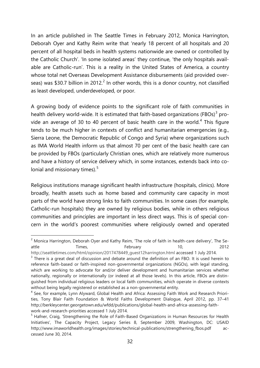In an article published in The Seattle Times in February 2012, Monica Harrington, Deborah Oyer and Kathy Reim write that 'nearly 18 percent of all hospitals and 20 percent of all hospital beds in health systems nationwide are owned or controlled by the Catholic Church'. 'In some isolated areas' they continue, 'the only hospitals available are Catholic-run'. This is a reality in the United States of America, a country whose total net Overseas Development Assistance disbursements (aid provided over-seas) was \$30.7 billion in [2](#page-31-0)012.<sup>2</sup> In other words, this is a donor country, not classified as least developed, underdeveloped, or poor.

A growing body of evidence points to the significant role of faith communities in health delivery world-wide. It is estimated that faith-based organizations (FBOs)<sup>[3](#page-31-1)</sup> pro-vide an average of 30 to [4](#page-31-2)0 percent of basic health care in the world.<sup>4</sup> This figure tends to be much higher in contexts of conflict and humanitarian emergencies (e.g., Sierra Leone, the Democratic Republic of Congo and Syria) where organizations such as IMA World Health inform us that almost 70 per cent of the basic health care can be provided by FBOs (particularly Christian ones, which are relatively more numerous and have a history of service delivery which, in some instances, extends back into colonial and missionary times). $5$ 

Religious institutions manage significant health infrastructure (hospitals, clinics). More broadly, health assets such as home based and community care capacity in most parts of the world have strong links to faith communities. In some cases (for example, Catholic-run hospitals) they are owned by religious bodies, while in others religious communities and principles are important in less direct ways. This is of special concern in the world's poorest communities where religiously owned and operated

<span id="page-31-0"></span> $2$  Monica Harrington, Deborah Oyer and Kathy Reim, 'The role of faith in health-care delivery', The Seattle Times, February 10, 2012

[http://seattletimes.com/html/opinion/2017478449\\_guest12harrington.html](http://seattletimes.com/html/opinion/2017478449_guest12harrington.html) accessed 1 July 2014.

<span id="page-31-1"></span> $3$  There is a great deal of discussion and debate around the definition of an FBO. It is used herein to reference faith-based or faith-inspired non-governmental organizations (NGOs), with legal standing, which are working to advocate for and/or deliver development and humanitarian services whether nationally, regionally or internationally (or indeed at all those levels). In this article, FBOs are distinguished from individual religious leaders or local faith communities, which operate in diverse contexts without being legally registered or established as a non-governmental entity.

<span id="page-31-2"></span><sup>4</sup> See, for example, Lynn Alyward, Global Health and Africa: Assessing Faith Work and Research Priorities, Tony Blair Faith Foundation & World Faiths Development Dialogue, April 2012, pp. 37–41 http://berkleycenter.georgetown.edu/wfdd/publications/global-health-and-africa-assessing-faithwork-and-research-priorities accessed 1 July 2014.

<span id="page-31-3"></span><sup>&</sup>lt;sup>5</sup> Hafner, Craig, 'Strengthening the Role of Faith-Based Organizations in Human Resources for Health Initiatives', The Capacity Project, Legacy Series 8, September 2009, Washington, DC: USAID http://www.imaworldhealth.org/images/stories/technical-publications/strengthening fbos.pdf accessed June 30, 2014.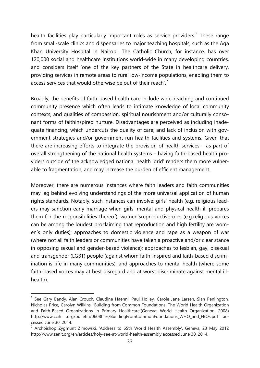health facilities play particularly important roles as service providers.<sup>[6](#page-32-0)</sup> These range from small-scale clinics and dispensaries to major teaching hospitals, such as the Aga Khan University Hospital in Nairobi. The Catholic Church, for instance, has over 120,000 social and healthcare institutions world-wide in many developing countries, and considers itself 'one of the key partners of the State in healthcare delivery, providing services in remote areas to rural low-income populations, enabling them to access services that would otherwise be out of their reach'.<sup>[7](#page-32-1)</sup>

Broadly, the benefits of faith-based health care include wide-reaching and continued community presence which often leads to intimate knowledge of local community contexts, and qualities of compassion, spiritual nourishment and/or culturally consonant forms of faithinspired nurture. Disadvantages are perceived as including inadequate financing, which undercuts the quality of care; and lack of inclusion with government strategies and/or government-run health facilities and systems. Given that there are increasing efforts to integrate the provision of health services – as part of overall strengthening of the national health systems – having faith-based health providers outside of the acknowledged national health 'grid' renders them more vulnerable to fragmentation, and may increase the burden of efficient management.

Moreover, there are numerous instances where faith leaders and faith communities may lag behind evolving understandings of the more universal application of human rights standards. Notably, such instances can involve: girls' health (e.g. religious leaders may sanction early marriage when girls' mental and physical health ill-prepares them for the responsibilities thereof); women'sreproductiveroles (e.g.religious voices can be among the loudest proclaiming that reproduction and high fertility are women's only duties); approaches to domestic violence and rape as a weapon of war (where not all faith leaders or communities have taken a proactive and/or clear stance in opposing sexual and gender-based violence); approaches to lesbian, gay, bisexual and transgender (LGBT) people (against whom faith-inspired and faith-based discrimination is rife in many communities); and approaches to mental health (where some faith-based voices may at best disregard and at worst discriminate against mental illhealth).

<span id="page-32-0"></span> <sup>6</sup> See Gary Bandy, Alan Crouch, Claudine Haenni, Paul Holley, Carole Jane Larsen, Sian Penlington, Nicholas Price, Carolyn Wilkins. 'Building from Common Foundations: The World Health Organization and Faith-Based Organizations in Primary Healthcare'(Geneva: World Health Organization, 2008) http://www.ccih .org/bulletin/0608files/BuildingFromCommonFoundations\_WHO\_and\_FBOs.pdf accessed June 30, 2014.

<span id="page-32-1"></span><sup>7</sup> Archbishop Zygmunt Zimowski, 'Address to 65th World Health Assembly', Geneva, 23 May 2012 http://www.zenit.org/en/articles/holy-see-at-world-health-assembly accessed June 30, 2014.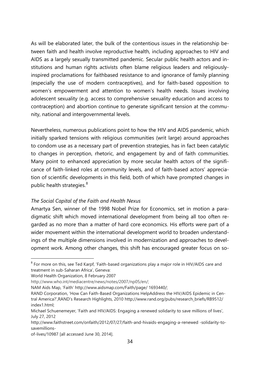As will be elaborated later, the bulk of the contentious issues in the relationship between faith and health involve reproductive health, including approaches to HIV and AIDS as a largely sexually transmitted pandemic. Secular public health actors and institutions and human rights activists often blame religious leaders and religiouslyinspired proclamations for faithbased resistance to and ignorance of family planning (especially the use of modern contraceptives), and for faith-based opposition to women's empowerment and attention to women's health needs. Issues involving adolescent sexuality (e.g. access to comprehensive sexuality education and access to contraception) and abortion continue to generate significant tension at the community, national and intergovernmental levels.

Nevertheless, numerous publications point to how the HIV and AIDS pandemic, which initially sparked tensions with religious communities (writ large) around approaches to condom use as a necessary part of prevention strategies, has in fact been catalytic to changes in perception, rhetoric, and engagement by and of faith communities. Many point to enhanced appreciation by more secular health actors of the significance of faith-linked roles at community levels, and of faith-based actors' appreciation of scientific developments in this field, both of which have prompted changes in public health strategies.<sup>[8](#page-33-0)</sup>

#### *The Social Capital of the Faith and Health Nexus*

Amartya Sen, winner of the 1998 Nobel Prize for Economics, set in motion a paradigmatic shift which moved international development from being all too often regarded as no more than a matter of hard core economics. His efforts were part of a wider movement within the international development world to broaden understandings of the multiple dimensions involved in modernization and approaches to development work. Among other changes, this shift has encouraged greater focus on so-

<span id="page-33-0"></span><sup>&</sup>lt;sup>8</sup> For more on this, see Ted Karpf, 'Faith-based organizations play a major role in HIV/AIDS care and treatment in sub-Saharan Africa', Geneva:

World Health Organization, 8 February 2007

[http://www.who.int/mediacentre/news/notes/2007/np05/en/;](http://www.who.int/mediacentre/news/notes/2007/np05/en/)

NAM Aids Map, 'Faith' http://www.aidsmap.com/Faith/page/ 1693440/;

RAND Corporation, 'How Can Faith-Based Organizations HelpAddress the HIV/AIDS Epidemic in Central America?',RAND's Research Highlights, 2010 http://www.rand.org/pubs/research\_briefs/RB9512/ index1.html;

Michael Schuenemeyer, 'Faith and HIV/AIDS: Engaging a renewed solidarity to save millions of lives', July 27, 2012

http://www.faithstreet.com/onfaith/2012/07/27/faith-and-hivaids-engaging-a-renewed -solidarity-tosavemillions-

of-lives/10987 [all accessed June 30, 2014].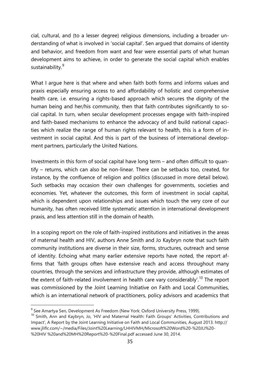cial, cultural, and (to a lesser degree) religious dimensions, including a broader understanding of what is involved in 'social capital'. Sen argued that domains of identity and behavior, and freedom from want and fear were essential parts of what human development aims to achieve, in order to generate the social capital which enables sustainability.<sup>[9](#page-34-0)</sup>

What I argue here is that where and when faith both forms and informs values and praxis especially ensuring access to and affordability of holistic and comprehensive health care, i.e. ensuring a rights-based approach which secures the dignity of the human being and her/his community, then that faith contributes significantly to social capital. In turn, when secular development processes engage with faith-inspired and faith-based mechanisms to enhance the advocacy of and build national capacities which realize the range of human rights relevant to health, this is a form of investment in social capital. And this is part of the business of international development partners, particularly the United Nations.

Investments in this form of social capital have long term – and often difficult to quantify – returns, which can also be non-linear. There can be setbacks too, created, for instance, by the confluence of religion and politics (discussed in more detail below). Such setbacks may occasion their own challenges for governments, societies and economies. Yet, whatever the outcomes, this form of investment in social capital, which is dependent upon relationships and issues which touch the very core of our humanity, has often received little systematic attention in international development praxis, and less attention still in the domain of health.

In a scoping report on the role of faith-inspired institutions and initiatives in the areas of maternal health and HIV, authors Anne Smith and Jo Kaybryn note that such faith community institutions are diverse in their size, forms, structures, outreach and sense of identity. Echoing what many earlier extensive reports have noted, the report affirms that 'faith groups often have extensive reach and access throughout many countries, through the services and infrastructure they provide, although estimates of the extent of faith-related involvement in health care vary considerably'.<sup>[10](#page-34-1)</sup> The report was commissioned by the Joint Learning Initiative on Faith and Local Communities, which is an international network of practitioners, policy advisors and academics that

<span id="page-34-0"></span><sup>&</sup>lt;sup>9</sup> See Amartya Sen, Development As Freedom (New York: Oxford University Press, 1999).

<span id="page-34-1"></span><sup>&</sup>lt;sup>10</sup> Smith, Ann and Kaybryn, Jo, 'HIV and Maternal Health: Faith Groups' Activities, Contributions and Impact', A Report by the Joint Learning Initiative on Faith and Local Communities, August 2013. http:// www.jliflc.com/~/media/Files/Joint%20Learning/LHHIVMH/Microsoft%20Word%20-%20JLI%20- %20HIV %20and%20MH%20Report%20-%20Final.pdf accessed June 30, 2014.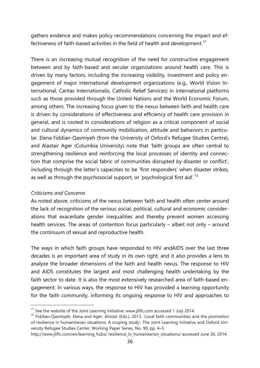gathers evidence and makes policy recommendations concerning the impact and ef-fectiveness of faith-based activities in the field of health and development.<sup>[11](#page-35-0)</sup>

There is an increasing mutual recognition of the need for constructive engagement between and by faith-based and secular organizations around health care. This is driven by many factors, including the increasing visibility, investment and policy engagement of major international development organizations (e.g., World Vision International, Caritas Internationalis, Catholic Relief Services) in international platforms such as those provided through the United Nations and the World Economic Forum, among others. The increasing focus given to the nexus between faith and health care is driven by considerations of effectiveness and efficiency of health care provision in general, and is rooted in considerations of religion as a critical component of social and cultural dynamics of community mobilization, attitude and behaviors in particular. Elena Fiddian-Qasmiyeh (from the University of Oxford's Refugee Studies Centre), and Alastair Ager (Columbia University) note that 'faith groups are often central to strengthening resilience and reinforcing the local processes of identity and connection that comprise the social fabric of communities disrupted by disaster or conflict', including through the latter's capacities to be 'first responders' when disaster strikes, as well as through the psychosocial support, or 'psychological first aid'.<sup>[12](#page-35-1)</sup>

#### *Criticisms and Concerns*

As noted above, criticisms of the nexus between faith and health often center around the lack of recognition of the serious social, political, cultural and economic considerations that exacerbate gender inequalities and thereby prevent women accessing health services. The areas of contention focus particularly – albeit not only – around the continuum of sexual and reproductive health.

The ways in which faith groups have responded to HIV andAIDS over the last three decades is an important area of study in its own right, and it also provides a lens to analyze the broader dimensions of the faith and health nexus. The response to HIV and AIDS constitutes the largest and most challenging health undertaking by the faith sector to date. It is also the most extensively researched area of faith-based engagement. In various ways, the response to HIV has provided a learning opportunity for the faith community, informing its ongoing response to HIV and approaches to

<span id="page-35-0"></span> $11$  See the website of the Joint Learning Initiative: www.jliflc.com accessed 1 July 2014.

<span id="page-35-1"></span><sup>&</sup>lt;sup>12</sup> Fiddian-Qasmiyeh, Elena and Ager, Alistair (Eds.), 2013. 'Local faith communities and the promotion of resilience in humanitarian situations: A scoping study'. The Joint Learning Initiative and Oxford University Refugee Studies Center, Working Paper Series, No. 90, pp. 4–5.

http://www.jliflc.com/en/learning\_hubs/ resilience\_in\_humanitarian\_situations/ accessed June 30, 2014.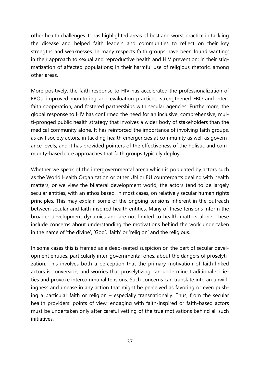other health challenges. It has highlighted areas of best and worst practice in tackling the disease and helped faith leaders and communities to reflect on their key strengths and weaknesses. In many respects faith groups have been found wanting: in their approach to sexual and reproductive health and HIV prevention; in their stigmatization of affected populations; in their harmful use of religious rhetoric, among other areas.

More positively, the faith response to HIV has accelerated the professionalization of FBOs, improved monitoring and evaluation practices, strengthened FBO and interfaith cooperation, and fostered partnerships with secular agencies. Furthermore, the global response to HIV has confirmed the need for an inclusive, comprehensive, multi-pronged public health strategy that involves a wider body of stakeholders than the medical community alone. It has reinforced the importance of involving faith groups, as civil society actors, in tackling health emergencies at community as well as governance levels; and it has provided pointers of the effectiveness of the holistic and community-based care approaches that faith groups typically deploy.

Whether we speak of the intergovernmental arena which is populated by actors such as the World Health Organization or other UN or EU counterparts dealing with health matters, or we view the bilateral development world, the actors tend to be largely secular entities, with an ethos based, in most cases, on relatively secular human rights principles. This may explain some of the ongoing tensions inherent in the outreach between secular and faith-inspired health entities. Many of these tensions inform the broader development dynamics and are not limited to health matters alone. These include concerns about understanding the motivations behind the work undertaken in the name of 'the divine', 'God', 'faith' or 'religion' and the religious.

In some cases this is framed as a deep-seated suspicion on the part of secular development entities, particularly inter-governmental ones, about the dangers of proselytization. This involves both a perception that the primary motivation of faith-linked actors is conversion, and worries that proselytizing can undermine traditional societies and provoke intercommunal tensions. Such concerns can translate into an unwillingness and unease in any action that might be perceived as favoring or even pushing a particular faith or religion – especially transnationally. Thus, from the secular health providers' points of view, engaging with faith-inspired or faith-based actors must be undertaken only after careful vetting of the true motivations behind all such initiatives.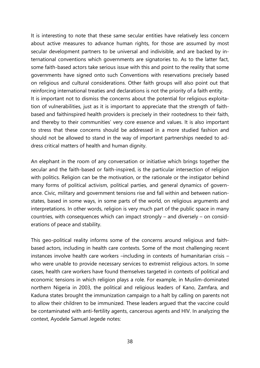It is interesting to note that these same secular entities have relatively less concern about active measures to advance human rights, for those are assumed by most secular development partners to be universal and indivisible, and are backed by international conventions which governments are signatories to. As to the latter fact, some faith-based actors take serious issue with this and point to the reality that some governments have signed onto such Conventions with reservations precisely based on religious and cultural considerations. Other faith groups will also point out that reinforcing international treaties and declarations is not the priority of a faith entity. It is important not to dismiss the concerns about the potential for religious exploitation of vulnerabilities, just as it is important to appreciate that the strength of faithbased and faithinspired health providers is precisely in their rootedness to their faith, and thereby to their communities' very core essence and values. It is also important to stress that these concerns should be addressed in a more studied fashion and should not be allowed to stand in the way of important partnerships needed to address critical matters of health and human dignity.

An elephant in the room of any conversation or initiative which brings together the secular and the faith-based or faith-inspired, is the particular intersection of religion with politics. Religion can be the motivation, or the rationale or the instigator behind many forms of political activism, political parties, and general dynamics of governance. Civic, military and government tensions rise and fall within and between nationstates, based in some ways, in some parts of the world, on religious arguments and interpretations. In other words, religion is very much part of the public space in many countries, with consequences which can impact strongly – and diversely – on considerations of peace and stability.

This geo-political reality informs some of the concerns around religious and faithbased actors, including in health care contexts. Some of the most challenging recent instances involve health care workers –including in contexts of humanitarian crisis – who were unable to provide necessary services to extremist religious actors. In some cases, health care workers have found themselves targeted in contexts of political and economic tensions in which religion plays a role. For example, in Muslim-dominated northern Nigeria in 2003, the political and religious leaders of Kano, Zamfara, and Kaduna states brought the immunization campaign to a halt by calling on parents not to allow their children to be immunized. These leaders argued that the vaccine could be contaminated with anti-fertility agents, cancerous agents and HIV. In analyzing the context, Ayodele Samuel Jegede notes: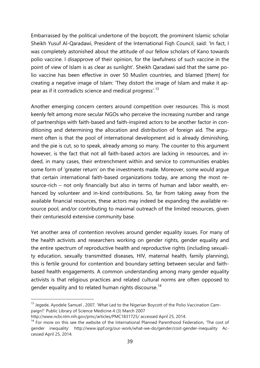Embarrassed by the political undertone of the boycott, the prominent Islamic scholar Sheikh Yusuf Al-Qaradawi, President of the International Fiqh Council, said: 'In fact, I was completely astonished about the attitude of our fellow scholars of Kano towards polio vaccine. I disapprove of their opinion, for the lawfulness of such vaccine in the point of view of Islam is as clear as sunlight'. Sheikh Qaradawi said that the same polio vaccine has been effective in over 50 Muslim countries, and blamed [them] for creating a negative image of Islam: 'They distort the image of Islam and make it ap-pear as if it contradicts science and medical progress'.<sup>[13](#page-38-0)</sup>

Another emerging concern centers around competition over resources. This is most keenly felt among more secular NGOs who perceive the increasing number and range of partnerships with faith-based and faith-inspired actors to be another factor in conditioning and determining the allocation and distribution of foreign aid. The argument often is that the pool of international development aid is already diminishing, and the pie is cut, so to speak, already among so many. The counter to this argument however, is the fact that not all faith-based actors are lacking in resources, and indeed, in many cases, their entrenchment within and service to communities enables some form of 'greater return' on the investments made. Moreover, some would argue that certain international faith-based organizations today, are among the most resource-rich – not only financially but also in terms of human and labor wealth, enhanced by volunteer and in-kind contributions. So, far from taking away from the available financial resources, these actors may indeed be expanding the available resource pool, and/or contributing to maximal outreach of the limited resources, given their centuriesold extensive community base.

Yet another area of contention revolves around gender equality issues. For many of the health activists and researchers working on gender rights, gender equality and the entire spectrum of reproductive health and reproductive rights (including sexuality education, sexually transmitted diseases, HIV, maternal health, family planning), this is fertile ground for contention and boundary setting between secular and faithbased health engagements. A common understanding among many gender equality activists is that religious practices and related cultural norms are often opposed to gender equality and to related human rights discourse.<sup>[14](#page-38-1)</sup>

<span id="page-38-0"></span><sup>&</sup>lt;sup>13</sup> Jegede, Ayodele Samuel, 2007. 'What Led to the Nigerian Boycott of the Polio Vaccination Campaign?' Public Library of Science Medicine 4 (3) March 2007

http://www.ncbi.nlm.nih.gov/pmc/articles/PMC1831725/ accessed April 25, 2014.

<span id="page-38-1"></span><sup>&</sup>lt;sup>14</sup> For more on this see the website of the International Planned Parenthood Federation, 'The cost of gender inequality' http://www.ippf.org/our-work/what-we-do/gender/cost-gender-inequality Accessed April 25, 2014.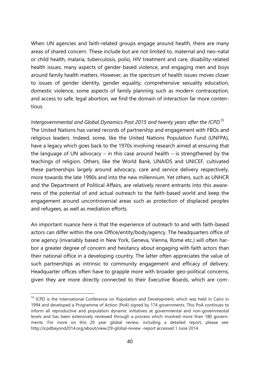When UN agencies and faith-related groups engage around health, there are many areas of shared concern. These include but are not limited to, maternal and neo-natal or child health, malaria, tuberculosis, polio, HIV treatment and care, disability-related health issues, many aspects of gender-based violence, and engaging men and boys around family health matters. However, as the spectrum of health issues moves closer to issues of gender identity, gender equality, comprehensive sexuality education, domestic violence, some aspects of family planning such as modern contraception, and access to safe, legal abortion, we find the domain of interaction far more contentious.

*Intergovernmental and Global Dynamics Post 2015 and twenty years after the ICPD[15](#page-39-0)* The United Nations has varied records of partnership and engagement with FBOs and religious leaders. Indeed, some, like the United Nations Population Fund (UNFPA), have a legacy which goes back to the 1970s involving research aimed at ensuring that the language of UN advocacy – in this case around health – is strengthened by the teachings of religion. Others, like the World Bank, UNAIDS and UNICEF, cultivated these partnerships largely around advocacy, care and service delivery respectively, more towards the late 1990s and into the new millennium. Yet others, such as UNHCR and the Department of Political Affairs, are relatively recent entrants into this awareness of the potential of and actual outreach to the faith-based world and keep the engagement around uncontroversial areas such as protection of displaced peoples and refugees, as well as mediation efforts.

An important nuance here is that the experience of outreach to and with faith-based actors can differ within the one Office/entity/body/agency. The headquarters office of one agency (invariably based in New York, Geneva, Vienna, Rome etc.) will often harbor a greater degree of concern and hesitancy about engaging with faith actors than their national office in a developing country. The latter often appreciates the value of such partnerships as intrinsic to community engagement and efficacy of delivery. Headquarter offices often have to grapple more with broader geo-political concerns, given they are more directly connected to their Executive Boards, which are com-

<span id="page-39-0"></span><sup>&</sup>lt;sup>15</sup> ICPD is the International Conference on Population and Development, which was held in Cairo in 1994 and developed a Programme of Action (PoA) signed by 174 governments. This PoA continues to inform all reproductive and population dynamic initiatives at governmental and non-governmental levels and has been extensively reviewed through a process which involved more than 180 governments. For more on this 20 year global review, including a detailed report, please see: http://icpdbeyond2014.org/about/view/29-global-review -report accessed 1 June 2014.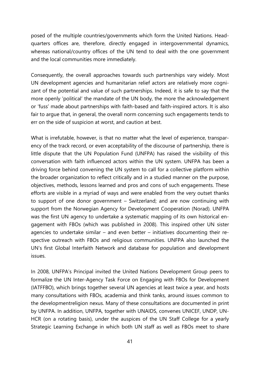posed of the multiple countries/governments which form the United Nations. Headquarters offices are, therefore, directly engaged in intergovernmental dynamics, whereas national/country offices of the UN tend to deal with the one government and the local communities more immediately.

Consequently, the overall approaches towards such partnerships vary widely. Most UN development agencies and humanitarian relief actors are relatively more cognizant of the potential and value of such partnerships. Indeed, it is safe to say that the more openly 'political' the mandate of the UN body, the more the acknowledgement or 'fuss' made about partnerships with faith-based and faith-inspired actors. It is also fair to argue that, in general, the overall norm concerning such engagements tends to err on the side of suspicion at worst, and caution at best.

What is irrefutable, however, is that no matter what the level of experience, transparency of the track record, or even acceptability of the discourse of partnership, there is little dispute that the UN Population Fund (UNFPA) has raised the visibility of this conversation with faith influenced actors within the UN system. UNFPA has been a driving force behind convening the UN system to call for a collective platform within the broader organization to reflect critically and in a studied manner on the purpose, objectives, methods, lessons learned and pros and cons of such engagements. These efforts are visible in a myriad of ways and were enabled from the very outset thanks to support of one donor government – Switzerland; and are now continuing with support from the Norwegian Agency for Development Cooperation (Norad). UNFPA was the first UN agency to undertake a systematic mapping of its own historical engagement with FBOs (which was published in 2008). This inspired other UN sister agencies to undertake similar – and even better – initiatives documenting their respective outreach with FBOs and religious communities. UNFPA also launched the UN's first Global Interfaith Network and database for population and development issues.

In 2008, UNFPA's Principal invited the United Nations Development Group peers to formalize the UN Inter-Agency Task Force on Engaging with FBOs for Development (IATFFBO), which brings together several UN agencies at least twice a year, and hosts many consultations with FBOs, academia and think tanks, around issues common to the developmentreligion nexus. Many of these consultations are documented in print by UNFPA. In addition, UNFPA, together with UNAIDS, convenes UNICEF, UNDP, UN-HCR (on a rotating basis), under the auspices of the UN Staff College for a yearly Strategic Learning Exchange in which both UN staff as well as FBOs meet to share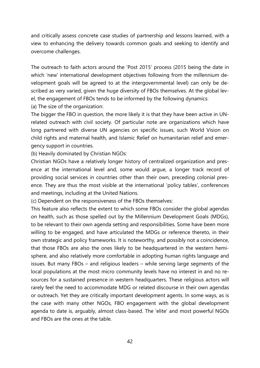and critically assess concrete case studies of partnership and lessons learned, with a view to enhancing the delivery towards common goals and seeking to identify and overcome challenges.

The outreach to faith actors around the 'Post 2015' process (2015 being the date in which 'new' international development objectives following from the millennium development goals will be agreed to at the intergovernmental level) can only be described as very varied, given the huge diversity of FBOs themselves. At the global level, the engagement of FBOs tends to be informed by the following dynamics:

(a) The size of the organization:

The bigger the FBO in question, the more likely it is that they have been active in UNrelated outreach with civil society. Of particular note are organizations which have long partnered with diverse UN agencies on specific issues, such World Vision on child rights and maternal health, and Islamic Relief on humanitarian relief and emergency support in countries.

(b) Heavily dominated by Christian NGOs:

Christian NGOs have a relatively longer history of centralized organization and presence at the international level and, some would argue, a longer track record of providing social services in countries other than their own, preceding colonial presence. They are thus the most visible at the international 'policy tables', conferences and meetings, including at the United Nations.

(c) Dependent on the responsiveness of the FBOs themselves:

This feature also reflects the extent to which some FBOs consider the global agendas on health, such as those spelled out by the Millennium Development Goals (MDGs), to be relevant to their own agenda setting and responsibilities. Some have been more willing to be engaged, and have articulated the MDGs or reference thereto, in their own strategic and policy frameworks. It is noteworthy, and possibly not a coincidence, that those FBOs are also the ones likely to be headquartered in the western hemisphere, and also relatively more comfortable in adopting human rights language and issues. But many FBOs – and religious leaders – while serving large segments of the local populations at the most micro community levels have no interest in and no resources for a sustained presence in western headquarters. These religious actors will rarely feel the need to accommodate MDG or related discourse in their own agendas or outreach. Yet they are critically important development agents. In some ways, as is the case with many other NGOs, FBO engagement with the global development agenda to date is, arguably, almost class-based. The 'elite' and most powerful NGOs and FBOs are the ones at the table.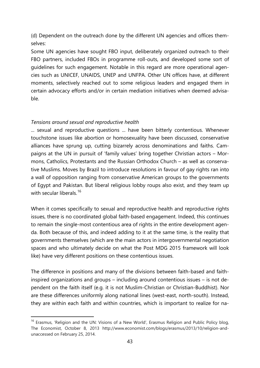(d) Dependent on the outreach done by the different UN agencies and offices themselves:

Some UN agencies have sought FBO input, deliberately organized outreach to their FBO partners, included FBOs in programme roll-outs, and developed some sort of guidelines for such engagement. Notable in this regard are more operational agencies such as UNICEF, UNAIDS, UNEP and UNFPA. Other UN offices have, at different moments, selectively reached out to some religious leaders and engaged them in certain advocacy efforts and/or in certain mediation initiatives when deemed advisable.

#### *Tensions around sexual and reproductive health*

... sexual and reproductive questions ... have been bitterly contentious. Whenever touchstone issues like abortion or homosexuality have been discussed, conservative alliances have sprung up, cutting bizarrely across denominations and faiths. Campaigns at the UN in pursuit of 'family values' bring together Christian actors – Mormons, Catholics, Protestants and the Russian Orthodox Church – as well as conservative Muslims. Moves by Brazil to introduce resolutions in favour of gay rights ran into a wall of opposition ranging from conservative American groups to the governments of Egypt and Pakistan. But liberal religious lobby roups also exist, and they team up with secular liberals.<sup>[16](#page-42-0)</sup>

When it comes specifically to sexual and reproductive health and reproductive rights issues, there is no coordinated global faith-based engagement. Indeed, this continues to remain the single-most contentious area of rights in the entire development agenda. Both because of this, and indeed adding to it at the same time, is the reality that governments themselves (which are the main actors in intergovernmental negotiation spaces and who ultimately decide on what the Post MDG 2015 framework will look like) have very different positions on these contentious issues.

The difference in positions and many of the divisions between faith-based and faithinspired organizations and groups – including around contentious issues – is not dependent on the faith itself (e.g. it is not Muslim-Christian or Christian-Buddhist). Nor are these differences uniformly along national lines (west-east, north-south). Instead, they are within each faith and within countries, which is important to realize for na-

<span id="page-42-0"></span><sup>&</sup>lt;sup>16</sup> Erasmus, 'Religion and the UN: Visions of a New World', Erasmus Religion and Public Policy blog, The Economist, October 8, 2013 http://www.economist.com/blogs/erasmus/2013/10/religion-andunaccessed on February 25, 2014.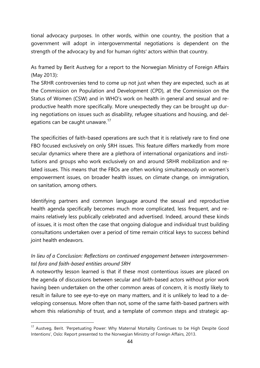tional advocacy purposes. In other words, within one country, the position that a government will adopt in intergovernmental negotiations is dependent on the strength of the advocacy by and for human rightsʹ actors within that country.

As framed by Berit Austveg for a report to the Norwegian Ministry of Foreign Affairs (May 2013):

The SRHR controversies tend to come up not just when they are expected, such as at the Commission on Population and Development (CPD), at the Commission on the Status of Women (CSW) and in WHO's work on health in general and sexual and reproductive health more specifically. More unexpectedly they can be brought up during negotiations on issues such as disability, refugee situations and housing, and delegations can be caught unaware. $17$ 

The specificities of faith-based operations are such that it is relatively rare to find one FBO focused exclusively on only SRH issues. This feature differs markedly from more secular dynamics where there are a plethora of international organizations and institutions and groups who work exclusively on and around SRHR mobilization and related issues. This means that the FBOs are often working simultaneously on women's empowerment issues, on broader health issues, on climate change, on immigration, on sanitation, among others.

Identifying partners and common language around the sexual and reproductive health agenda specifically becomes much more complicated, less frequent, and remains relatively less publically celebrated and advertised. Indeed, around these kinds of issues, it is most often the case that ongoing dialogue and individual trust building consultations undertaken over a period of time remain critical keys to success behind joint health endeavors.

## *In lieu of a Conclusion: Reflections on continued engagement between intergovernmental fora and faith-based entities around SRH*

A noteworthy lesson learned is that if these most contentious issues are placed on the agenda of discussions between secular and faith-based actors without prior work having been undertaken on the other common areas of concern, it is mostly likely to result in failure to see eye-to-eye on many matters, and it is unlikely to lead to a developing consensus. More often than not, some of the same faith-based partners with whom this relationship of trust, and a template of common steps and strategic ap-

<span id="page-43-0"></span><sup>&</sup>lt;sup>17</sup> Austveg, Berit. 'Perpetuating Power: Why Maternal Mortality Continues to be High Despite Good Intentions', Oslo: Report presented to the Norwegian Ministry of Foreign Affairs, 2013.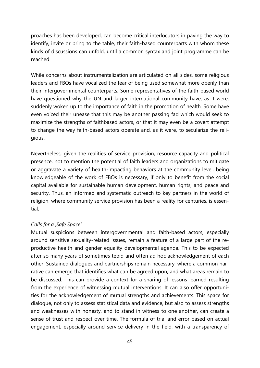proaches has been developed, can become critical interlocutors in paving the way to identify, invite or bring to the table, their faith-based counterparts with whom these kinds of discussions can unfold, until a common syntax and joint programme can be reached.

While concerns about instrumentalization are articulated on all sides, some religious leaders and FBOs have vocalized the fear of being used somewhat more openly than their intergovernmental counterparts. Some representatives of the faith-based world have questioned why the UN and larger international community have, as it were, suddenly woken up to the importance of faith in the promotion of health. Some have even voiced their unease that this may be another passing fad which would seek to maximize the strengths of faithbased actors, or that it may even be a covert attempt to change the way faith-based actors operate and, as it were, to secularize the religious.

Nevertheless, given the realities of service provision, resource capacity and political presence, not to mention the potential of faith leaders and organizations to mitigate or aggravate a variety of health-impacting behaviors at the community level, being knowledgeable of the work of FBOs is necessary, if only to benefit from the social capital available for sustainable human development, human rights, and peace and security. Thus, an informed and systematic outreach to key partners in the world of religion, where community service provision has been a reality for centuries, is essential.

#### *Calls for a 'Safe Space'*

Mutual suspicions between intergovernmental and faith-based actors, especially around sensitive sexuality-related issues, remain a feature of a large part of the reproductive health and gender equality developmental agenda. This to be expected after so many years of sometimes tepid and often ad hoc acknowledgement of each other. Sustained dialogues and partnerships remain necessary, where a common narrative can emerge that identifies what can be agreed upon, and what areas remain to be discussed. This can provide a context for a sharing of lessons learned resulting from the experience of witnessing mutual interventions. It can also offer opportunities for the acknowledgement of mutual strengths and achievements. This space for dialogue, not only to assess statistical data and evidence, but also to assess strengths and weaknesses with honesty, and to stand in witness to one another, can create a sense of trust and respect over time. The formula of trial and error based on actual engagement, especially around service delivery in the field, with a transparency of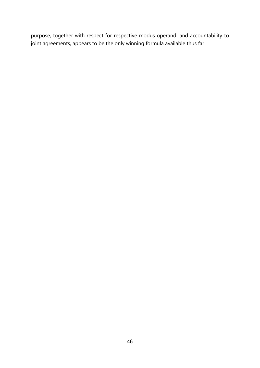purpose, together with respect for respective modus operandi and accountability to joint agreements, appears to be the only winning formula available thus far.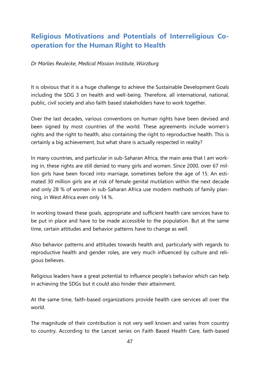## **Religious Motivations and Potentials of Interreligious Cooperation for the Human Right to Health**

*Dr Marlies Reulecke, Medical Mission Institute, Würzburg*

It is obvious that it is a huge challenge to achieve the Sustainable Development Goals including the SDG 3 on health and well-being. Therefore, all international, national, public, civil society and also faith based stakeholders have to work together.

Over the last decades, various conventions on human rights have been devised and been signed by most countries of the world. These agreements include women's rights and the right to health, also containing the right to reproductive health. This is certainly a big achievement, but what share is actually respected in reality?

In many countries, and particular in sub-Saharan Africa, the main area that I am working in, these rights are still denied to many girls and women. Since 2000, over 67 million girls have been forced into marriage, sometimes before the age of 15. An estimated 30 million girls are at risk of female genital mutilation within the next decade and only 28 % of women in sub-Saharan Africa use modern methods of family planning, in West Africa even only 14 %.

In working toward these goals, appropriate and sufficient health care services have to be put in place and have to be made accessible to the population. But at the same time, certain attitudes and behavior patterns have to change as well.

Also behavior patterns and attitudes towards health and, particularly with regards to reproductive health and gender roles, are very much influenced by culture and religious believes.

Religious leaders have a great potential to influence people's behavior which can help in achieving the SDGs but it could also hinder their attainment.

At the same time, faith-based organizations provide health care services all over the world.

The magnitude of their contribution is not very well known and varies from country to country. According to the Lancet series on Faith Based Health Care, faith-based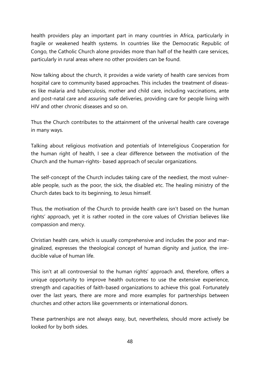health providers play an important part in many countries in Africa, particularly in fragile or weakened health systems. In countries like the Democratic Republic of Congo, the Catholic Church alone provides more than half of the health care services, particularly in rural areas where no other providers can be found.

Now talking about the church, it provides a wide variety of health care services from hospital care to community based approaches. This includes the treatment of diseases like malaria and tuberculosis, mother and child care, including vaccinations, ante and post-natal care and assuring safe deliveries, providing care for people living with HIV and other chronic diseases and so on.

Thus the Church contributes to the attainment of the universal health care coverage in many ways.

Talking about religious motivation and potentials of Interreligious Cooperation for the human right of health, I see a clear difference between the motivation of the Church and the human-rights- based approach of secular organizations.

The self-concept of the Church includes taking care of the neediest, the most vulnerable people, such as the poor, the sick, the disabled etc. The healing ministry of the Church dates back to its beginning, to Jesus himself.

Thus, the motivation of the Church to provide health care isn't based on the human rights' approach, yet it is rather rooted in the core values of Christian believes like compassion and mercy.

Christian health care, which is usually comprehensive and includes the poor and marginalized, expresses the theological concept of human dignity and justice, the irreducible value of human life.

This isn't at all controversial to the human rights' approach and, therefore, offers a unique opportunity to improve health outcomes to use the extensive experience, strength and capacities of faith-based organizations to achieve this goal. Fortunately over the last years, there are more and more examples for partnerships between churches and other actors like governments or international donors.

These partnerships are not always easy, but, nevertheless, should more actively be looked for by both sides.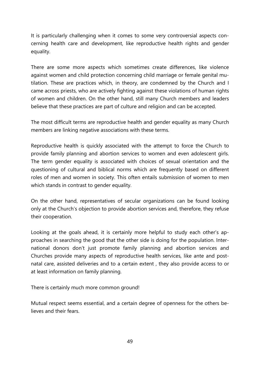It is particularly challenging when it comes to some very controversial aspects concerning health care and development, like reproductive health rights and gender equality.

There are some more aspects which sometimes create differences, like violence against women and child protection concerning child marriage or female genital mutilation. These are practices which, in theory, are condemned by the Church and I came across priests, who are actively fighting against these violations of human rights of women and children. On the other hand, still many Church members and leaders believe that these practices are part of culture and religion and can be accepted.

The most difficult terms are reproductive health and gender equality as many Church members are linking negative associations with these terms.

Reproductive health is quickly associated with the attempt to force the Church to provide family planning and abortion services to women and even adolescent girls. The term gender equality is associated with choices of sexual orientation and the questioning of cultural and biblical norms which are frequently based on different roles of men and women in society. This often entails submission of women to men which stands in contrast to gender equality.

On the other hand, representatives of secular organizations can be found looking only at the Church's objection to provide abortion services and, therefore, they refuse their cooperation.

Looking at the goals ahead, it is certainly more helpful to study each other's approaches in searching the good that the other side is doing for the population. International donors don't just promote family planning and abortion services and Churches provide many aspects of reproductive health services, like ante and postnatal care, assisted deliveries and to a certain extent , they also provide access to or at least information on family planning.

There is certainly much more common ground!

Mutual respect seems essential, and a certain degree of openness for the others believes and their fears.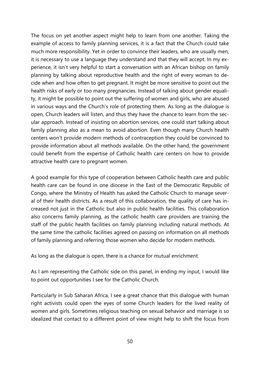The focus on yet another aspect might help to learn from one another. Taking the example of access to family planning services, it is a fact that the Church could take much more responsibility. Yet in order to convince their leaders, who are usually men, it is necessary to use a language they understand and that they will accept. In my experience, it isn't very helpful to start a conversation with an African bishop on family planning by talking about reproductive health and the right of every woman to decide when and how often to get pregnant. It might be more sensitive to point out the health risks of early or too many pregnancies. Instead of talking about gender equality, it might be possible to point out the suffering of women and girls, who are abused in various ways and the Church's role of protecting them. As long as the dialogue is open, Church leaders will listen, and thus they have the chance to learn from the secular approach. Instead of insisting on abortion services, one could start talking about family planning also as a mean to avoid abortion. Even though many Church health centers won't provide modern methods of contraception they could be convinced to provide information about all methods available. On the other hand, the government could benefit from the expertise of Catholic health care centers on how to provide attractive health care to pregnant women.

A good example for this type of cooperation between Catholic health care and public health care can be found in one diocese in the East of the Democratic Republic of Congo, where the Ministry of Health has asked the Catholic Church to manage several of their health districts. As a result of this collaboration, the quality of care has increased not just in the Catholic but also in public health facilities. This collaboration also concerns family planning, as the catholic health care providers are training the staff of the public health facilities on family planning including natural methods. At the same time the catholic facilities agreed on passing on information on all methods of family planning and referring those women who decide for modern methods.

As long as the dialogue is open, there is a chance for mutual enrichment.

As I am representing the Catholic side on this panel, in ending my input, I would like to point out opportunities I see for the Catholic Church.

Particularly in Sub Saharan Africa, I see a great chance that this dialogue with human right activists could open the eyes of some Church leaders for the lived reality of women and girls. Sometimes religious teaching on sexual behavior and marriage is so idealized that contact to a different point of view might help to shift the focus from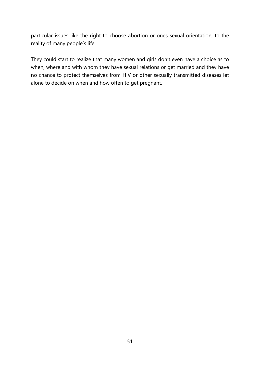particular issues like the right to choose abortion or ones sexual orientation, to the reality of many people's life.

They could start to realize that many women and girls don't even have a choice as to when, where and with whom they have sexual relations or get married and they have no chance to protect themselves from HIV or other sexually transmitted diseases let alone to decide on when and how often to get pregnant.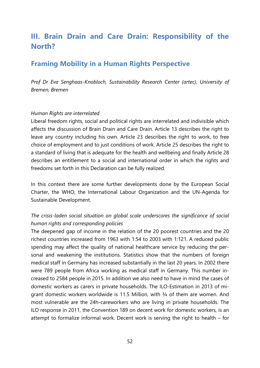# **III. Brain Drain and Care Drain: Responsibility of the North?**

## **Framing Mobility in a Human Rights Perspective**

*Prof Dr Eva Senghaas-Knobloch, Sustainability Research Center (artec), University of Bremen, Bremen*

#### *Human Rights are interrelated*

Liberal freedom rights, social and political rights are interrelated and indivisible which affects the discussion of Brain Drain and Care Drain. Article 13 describes the right to leave any country including his own. Article 23 describes the right to work, to free choice of employment and to just conditions of work. Article 25 describes the right to a standard of living that is adequate for the health and wellbeing and finally Article 28 describes an entitlement to a social and international order in which the rights and freedoms set forth in this Declaration can be fully realized.

In this context there are some further developments done by the European Social Charter, the WHO, the International Labour Organization and the UN-Agenda for Sustainable Development.

## *The crisis-laden social situation on global scale underscores the significance of social human rights and corresponding policies*

The deepened gap of income in the relation of the 20 poorest countries and the 20 richest countries increased from 1963 with 1:54 to 2003 with 1:121. A reduced public spending may affect the quality of national healthcare service by reducing the personal and weakening the institutions. Statistics show that the numbers of foreign medical staff in Germany has increased substantially in the last 20 years. In 2002 there were 789 people from Africa working as medical staff in Germany. This number increased to 2584 people in 2015. In addition we also need to have in mind the cases of domestic workers as carers in private households. The ILO-Estimation in 2013 of migrant domestic workers worldwide is 11.5 Million, with 3/4 of them are women. And most vulnerable are the 24h-careworkers who are living in private households. The ILO response in 2011, the Convention 189 on decent work for domestic workers, is an attempt to formalize informal work. Decent work is serving the right to health – for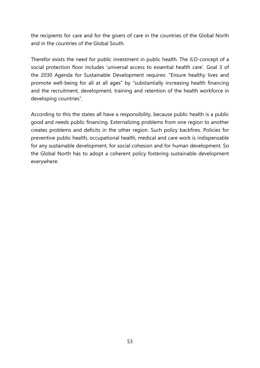the recipients for care and for the givers of care in the countries of the Global North and in the countries of the Global South.

Therefor exists the need for public investment in public health. The ILO-concept of a social protection floor includes 'universal access to essential health care'. Goal 3 of the 2030 Agenda for Sustainable Development requires: "Ensure healthy lives and promote well-being for all at all ages" by "substantially increasing health financing and the recruitment, development, training and retention of the health workforce in developing countries".

According to this the states all have a responsibility, because public health is a public good and needs public financing. Externalizing problems from one region to another creates problems and deficits in the other region. Such policy backfires. Policies for preventive public health, occupational health, medical and care work is indispensable for any sustainable development, for social cohesion and for human development. So the Global North has to adopt a coherent policy fostering sustainable development everywhere.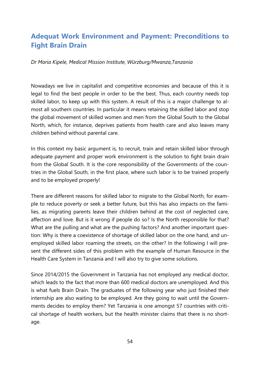## **Adequat Work Environment and Payment: Preconditions to Fight Brain Drain**

#### *Dr Maria Kipele, Medical Mission Institute, Würzburg/Mwanza,Tanzania*

Nowadays we live in capitalist and competitive economies and because of this it is legal to find the best people in order to be the best. Thus, each country needs top skilled labor, to keep up with this system. A result of this is a major challenge to almost all southern countries. In particular it means retaining the skilled labor and stop the global movement of skilled women and men from the Global South to the Global North, which, for instance, deprives patients from health care and also leaves many children behind without parental care.

In this context my basic argument is, to recruit, train and retain skilled labor through adequate payment and proper work environment is the solution to fight brain drain from the Global South. It is the core responsibility of the Governments of the countries in the Global South, in the first place, where such labor is to be trained properly and to be employed properly!

There are different reasons for skilled labor to migrate to the Global North, for example to reduce poverty or seek a better future, but this has also impacts on the families, as migrating parents leave their children behind at the cost of neglected care, affection and love. But is it wrong if people do so? Is the North responsible for that? What are the pulling and what are the pushing factors? And another important question: Why is there a coexistence of shortage of skilled labor on the one hand, and unemployed skilled labor roaming the streets, on the other? In the following I will present the different sides of this problem with the example of Human Resource in the Health Care System in Tanzania and I will also try to give some solutions.

Since 2014/2015 the Government in Tanzania has not employed any medical doctor, which leads to the fact that more than 600 medical doctors are unemployed. And this is what fuels Brain Drain. The graduates of the following year who just finished their internship are also waiting to be employed. Are they going to wait until the Governments decides to employ them? Yet Tanzania is one amongst 57 countries with critical shortage of health workers, but the health minister claims that there is no shortage.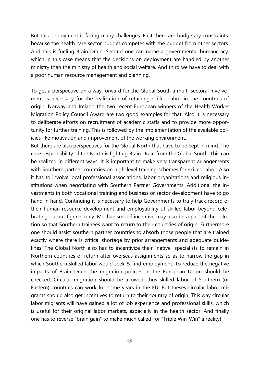But this deployment is facing many challenges. First there are budgetary constraints, because the health care sector budget competes with the budget from other sectors. And this is fueling Brain Drain. Second one can name a governmental bureaucracy, which in this case means that the decisions on deployment are handled by another ministry than the ministry of health and social welfare. And third we have to deal with a poor human resource management and planning.

To get a perspective on a way forward for the Global South a multi-sectoral involvement is necessary for the realization of retaining skilled labor in the countries of origin. Norway and Ireland the two recent European winners of the Health Worker Migration Policy Council Award are two good examples for that. Also it is necessary to deliberate efforts on recruitment of academic staffs and to provide more opportunity for further training. This is followed by the implementation of the available policies like motivation and improvement of the working environment.

But there are also perspectives for the Global North that have to be kept in mind. The core responsibility of the North is fighting Brain Drain from the Global South. This can be realized in different ways. It is important to make very transparent arrangements with Southern partner countries on high-level training schemes for skilled labor. Also it has to involve local professional associations, labor organizations and religious institutions when negotiating with Southern Partner Governments. Additional the investments in both vocational training and business or sector development have to go hand in hand. Continuing it is necessary to help Governments to truly track record of their human resource development and employability of skilled labor beyond celebrating output figures only. Mechanisms of incentive may also be a part of the solution so that Southern trainees want to return to their countries of origin. Furthermore one should assist southern partner countries to absorb those people that are trained exactly where there is critical shortage by prior arrangements and adequate guidelines. The Global North also has to incentivize their "native" specialists to remain in Northern countries or return after overseas assignments so as to narrow the gap in which Southern skilled labor would seek & find employment. To reduce the negative impacts of Brain Drain the migration policies in the European Union should be checked. Circular migration should be allowed, thus skilled labor of Southern (or Eastern) countries can work for some years in the EU. But theses circular labor migrants should also get incentives to return to their country of origin. This way circular labor migrants will have gained a lot of job experience and professional skills, which is useful for their original labor markets, especially in the health sector. And finally one has to reverse "brain gain" to make much called-for "Triple Win-Win" a reality!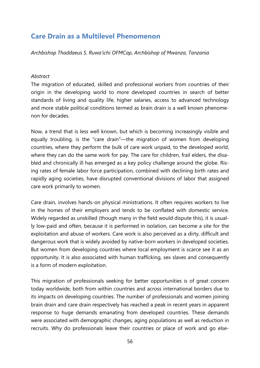## **Care Drain as a Multilevel Phenomenon**

*Archbishop Thaddaeus S. Ruwa'ichi OFMCap, Archbishop of Mwanza, Tanzania*

#### *Abstract*

The migration of educated, skilled and professional workers from countries of their origin in the developing world to more developed countries in search of better standards of living and quality life, higher salaries, access to advanced technology and more stable political conditions termed as brain drain is a well known phenomenon for decades.

Now, a trend that is less well known, but which is becoming increasingly visible and equally troubling, is the "care drain"—the migration of women from developing countries, where they perform the bulk of care work unpaid, to the developed world, where they can do the same work for pay. The care for children, frail elders, the disabled and chronically ill has emerged as a key policy challenge around the globe. Rising rates of female labor force participation, combined with declining birth rates and rapidly aging societies, have disrupted conventional divisions of labor that assigned care work primarily to women.

Care drain, involves hands-on physical ministrations. It often requires workers to live in the homes of their employers and tends to be conflated with domestic service. Widely regarded as unskilled (though many in the field would dispute this), it is usually low-paid and often, because it is performed in isolation, can become a site for the exploitation and abuse of workers. Care work is also perceived as a dirty, difficult and dangerous work that is widely avoided by native-born workers in developed societies. But women from developing countries where local employment is scarce see it as an opportunity. It is also associated with human trafficking, sex slaves and consequently is a form of modern exploitation.

This migration of professionals seeking for better opportunities is of great concern today worldwide, both from within countries and across international borders due to its impacts on developing countries. The number of professionals and women joining brain drain and care drain respectively has reached a peak in recent years in apparent response to huge demands emanating from developed countries. These demands were associated with demographic changes, aging populations as well as reduction in recruits. Why do professionals leave their countries or place of work and go else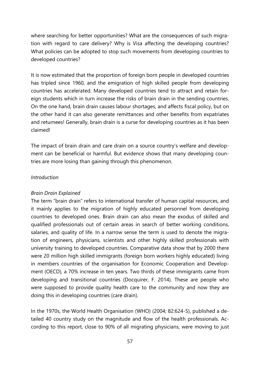where searching for better opportunities? What are the consequences of such migration with regard to care delivery? Why is Visa affecting the developing countries? What policies can be adopted to stop such movements from developing countries to developed countries?

It is now estimated that the proportion of foreign born people in developed countries has tripled since 1960, and the emigration of high skilled people from developing countries has accelerated. Many developed countries tend to attract and retain foreign students which in turn increase the risks of brain drain in the sending countries. On the one hand, brain drain causes labour shortages, and affects fiscal policy, but on the other hand it can also generate remittances and other benefits from expatriates and returnees! Generally, brain drain is a curse for developing countries as it has been claimed!

The impact of brain drain and care drain on a source country's welfare and development can be beneficial or harmful. But evidence shows that many developing countries are more losing than gaining through this phenomenon.

#### *Introduction*

#### *Brain Drain Explained*

The term "brain drain" refers to international transfer of human capital resources, and it mainly applies to the migration of highly educated personnel from developing countries to developed ones. Brain drain can also mean the exodus of skilled and qualified professionals out of certain areas in search of better working conditions, salaries, and quality of life. In a narrow sense the term is used to denote the migration of engineers, physicians, scientists and other highly skilled professionals with university training to developed countries. Comparative data show that by 2000 there were 20 million high skilled immigrants (foreign born workers highly educated) living in members countries of the organisation for Economic Cooperation and Development (OECD), a 70% increase in ten years. Two thirds of these immigrants came from developing and transitional countries (Docquirer, F. 2014). These are people who were supposed to provide quality health care to the community and now they are doing this in developing countries (care drain).

In the 1970s, the World Health Organisation (WHO) (2004; 82:624-5), published a detailed 40 country study on the magnitude and flow of the health professionals. According to this report, close to 90% of all migrating physicians, were moving to just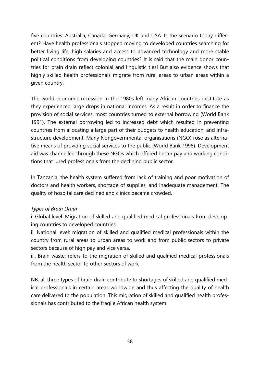five countries: Australia, Canada, Germany, UK and USA. Is the scenario today different? Have health professionals stopped moving to developed countries searching for better living life, high salaries and access to advanced technology and more stable political conditions from developing countries? It is said that the main donor countries for brain drain reflect colonial and linguistic ties! But also evidence shows that highly skilled health professionals migrate from rural areas to urban areas within a given country.

The world economic recession in the 1980s left many African countries destitute as they experienced large drops in national incomes. As a result in order to finance the provision of social services, most countries turned to external borrowing (World Bank 1991). The external borrowing led to increased debt which resulted in preventing countries from allocating a large part of their budgets to health education, and infrastructure development. Many Nongovernmental organisations (NGO) rose as alternative means of providing social services to the public (World Bank 1998). Development aid was channelled through these NGOs which offered better pay and working conditions that lured professionals from the declining public sector.

In Tanzania, the health system suffered from lack of training and poor motivation of doctors and health workers, shortage of supplies, and inadequate management. The quality of hospital care declined and clinics became crowded.

#### *Types of Brain Drain*

i. Global level: Migration of skilled and qualified medical professionals from developing countries to developed countries.

ii. National level: migration of skilled and qualified medical professionals within the country from rural areas to urban areas to work and from public sectors to private sectors because of high pay and vice versa.

iii. Brain waste: refers to the migration of skilled and qualified medical professionals from the health sector to other sectors of work

NB: all three types of brain drain contribute to shortages of skilled and qualified medical professionals in certain areas worldwide and thus affecting the quality of health care delivered to the population. This migration of skilled and qualified health professionals has contributed to the fragile African health system.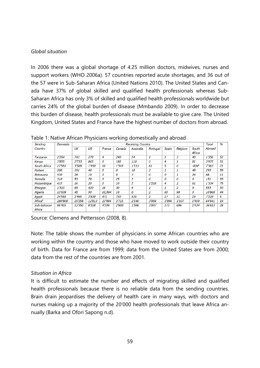#### *Global situation*

In 2006 there was a global shortage of 4.25 million doctors, midwives, nurses and support workers (WHO 2006a). 57 countries reported acute shortages, and 36 out of the 57 were in Sub-Saharan Africa (United Nations 2010). The United States and Canada have 37% of global skilled and qualified health professionals whereas Sub-Saharan Africa has only 3% of skilled and qualified health professionals worldwide but carries 24% of the global burden of disease (Mmbando 2009). In order to decrease this burden of disease, health professionals must be available to give care. The United Kingdom, United States and France have the highest number of doctors from abroad.

| Sending               | Domestic     | <b>Receiving Country</b> |        |        |        |           |          |          |                |                 | Total  | $\%$ |
|-----------------------|--------------|--------------------------|--------|--------|--------|-----------|----------|----------|----------------|-----------------|--------|------|
| Country               |              | UK                       | US     | France | Canada | Australia | Portugal | Spain    | Belgium        | South<br>Africa | Abroad |      |
| Tanzania              | 1'264        | 743                      | 270    | 4      | 240    | 54        |          |          | 3              | 40              | 1'356  | 52   |
| Kenya                 | 3'855        | 2'733                    | 865    | 0      | 180    | 110       |          | 4        |                | 81              | 3'975  | 51   |
| South Africa          | 27'551       | 3'509                    | 1'950  | 16     | 1'545  | 1'111     | 61       | 5        | 0              | $-834^{\circ}$  | 7'363  | 21   |
| Malawi                | 200          | 191                      | 40     | 0      | 0      | 10        | 2        |          |                | 48              | 293    | 59   |
| Botswana              | 530          | 28                       | 10     | 0      | 0      | 3         | 0        | $\Omega$ | 1              | 26              | 68     | 11   |
| Somalia               | 310          | 53                       | 70     | 0      | 25     | 3         | 0        | 0        | 0              | 0               | 151    | 33   |
| Mozambique            | 433          | 16                       | 20     | 0      | 10     | 3         | 1'218    | 4        | $\overline{2}$ | 61              | 1'334  | 75   |
| Ethiopia              | <i>1'310</i> | 65                       | 420    | 16     | 30     | 9         |          |          | 2              | 9               | 553    | 30   |
| Algeria               | 13'639       | 45                       | 50     | 10,594 | 10     | 0         | 2        | 60       | 99             | 0               | 10'860 | 44   |
| Egypt                 | 14'555       | 1′465                    | 3'830  | 471    | 750    | 535       |          | 17       | 31             | 19              | 7'119  | 5    |
| Africab               | 280'808      | 15'258                   | 12'813 | 23'494 | 3'715  | 2'140     | 3'859    | 1'096    | 1'107          | 1'459           | 64'941 | 19   |
| Sub-Saharan<br>Africa | 96'405       | 13'350                   | 8'558  | 4'199  | 2'800  | 1'596     | 3'847    | 173      | 696            | 1'434           | 36'653 | 28   |

Table 1: Native African Physicians working domestically and abroad

Source: Clemens and Pettersson (2008, 8).

Note: The table shows the number of physicians in some African countries who are working within the country and those who have moved to work outside their country of birth. Data for France are from 1999; data from the United States are from 2000; data from the rest of the countries are from 2001.

#### *Situation in Africa*

It is difficult to estimate the number and effects of migrating skilled and qualified health professionals because there is no reliable data from the sending countries. Brain drain jeopardises the delivery of health care in many ways, with doctors and nurses making up a majority of the 20'000 health professionals that leave Africa annually (Barka and Ofori Sapong n.d).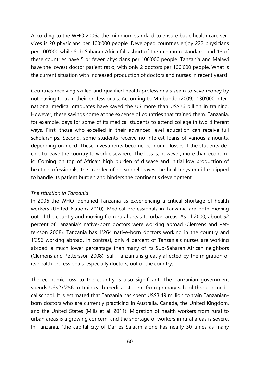According to the WHO 2006a the minimum standard to ensure basic health care services is 20 physicians per 100'000 people. Developed countries enjoy 222 physicians per 100'000 while Sub-Saharan Africa falls short of the minimum standard, and 13 of these countries have 5 or fewer physicians per 100'000 people. Tanzania and Malawi have the lowest doctor patient ratio, with only 2 doctors per 100'000 people. What is the current situation with increased production of doctors and nurses in recent years!

Countries receiving skilled and qualified health professionals seem to save money by not having to train their professionals. According to Mmbando (2009), 130'000 international medical graduates have saved the US more than US\$26 billion in training. However, these savings come at the expense of countries that trained them. Tanzania, for example, pays for some of its medical students to attend college in two different ways. First, those who excelled in their advanced level education can receive full scholarships. Second, some students receive no interest loans of various amounts, depending on need. These investments become economic losses if the students decide to leave the country to work elsewhere. The loss is, however, more than economic. Coming on top of Africa's high burden of disease and initial low production of health professionals, the transfer of personnel leaves the health system ill equipped to handle its patient burden and hinders the continent's development.

#### *The situation in Tanzania*

In 2006 the WHO identified Tanzania as experiencing a critical shortage of health workers (United Nations 2010). Medical professionals in Tanzania are both moving out of the country and moving from rural areas to urban areas. As of 2000, about 52 percent of Tanzania's native-born doctors were working abroad (Clemens and Pettersson 2008). Tanzania has 1'264 native-born doctors working in the country and 1'356 working abroad. In contrast, only 4 percent of Tanzania's nurses are working abroad, a much lower percentage than many of its Sub-Saharan African neighbors (Clemens and Pettersson 2008). Still, Tanzania is greatly affected by the migration of its health professionals, especially doctors, out of the country.

The economic loss to the country is also significant. The Tanzanian government spends US\$27'256 to train each medical student from primary school through medical school. It is estimated that Tanzania has spent US\$3.49 million to train Tanzanianborn doctors who are currently practicing in Australia, Canada, the United Kingdom, and the United States (Mills et al. 2011). Migration of health workers from rural to urban areas is a growing concern, and the shortage of workers in rural areas is severe. In Tanzania, "the capital city of Dar es Salaam alone has nearly 30 times as many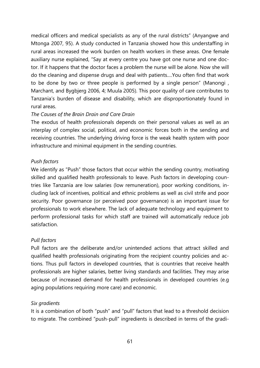medical officers and medical specialists as any of the rural districts" (Anyangwe and Mtonga 2007, 95). A study conducted in Tanzania showed how this understaffing in rural areas increased the work burden on health workers in these areas. One female auxiliary nurse explained, "Say at every centre you have got one nurse and one doctor. If it happens that the doctor faces a problem the nurse will be alone. Now she will do the cleaning and dispense drugs and deal with patients.…You often find that work to be done by two or three people is performed by a single person" (Manongi , Marchant, and Bygbjerg 2006, 4; Muula 2005). This poor quality of care contributes to Tanzania's burden of disease and disability, which are disproportionately found in rural areas.

#### *The Causes of the Brain Drain and Care Drain*

The exodus of health professionals depends on their personal values as well as an interplay of complex social, political, and economic forces both in the sending and receiving countries. The underlying driving force is the weak health system with poor infrastructure and minimal equipment in the sending countries.

### *Push factors*

We identify as "Push" those factors that occur within the sending country, motivating skilled and qualified health professionals to leave. Push factors in developing countries like Tanzania are low salaries (low remuneration), poor working conditions, including lack of incentives, political and ethnic problems as well as civil strife and poor security. Poor governance (or perceived poor governance) is an important issue for professionals to work elsewhere. The lack of adequate technology and equipment to perform professional tasks for which staff are trained will automatically reduce job satisfaction.

### *Pull factors*

Pull factors are the deliberate and/or unintended actions that attract skilled and qualified health professionals originating from the recipient country policies and actions. Thus pull factors in developed countries, that is countries that receive health professionals are higher salaries, better living standards and facilities. They may arise because of increased demand for health professionals in developed countries (e.g aging populations requiring more care) and economic.

#### *Six gradients*

It is a combination of both "push" and "pull" factors that lead to a threshold decision to migrate. The combined "push-pull" ingredients is described in terms of the gradi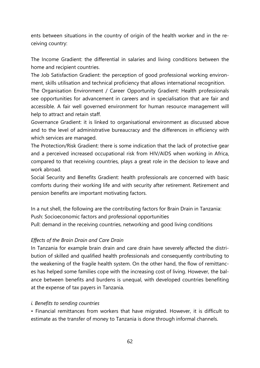ents between situations in the country of origin of the health worker and in the receiving country:

The Income Gradient: the differential in salaries and living conditions between the home and recipient countries.

The Job Satisfaction Gradient: the perception of good professional working environment, skills utilisation and technical proficiency that allows international recognition.

The Organisation Environment / Career Opportunity Gradient: Health professionals see opportunities for advancement in careers and in specialisation that are fair and accessible. A fair well governed environment for human resource management will help to attract and retain staff.

Governance Gradient: it is linked to organisational environment as discussed above and to the level of administrative bureaucracy and the differences in efficiency with which services are managed.

The Protection/Risk Gradient: there is some indication that the lack of protective gear and a perceived increased occupational risk from HIV/AIDS when working in Africa, compared to that receiving countries, plays a great role in the decision to leave and work abroad.

Social Security and Benefits Gradient: health professionals are concerned with basic comforts during their working life and with security after retirement. Retirement and pension benefits are important motivating factors.

In a nut shell, the following are the contributing factors for Brain Drain in Tanzania: Push: Socioeconomic factors and professional opportunities Pull: demand in the receiving countries, networking and good living conditions

### *Effects of the Brain Drain and Care Drain*

In Tanzania for example brain drain and care drain have severely affected the distribution of skilled and qualified health professionals and consequently contributing to the weakening of the fragile health system. On the other hand, the flow of remittances has helped some families cope with the increasing cost of living. However, the balance between benefits and burdens is unequal, with developed countries benefiting at the expense of tax payers in Tanzania.

#### *i. Benefits to sending countries*

• Financial remittances from workers that have migrated. However, it is difficult to estimate as the transfer of money to Tanzania is done through informal channels.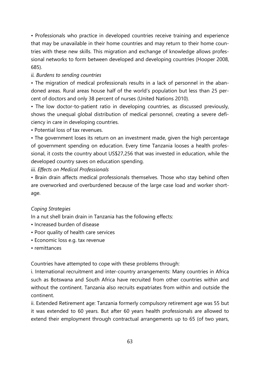• Professionals who practice in developed countries receive training and experience that may be unavailable in their home countries and may return to their home countries with these new skills. This migration and exchange of knowledge allows professional networks to form between developed and developing countries (Hooper 2008, 685).

### *ii. Burdens to sending countries*

• The migration of medical professionals results in a lack of personnel in the abandoned areas. Rural areas house half of the world's population but less than 25 percent of doctors and only 38 percent of nurses (United Nations 2010).

• The low doctor-to-patient ratio in developing countries, as discussed previously, shows the unequal global distribution of medical personnel, creating a severe deficiency in care in developing countries.

• Potential loss of tax revenues.

• The government loses its return on an investment made, given the high percentage of government spending on education. Every time Tanzania looses a health professional, it costs the country about US\$27,256 that was invested in education, while the developed country saves on education spending.

*iii. Effects on Medical Professionals*

• Brain drain affects medical professionals themselves. Those who stay behind often are overworked and overburdened because of the large case load and worker shortage.

### *Coping Strategies*

In a nut shell brain drain in Tanzania has the following effects:

- Increased burden of disease
- Poor quality of health care services
- Economic loss e.g. tax revenue
- remittances

Countries have attempted to cope with these problems through:

i. International recruitment and inter-country arrangements: Many countries in Africa such as Botswana and South Africa have recruited from other countries within and without the continent. Tanzania also recruits expatriates from within and outside the continent.

ii. Extended Retirement age: Tanzania formerly compulsory retirement age was 55 but it was extended to 60 years. But after 60 years health professionals are allowed to extend their employment through contractual arrangements up to 65 (of two years,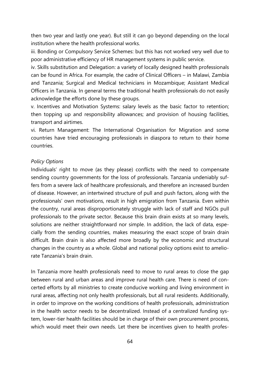then two year and lastly one year). But still it can go beyond depending on the local institution where the health professional works.

iii. Bonding or Compulsory Service Schemes: but this has not worked very well due to poor administrative efficiency of HR management systems in public service.

iv. Skills substitution and Delegation: a variety of locally designed health professionals can be found in Africa. For example, the cadre of Clinical Officers – in Malawi, Zambia and Tanzania; Surgical and Medical technicians in Mozambique; Assistant Medical Officers in Tanzania. In general terms the traditional health professionals do not easily acknowledge the efforts done by these groups.

v. Incentives and Motivation Systems: salary levels as the basic factor to retention; then topping up and responsibility allowances; and provision of housing facilities, transport and airtimes.

vi. Return Management: The International Organisation for Migration and some countries have tried encouraging professionals in diaspora to return to their home countries.

#### *Policy Options*

Individuals' right to move (as they please) conflicts with the need to compensate sending country governments for the loss of professionals. Tanzania undeniably suffers from a severe lack of healthcare professionals, and therefore an increased burden of disease. However, an intertwined structure of pull and push factors, along with the professionals' own motivations, result in high emigration from Tanzania. Even within the country, rural areas disproportionately struggle with lack of staff and NGOs pull professionals to the private sector. Because this brain drain exists at so many levels, solutions are neither straightforward nor simple. In addition, the lack of data, especially from the sending countries, makes measuring the exact scope of brain drain difficult. Brain drain is also affected more broadly by the economic and structural changes in the country as a whole. Global and national policy options exist to ameliorate Tanzania's brain drain.

In Tanzania more health professionals need to move to rural areas to close the gap between rural and urban areas and improve rural health care. There is need of concerted efforts by all ministries to create conducive working and living environment in rural areas, affecting not only health professionals, but all rural residents. Additionally, in order to improve on the working conditions of health professionals, administration in the health sector needs to be decentralized. Instead of a centralized funding system, lower-tier health facilities should be in charge of their own procurement process, which would meet their own needs. Let there be incentives given to health profes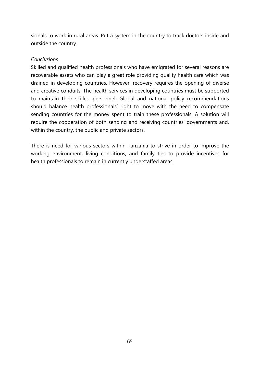sionals to work in rural areas. Put a system in the country to track doctors inside and outside the country.

#### *Conclusions*

Skilled and qualified health professionals who have emigrated for several reasons are recoverable assets who can play a great role providing quality health care which was drained in developing countries. However, recovery requires the opening of diverse and creative conduits. The health services in developing countries must be supported to maintain their skilled personnel. Global and national policy recommendations should balance health professionals' right to move with the need to compensate sending countries for the money spent to train these professionals. A solution will require the cooperation of both sending and receiving countries' governments and, within the country, the public and private sectors.

There is need for various sectors within Tanzania to strive in order to improve the working environment, living conditions, and family ties to provide incentives for health professionals to remain in currently understaffed areas.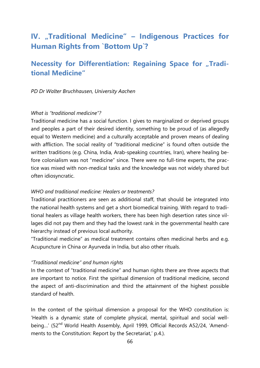# **IV.** "Traditional Medicine" – Indigenous Practices for **Human Rights from `Bottom Up`?**

## **Necessity for Differentiation: Regaining Space for "Traditional Medicine"**

#### *PD Dr Walter Bruchhausen, University Aachen*

#### *What is "traditional medicine"?*

Traditional medicine has a social function. I gives to marginalized or deprived groups and peoples a part of their desired identity, something to be proud of (as allegedly equal to Western medicine) and a culturally acceptable and proven means of dealing with affliction. The social reality of "traditional medicine" is found often outside the written traditions (e.g. China, India, Arab-speaking countries, Iran), where healing before colonialism was not "medicine" since. There were no full-time experts, the practice was mixed with non-medical tasks and the knowledge was not widely shared but often idiosyncratic.

#### *WHO and traditional medicine: Healers or treatments?*

Traditional practitioners are seen as additional staff, that should be integrated into the national health systems and get a short biomedical training. With regard to traditional healers as village health workers, there has been high desertion rates since villages did not pay them and they had the lowest rank in the governmental health care hierarchy instead of previous local authority.

"Traditional medicine" as medical treatment contains often medicinal herbs and e.g. Acupuncture in China or Ayurveda in India, but also other rituals.

#### *"Traditional medicine" and human rights*

In the context of "traditional medicine" and human rights there are three aspects that are important to notice. First the spiritual dimension of traditional medicine, second the aspect of anti-discrimination and third the attainment of the highest possible standard of health.

In the context of the spiritual dimension a proposal for the WHO constitution is: 'Health is a dynamic state of complete physical, mental, spiritual and social wellbeing...' (52<sup>nd</sup> World Health Assembly, April 1999, Official Records A52/24, 'Amendments to the Constitution: Report by the Secretariat,' p.4.).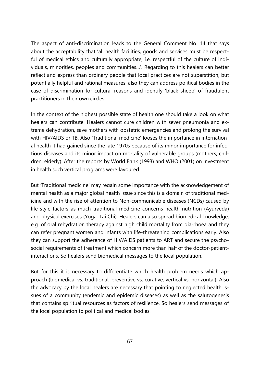The aspect of anti-discrimination leads to the General Comment No. 14 that says about the acceptability that 'all health facilities, goods and services must be respectful of medical ethics and culturally appropriate, i.e. respectful of the culture of individuals, minorities, peoples and communities…'. Regarding to this healers can better reflect and express than ordinary people that local practices are not superstition, but potentially helpful and rational measures, also they can address political bodies in the case of discrimination for cultural reasons and identify 'black sheep' of fraudulent practitioners in their own circles.

In the context of the highest possible state of health one should take a look on what healers can contribute. Healers cannot cure children with sever pneumonia and extreme dehydration, save mothers with obstetric emergencies and prolong the survival with HIV/AIDS or TB. Also 'Traditional medicine' looses the importance in international health it had gained since the late 1970s because of its minor importance for infectious diseases and its minor impact on mortality of vulnerable groups (mothers, children, elderly). After the reports by World Bank (1993) and WHO (2001) on investment in health such vertical programs were favoured.

But 'Traditional medicine' may regain some importance with the acknowledgement of mental health as a major global health issue since this is a domain of traditional medicine and with the rise of attention to Non-communicable diseases (NCDs) caused by life-style factors as much traditional medicine concerns health nutrition (Ayurveda) and physical exercises (Yoga, Tai Chi). Healers can also spread biomedical knowledge, e.g. of oral rehydration therapy against high child mortality from diarrhoea and they can refer pregnant women and infants with life-threatening complications early. Also they can support the adherence of HIV/AIDS patients to ART and secure the psychosocial requirements of treatment which concern more than half of the doctor-patientinteractions. So healers send biomedical messages to the local population.

But for this it is necessary to differentiate which health problem needs which approach (biomedical vs. traditional, preventive vs. curative, vertical vs. horizontal). Also the advocacy by the local healers are necessary that pointing to neglected health issues of a community (endemic and epidemic diseases) as well as the salutogenesis that contains spiritual resources as factors of resilience. So healers send messages of the local population to political and medical bodies.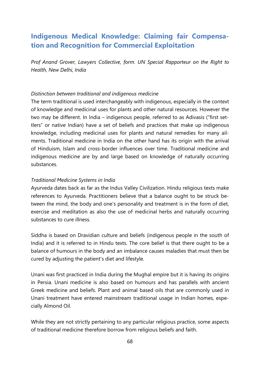## **Indigenous Medical Knowledge: Claiming fair Compensation and Recognition for Commercial Exploitation**

*Prof Anand Grover, Lawyers Collective, form. UN Special Rapporteur on the Right to Health, New Delhi, India*

#### *Distinction between traditional and indigenous medicine*

The term traditional is used interchangeably with indigenous, especially in the context of knowledge and medicinal uses for plants and other natural resources. However the two may be different. In India – indigenous people, referred to as Adivasis ("first settlers" or native Indian) have a set of beliefs and practices that make up indigenous knowledge, including medicinal uses for plants and natural remedies for many ailments. Traditional medicine in India on the other hand has its origin with the arrival of Hinduism, Islam and cross-border influences over time. Traditional medicine and indigenous medicine are by and large based on knowledge of naturally occurring substances.

#### *Traditional Medicine Systems in India*

Ayurveda dates back as far as the Indus Valley Civilization. Hindu religious texts make references to Ayurveda. Practitioners believe that a balance ought to be struck between the mind, the body and one's personality and treatment is in the form of diet, exercise and meditation as also the use of medicinal herbs and naturally occurring substances to cure illness.

Siddha is based on Dravidian culture and beliefs (indigenous people in the south of India) and it is referred to in Hindu texts. The core belief is that there ought to be a balance of humours in the body and an imbalance causes maladies that must then be cured by adjusting the patient's diet and lifestyle.

Unani was first practiced in India during the Mughal empire but it is having its origins in Persia. Unani medicine is also based on humours and has parallels with ancient Greek medicine and beliefs. Plant and animal based oils that are commonly used in Unani treatment have entered mainstream traditional usage in Indian homes, especially Almond Oil.

While they are not strictly pertaining to any particular religious practice, some aspects of traditional medicine therefore borrow from religious beliefs and faith.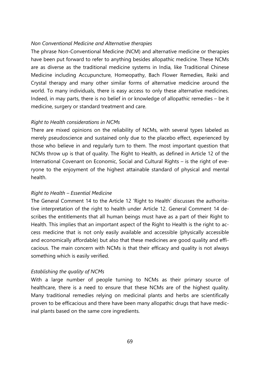#### *Non Conventional Medicine and Alternative therapies*

The phrase Non-Conventional Medicine (NCM) and alternative medicine or therapies have been put forward to refer to anything besides allopathic medicine. These NCMs are as diverse as the traditional medicine systems in India, like Traditional Chinese Medicine including Accupuncture, Homeopathy, Bach Flower Remedies, Reiki and Crystal therapy and many other similar forms of alternative medicine around the world. To many individuals, there is easy access to only these alternative medicines. Indeed, in may parts, there is no belief in or knowledge of allopathic remedies – be it medicine, surgery or standard treatment and care.

#### *Right to Health considerations in NCMs*

There are mixed opinions on the reliability of NCMs, with several types labeled as merely pseudoscience and sustained only due to the placebo effect, experienced by those who believe in and regularly turn to them. The most important question that NCMs throw up is that of quality. The Right to Health, as defined in Article 12 of the International Covenant on Economic, Social and Cultural Rights – is the right of everyone to the enjoyment of the highest attainable standard of physical and mental health.

#### *Right to Health – Essential Medicine*

The General Comment 14 to the Article 12 'Right to Health' discusses the authoritative interpretation of the right to health under Article 12. General Comment 14 describes the entitlements that all human beings must have as a part of their Right to Health. This implies that an important aspect of the Right to Health is the right to access medicine that is not only easily available and accessible (physically accessible and economically affordable) but also that these medicines are good quality and efficacious. The main concern with NCMs is that their efficacy and quality is not always something which is easily verified.

#### *Establishing the quality of NCMs*

With a large number of people turning to NCMs as their primary source of healthcare, there is a need to ensure that these NCMs are of the highest quality. Many traditional remedies relying on medicinal plants and herbs are scientifically proven to be efficacious and there have been many allopathic drugs that have medicinal plants based on the same core ingredients.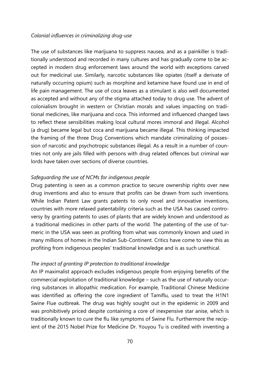#### *Colonial influences in criminalizing drug-use*

The use of substances like marijuana to suppress nausea, and as a painkiller is traditionally understood and recorded in many cultures and has gradually come to be accepted in modern drug enforcement laws around the world with exceptions carved out for medicinal use. Similarly, narcotic substances like opiates (itself a derivate of naturally occurring opium) such as morphine and ketamine have found use in end of life pain management. The use of coca leaves as a stimulant is also well documented as accepted and without any of the stigma attached today to drug use. The advent of colonialism brought in western or Christian morals and values impacting on traditional medicines, like marijuana and coca. This informed and influenced changed laws to reflect these sensibilities making local cultural mores immoral and illegal. Alcohol (a drug) became legal but coca and marijuana became illegal. This thinking impacted the framing of the three Drug Conventions which mandate criminalizing of possession of narcotic and psychotropic substances illegal. As a result in a number of countries not only are jails filled with persons with drug related offences but criminal war lords have taken over sections of diverse countries.

#### *Safeguarding the use of NCMs for indigenous people*

Drug patenting is seen as a common practice to secure ownership rights over new drug inventions and also to ensure that profits can be drawn from such inventions. While Indian Patent Law grants patents to only novel and innovative inventions, countries with more relaxed patentability criteria such as the USA has caused controversy by granting patents to uses of plants that are widely known and understood as a traditional medicines in other parts of the world. The patenting of the use of turmeric in the USA was seen as profiting from what was commonly known and used in many millions of homes in the Indian Sub-Continent. Critics have come to view this as profiting from indigenous peoples' traditional knowledge and is as such unethical.

#### *The impact of granting IP protection to traditional knowledge*

An IP maximalist approach excludes indigenous people from enjoying benefits of the commercial exploitation of traditional knowledge – such as the use of naturally occurring substances in allopathic medication. For example, Traditional Chinese Medicine was identified as offering the core ingredient of Tamiflu, used to treat the H1N1 Swine Flue outbreak. The drug was highly sought out in the epidemic in 2009 and was prohibitively priced despite containing a core of inexpensive star anise, which is traditionally known to cure the flu like symptoms of Swine Flu. Furthermore the recipient of the 2015 Nobel Prize for Medicine Dr. Youyou Tu is credited with inventing a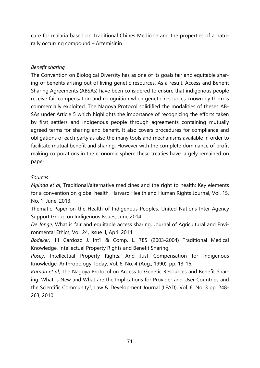cure for malaria based on Traditional Chines Medicine and the properties of a naturally occurring compound – Artemisinin.

### *Benefit sharing*

The Convention on Biological Diversity has as one of its goals fair and equitable sharing of benefits arising out of living genetic resources. As a result, Access and Benefit Sharing Agreements (ABSAs) have been considered to ensure that indigenous people receive fair compensation and recognition when genetic resources known by them is commercially exploited. The Nagoya Protocol solidified the modalities of theses AB-SAs under Article 5 which highlights the importance of recognizing the efforts taken by first settlers and indigenous people through agreements containing mutually agreed terms for sharing and benefit. It also covers procedures for compliance and obligations of each party as also the many tools and mechanisms available in order to facilitate mutual benefit and sharing. However with the complete dominance of profit making corporations in the economic sphere these treaties have largely remained on paper.

### *Sources*

*Mpinga et al*, Traditional/alternative medicines and the right to health: Key elements for a convention on global health, Harvard Health and Human Rights Journal, Vol. 15, No. 1, June, 2013.

Thematic Paper on the Health of Indigenous Peoples, United Nations Inter-Agency Support Group on Indigenous Issues, June 2014.

*De Jonge,* What is fair and equitable access sharing, Journal of Agricultural and Environmental Ethics, Vol. 24, Issue II, April 2014.

*Bodeker,* 11 Cardozo J. Int'l & Comp. L. 785 (2003-2004) Traditional Medical Knowledge, Intellectual Property Rights and Benefit Sharing.

*Posey*, Intellectual Property Rights: And Just Compensation for Indigenous Knowledge, Anthropology Today, Vol. 6, No. 4 (Aug., 1990), pp. 13-16.

*Kamau et al*, The Nagoya Protocol on Access to Genetic Resources and Benefit Sharing: What is New and What are the Implications for Provider and User Countries and the Scientific Community?, Law & Development Journal (LEAD), Vol. 6, No. 3 pp. 248- 263, 2010.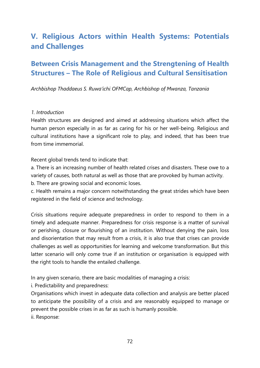# **V. Religious Actors within Health Systems: Potentials and Challenges**

## **Between Crisis Management and the Strengtening of Health Structures – The Role of Religious and Cultural Sensitisation**

*Archbishop Thaddaeus S. Ruwa'ichi OFMCap, Archbishop of Mwanza, Tanzania*

#### *1. Introduction*

Health structures are designed and aimed at addressing situations which affect the human person especially in as far as caring for his or her well-being. Religious and cultural institutions have a significant role to play, and indeed, that has been true from time immemorial.

Recent global trends tend to indicate that:

a. There is an increasing number of health related crises and disasters. These owe to a variety of causes, both natural as well as those that are provoked by human activity.

b. There are growing social and economic loses.

c. Health remains a major concern notwithstanding the great strides which have been registered in the field of science and technology.

Crisis situations require adequate preparedness in order to respond to them in a timely and adequate manner. Preparedness for crisis response is a matter of survival or perishing, closure or flourishing of an institution. Without denying the pain, loss and disorientation that may result from a crisis, it is also true that crises can provide challenges as well as opportunities for learning and welcome transformation. But this latter scenario will only come true if an institution or organisation is equipped with the right tools to handle the entailed challenge.

In any given scenario, there are basic modalities of managing a crisis:

i. Predictability and preparedness:

Organisations which invest in adequate data collection and analysis are better placed to anticipate the possibility of a crisis and are reasonably equipped to manage or prevent the possible crises in as far as such is humanly possible. ii. Response: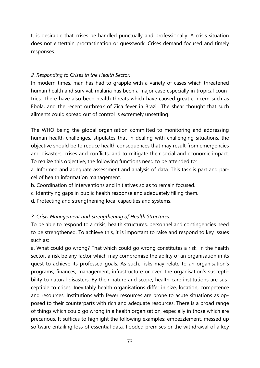It is desirable that crises be handled punctually and professionally. A crisis situation does not entertain procrastination or guesswork. Crises demand focused and timely responses.

## *2. Responding to Crises in the Health Sector:*

In modern times, man has had to grapple with a variety of cases which threatened human health and survival: malaria has been a major case especially in tropical countries. There have also been health threats which have caused great concern such as Ebola, and the recent outbreak of Zica fever in Brazil. The shear thought that such ailments could spread out of control is extremely unsettling.

The WHO being the global organisation committed to monitoring and addressing human health challenges, stipulates that in dealing with challenging situations, the objective should be to reduce health consequences that may result from emergencies and disasters, crises and conflicts, and to mitigate their social and economic impact. To realize this objective, the following functions need to be attended to:

a. Informed and adequate assessment and analysis of data. This task is part and parcel of health information management.

- b. Coordination of interventions and initiatives so as to remain focused.
- c. Identifying gaps in public health response and adequately filling them.
- d. Protecting and strengthening local capacities and systems.

## *3. Crisis Management and Strengthening of Health Structures:*

To be able to respond to a crisis, health structures, personnel and contingencies need to be strengthened. To achieve this, it is important to raise and respond to key issues such as:

a. What could go wrong? That which could go wrong constitutes a risk. In the health sector, a risk be any factor which may compromise the ability of an organisation in its quest to achieve its professed goals. As such, risks may relate to an organisation's programs, finances, management, infrastructure or even the organisation's susceptibility to natural disasters. By their nature and scope, health-care institutions are susceptible to crises. Inevitably health organisations differ in size, location, competence and resources. Institutions with fewer resources are prone to acute situations as opposed to their counterparts with rich and adequate resources. There is a broad range of things which could go wrong in a health organisation, especially in those which are precarious. It suffices to highlight the following examples: embezzlement, messed up software entailing loss of essential data, flooded premises or the withdrawal of a key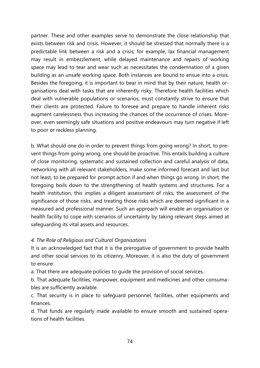partner. These and other examples serve to demonstrate the close relationship that exists between risk and crisis. However, it should be stressed that normally there is a predictable link between a risk and a crisis; for example, lax financial management may result in embezzlement, while delayed maintenance and repairs of working space may lead to tear and wear such as necessitates the condemnation of a given building as an unsafe working space. Both instances are bound to ensue into a crisis. Besides the foregoing, it is important to bear in mind that by their nature, health organisations deal with tasks that are inherently risky. Therefore health facilities which deal with vulnerable populations or scenarios, must constantly strive to ensure that their clients are protected. Failure to foresee and prepare to handle inherent risks augment carelessness thus increasing the chances of the occurrence of crises. Moreover, even seemingly safe situations and positive endeavours may turn negative if left to poor or reckless planning.

b. What should one do in order to prevent things from going wrong? In short, to prevent things from going wrong, one should be proactive. This entails building a culture of close monitoring, systematic and sustained collection and careful analysis of data, networking with all relevant stakeholders, make some informed forecast and last but not least, to be prepared for prompt action if and when things go wrong. In short, the foregoing boils down to the strengthening of health systems and structures. For a health institution, this implies a diligent assessment of risks, the assessment of the significance of those risks, and treating those risks which are deemed significant in a measured and professional manner. Such an approach will enable an organisation or health facility to cope with scenarios of uncertainty by taking relevant steps aimed at safeguarding its vital assets and resources.

## *4. The Role of Religious and Cultural Organisations*

It is an acknowledged fact that it is the prerogative of government to provide health and other social services to its citizenry. Moreover, it is also the duty of government to ensure:

a. That there are adequate policies to guide the provision of social services.

b. That adequate facilities, manpower, equipment and medicines and other consumables are sufficiently available.

c. That security is in place to safeguard personnel, facilities, other equipments and finances.

d. That funds are regularly made available to ensure smooth and sustained operations of health facilities.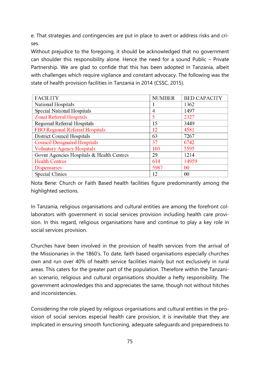e. That strategies and contingencies are put in place to avert or address risks and crises.

Without prejudice to the foregoing, it should be acknowledged that no government can shoulder this responsibility alone. Hence the need for a sound Public – Private Partnership. We are glad to confide that this has been adopted in Tanzania, albeit with challenges which require vigilance and constant advocacy. The following was the state of health provision facilities in Tanzania in 2014 (CSSC, 2015).

| <b>FACILITY</b>                           | <b>NUMBER</b> | <b>BED CAPACITY</b> |
|-------------------------------------------|---------------|---------------------|
| <b>National Hospitals</b>                 |               | 1362                |
| <b>Special National Hospitals</b>         | 4             | 1497                |
| <b>Zonal Referral Hospitals</b>           | 5             | 2327                |
| <b>Regional Referral Hospitals</b>        | 15            | 3449                |
| FBO Regional Referral Hospitals           | 12            | 4581                |
| <b>District Council Hospitals</b>         | 63            | 7267                |
| <b>Council Designated Hospitals</b>       | 37            | 6742                |
| <b>Voluntary Agency Hospitals</b>         | 103           | 5595                |
| Govnt Agencies Hospitals & Health Centres | 29            | 1214                |
| <b>Health Centres</b>                     | 614           | 14959               |
| <b>Dispensaries</b>                       | 5987          | 0 <sup>0</sup>      |
| <b>Special Clinics</b>                    | 12            | 00                  |

Nota Bene: Church or Faith Based health facilities figure predominantly among the highlighted sections.

In Tanzania, religious organisations and cultural entities are among the forefront collaborators with government in social services provision including health care provision. In this regard, religious organisations have and continue to play a key role in social services provision.

Churches have been involved in the provision of health services from the arrival of the Missionaries in the 1860's. To date, faith based organisations especially churches own and run over 40% of health service facilities mainly but not exclusively in rural areas. This caters for the greater part of the population. Therefore within the Tanzanian scenario, religious and cultural organisations shoulder a hefty responsibility. The government acknowledges this and appreciates the same, though not without hitches and inconsistencies.

Considering the role played by religious organisations and cultural entities in the provision of social services especial health care provision, it is inevitable that they are implicated in ensuring smooth functioning, adequate safeguards and preparedness to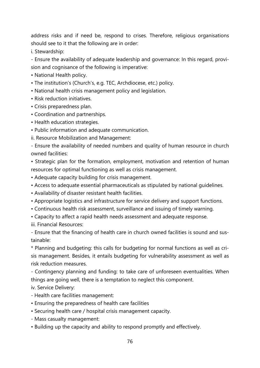address risks and if need be, respond to crises. Therefore, religious organisations should see to it that the following are in order:

i. Stewardship:

- Ensure the availability of adequate leadership and governance: In this regard, provision and cognisance of the following is imperative:

- National Health policy.
- The institution's (Church's, e.g. TEC, Archdiocese, etc.) policy.
- National health crisis management policy and legislation.
- Risk reduction initiatives.
- Crisis preparedness plan.
- Coordination and partnerships.
- Health education strategies.
- Public information and adequate communication.
- ii. Resource Mobilization and Management:

- Ensure the availability of needed numbers and quality of human resource in church owned facilities:

• Strategic plan for the formation, employment, motivation and retention of human resources for optimal functioning as well as crisis management.

- Adequate capacity building for crisis management.
- Access to adequate essential pharmaceuticals as stipulated by national guidelines.
- Availability of disaster resistant health facilities.
- Appropriate logistics and infrastructure for service delivery and support functions.
- Continuous health risk assessment, surveillance and issuing of timely warning.
- Capacity to affect a rapid health needs assessment and adequate response.
- iii. Financial Resources:

- Ensure that the financing of health care in church owned facilities is sound and sustainable:

\* Planning and budgeting: this calls for budgeting for normal functions as well as crisis management. Besides, it entails budgeting for vulnerability assessment as well as risk reduction measures.

- Contingency planning and funding: to take care of unforeseen eventualities. When things are going well, there is a temptation to neglect this component.

iv. Service Delivery:

- Health care facilities management:
- Ensuring the preparedness of health care facilities
- Securing health care / hospital crisis management capacity.
- Mass casualty management:
- Building up the capacity and ability to respond promptly and effectively.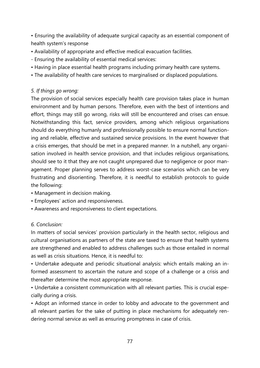• Ensuring the availability of adequate surgical capacity as an essential component of health system's response

- Availability of appropriate and effective medical evacuation facilities.
- Ensuring the availability of essential medical services:
- Having in place essential health programs including primary health care systems.
- The availability of health care services to marginalised or displaced populations.

## *5. If things go wrong:*

The provision of social services especially health care provision takes place in human environment and by human persons. Therefore, even with the best of intentions and effort, things may still go wrong, risks will still be encountered and crises can ensue. Notwithstanding this fact, service providers, among which religious organisations should do everything humanly and professionally possible to ensure normal functioning and reliable, effective and sustained service provisions. In the event however that a crisis emerges, that should be met in a prepared manner. In a nutshell, any organisation involved in health service provision, and that includes religious organisations, should see to it that they are not caught unprepared due to negligence or poor management. Proper planning serves to address worst-case scenarios which can be very frustrating and disorienting. Therefore, it is needful to establish protocols to guide the following:

- Management in decision making.
- Employees' action and responsiveness.
- Awareness and responsiveness to client expectations.

## *6. Conclusion:*

In matters of social services' provision particularly in the health sector, religious and cultural organisations as partners of the state are taxed to ensure that health systems are strengthened and enabled to address challenges such as those entailed in normal as well as crisis situations. Hence, it is needful to:

• Undertake adequate and periodic situational analysis: which entails making an informed assessment to ascertain the nature and scope of a challenge or a crisis and thereafter determine the most appropriate response.

• Undertake a consistent communication with all relevant parties. This is crucial especially during a crisis.

• Adopt an informed stance in order to lobby and advocate to the government and all relevant parties for the sake of putting in place mechanisms for adequately rendering normal service as well as ensuring promptness in case of crisis.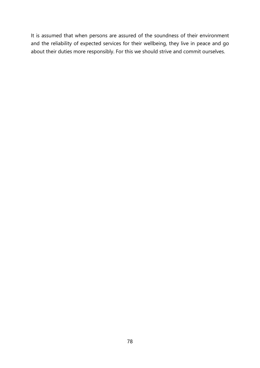It is assumed that when persons are assured of the soundness of their environment and the reliability of expected services for their wellbeing, they live in peace and go about their duties more responsibly. For this we should strive and commit ourselves.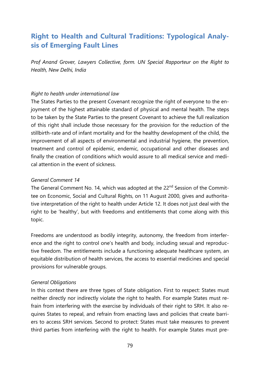# **Right to Health and Cultural Traditions: Typological Analysis of Emerging Fault Lines**

*Prof Anand Grover, Lawyers Collective, form. UN Special Rapporteur on the Right to Health, New Delhi, India*

## *Right to health under international law*

The States Parties to the present Covenant recognize the right of everyone to the enjoyment of the highest attainable standard of physical and mental health. The steps to be taken by the State Parties to the present Covenant to achieve the full realization of this right shall include those necessary for the provision for the reduction of the stillbirth-rate and of infant mortality and for the healthy development of the child, the improvement of all aspects of environmental and industrial hygiene, the prevention, treatment and control of epidemic, endemic, occupational and other diseases and finally the creation of conditions which would assure to all medical service and medical attention in the event of sickness.

## *General Comment 14*

The General Comment No. 14, which was adopted at the 22<sup>nd</sup> Session of the Committee on Economic, Social and Cultural Rights, on 11 August 2000, gives and authoritative interpretation of the right to health under Article 12. It does not just deal with the right to be 'healthy', but with freedoms and entitlements that come along with this topic.

Freedoms are understood as bodily integrity, autonomy, the freedom from interference and the right to control one's health and body, including sexual and reproductive freedom. The entitlements include a functioning adequate healthcare system, an equitable distribution of health services, the access to essential medicines and special provisions for vulnerable groups.

## *General Obligations*

In this context there are three types of State obligation. First to respect: States must neither directly nor indirectly violate the right to health. For example States must refrain from interfering with the exercise by individuals of their right to SRH. It also requires States to repeal, and refrain from enacting laws and policies that create barriers to access SRH services. Second to protect: States must take measures to prevent third parties from interfering with the right to health. For example States must pre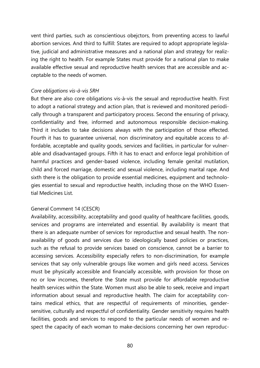vent third parties, such as conscientious obejctors, from preventing access to lawful abortion services. And third to fulfill: States are required to adopt appropriate legislative, judicial and administrative measures and a national plan and strategy for realizing the right to health. For example States must provide for a national plan to make available effective sexual and reproductive health services that are accessible and acceptable to the needs of women.

## *Core obligations vis-à-vis SRH*

But there are also core obligations vis-à-vis the sexual and reproductive health. First to adopt a national strategy and action plan, that is reviewed and monitored periodically through a transparent and participatory process. Second the ensuring of privacy, confidentiality and free, informed and autonomous responsible decision-making. Third it includes to take decisions always with the participation of those effected. Fourth it has to guarantee universal, non discriminatory and equitable access to affordable, acceptable and quality goods, services and facilities, in particular for vulnerable and disadvantaged groups. Fifth it has to enact and enforce legal prohibition of harmful practices and gender-based violence, including female genital mutilation, child and forced marriage, domestic and sexual violence, including marital rape. And sixth there is the obligation to provide essential medicines, equipment and technologies essential to sexual and reproductive health, including those on the WHO Essential Medicines List.

## General Comment 14 (CESCR)

Availability, accessibility, acceptability and good quality of healthcare facilities, goods, services and programs are interrelated and essential. By availability is meant that there is an adequate number of services for reproductive and sexual health. The nonavailability of goods and services due to ideologically based policies or practices, such as the refusal to provide services based on conscience, cannot be a barrier to accessing services. Accessibility especially refers to non-discrimination, for example services that say only vulnerable groups like women and girls need access. Services must be physically accessible and financially accessible, with provision for those on no or low incomes, therefore the State must provide for affordable reproductive health services within the State. Women must also be able to seek, receive and impart information about sexual and reproductive health. The claim for acceptability contains medical ethics, that are respectful of requirements of minorities, gendersensitive, culturally and respectful of confidentiality. Gender sensitivity requires health facilities, goods and services to respond to the particular needs of women and respect the capacity of each woman to make-decisions concerning her own reproduc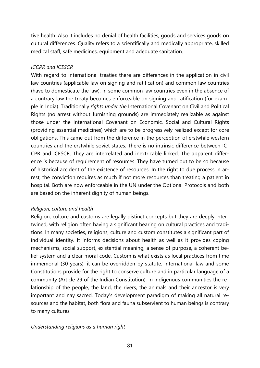tive health. Also it includes no denial of health facilities, goods and services goods on cultural differences. Quality refers to a scientifically and medically appropriate, skilled medical staff, safe medicines, equipment and adequate sanitation.

## *ICCPR and ICESCR*

With regard to international treaties there are differences in the application in civil law countries (applicable law on signing and ratification) and common law countries (have to domesticate the law). In some common law countries even in the absence of a contrary law the treaty becomes enforceable on signing and ratification (for example in India). Traditionally *rights under the* International Covenant on Civil and Political Rights (no arrest without furnishing grounds) are immediately realizable as against those under the International Covenant on Economic, Social and Cultural Rights (providing essential medicines) which are to be progressively realized except for core obligations. This came out from the difference in the perception of erstwhile western countries and the erstwhile soviet states. There is no intrinsic difference between IC-CPR and ICESCR. They are interrelated and inextricable linked. The apparent difference is because of requirement of resources. They have turned out to be so because of historical accident of the existence of resources. In the right to due process in arrest, the conviction requires as much if not more resources than treating a patient in hospital. Both are now enforceable in the UN under the Optional Protocols and both are based on the inherent dignity of human beings.

## *Religion, culture and health*

Religion, culture and customs are legally distinct concepts but they are deeply intertwined, with religion often having a significant bearing on cultural practices and traditions. In many societies, religions, culture and custom constitutes a significant part of individual identity. It informs decisions about health as well as it provides coping mechanisms, social support, existential meaning, a sense of purpose, a coherent belief system and a clear moral code. Custom is what exists as local practices from time immemorial (30 years), it can be overridden by statute. International law and some Constitutions provide for the right to conserve culture and in particular language of a community (Article 29 of the Indian Constitution). In indigenous communities the relationship of the people, the land, the rivers, the animals and their ancestor is very important and nay sacred. Today's development paradigm of making all natural resources and the habitat, both flora and fauna subservient to human beings is contrary to many cultures.

## *Understanding religions as a human right*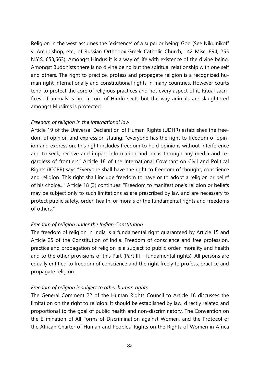Religion in the west assumes the 'existence' of a superior being: God (See Nikulnikoff v. Archbishop, etc., of Russian Orthodox Greek Catholic Church, 142 Misc. 894, 255 N.Y.S. 653,663). Amongst Hindus it is a way of life with existence of the divine being. Amongst Buddhists there is no divine being but the spiritual relationship with one self and others. The right to practice, profess and propagate religion is a recognized human right internationally and constitutional rights in many countries. However courts tend to protect the core of religious practices and not every aspect of it. Ritual sacrifices of animals is not a core of Hindu sects but the way animals are slaughtered amongst Muslims is protected.

## *Freedom of religion in the international law*

Article 19 of the Universal Declaration of Human Rights (UDHR) establishes the freedom of opinion and expression stating: "everyone has the right to freedom of opinion and expression; this right includes freedom to hold opinions without interference and to seek, receive and impart information and ideas through any media and regardless of frontiers.' Article 18 of the International Covenant on Civil and Political Rights (ICCPR) says "Everyone shall have the right to freedom of thought, conscience and religion. This right shall include freedom to have or to adopt a religion or belief of his choice..." Article 18 (3) continues: "Freedom to manifest one's religion or beliefs may be subject only to such limitations as are prescribed by law and are necessary to protect public safety, order, health, or morals or the fundamental rights and freedoms of others."

## *Freedom of religion under the Indian Constitution*

The freedom of religion in India is a fundamental right guaranteed by Article 15 and Article 25 of the Constitution of India. Freedom of conscience and free profession, practice and propagation of religion is a subject to public order, morality and health and to the other provisions of this Part (Part III – fundamental rights). All persons are equally entitled to freedom of conscience and the right freely to profess, practice and propagate religion.

## *Freedom of religion is subject to other human rights*

The General Comment 22 of the Human Rights Council to Article 18 discusses the limitation on the right to religion. It should be established by law, directly related and proportional to the goal of public health and non-discriminatory. The Convention on the Elimination of All Forms of Discrimination against Women, and the Protocol of the African Charter of Human and Peoples' Rights on the Rights of Women in Africa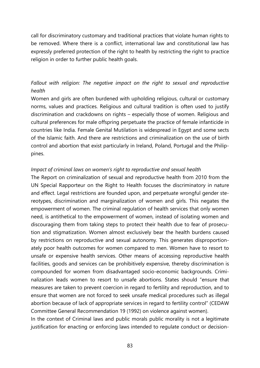call for discriminatory customary and traditional practices that violate human rights to be removed. Where there is a conflict, international law and constitutional law has expressly preferred protection of the right to health by restricting the right to practice religion in order to further public health goals.

## *Fallout with religion: The negative impact on the right to sexual and reproductive health*

Women and girls are often burdened with upholding religious, cultural or customary norms, values and practices. Religious and cultural tradition is often used to justify discrimination and crackdowns on rights – especially those of women. Religious and cultural preferences for male offspring perpetuate the practice of female infanticide in countries like India. Female Genital Mutilation is widespread in Egypt and some sects of the Islamic faith. And there are restrictions and criminalization on the use of birth control and abortion that exist particularly in Ireland, Poland, Portugal and the Philippines.

### *Impact of criminal laws on women's right to reproductive and sexual health*

The Report on criminalization of sexual and reproductive health from 2010 from the UN Special Rapporteur on the Right to Health focuses the discriminatory in nature and effect. Legal restrictions are founded upon, and perpetuate wrongful gender stereotypes, discrimination and marginalization of women and girls. This negates the empowerment of women. The criminal regulation of health services that only women need, is antithetical to the empowerment of women, instead of isolating women and discouraging them from taking steps to protect their health due to fear of prosecution and stigmatization. Women almost exclusively bear the health burdens caused by restrictions on reproductive and sexual autonomy. This generates disproportionately poor health outcomes for women compared to men. Women have to resort to unsafe or expensive health services. Other means of accessing reproductive health facilities, goods and services can be prohibitively expensive, thereby discrimination is compounded for women from disadvantaged socio-economic backgrounds. Criminalization leads women to resort to unsafe abortions. States should "ensure that measures are taken to prevent coercion in regard to fertility and reproduction, and to ensure that women are not forced to seek unsafe medical procedures such as illegal abortion because of lack of appropriate services in regard to fertility control" (CEDAW Committee General Recommendation 19 (1992) on violence against women).

In the context of Criminal laws and public morals public morality is not a legitimate justification for enacting or enforcing laws intended to regulate conduct or decision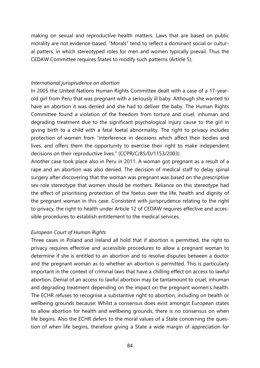making on sexual and reproductive health matters. Laws that are based on public morality are not evidence-based. "Morals" tend to reflect a dominant social or cultural patters, in which stereotyped roles for men and women typically prevail. Thus the CEDAW Committee requires States to modify such patterns (Article 5).

### *International jurisprudence on abortion*

In 2005 the United Nations Human Rights Committee dealt with a case of a 17-yearold girl from Peru that was pregnant with a seriously ill baby. Although she wanted to have an abortion it was denied and she had to deliver the baby. The Human Rights Committee found a violation of the freedom from torture and cruel, inhuman and degrading treatment due to the significant psychological injury cause to the girl in giving birth to a child with a fatal foetal abnormality. The right to privacy includes protection of women from "interference in decisions which affect their bodies and lives, and offers them the opportunity to exercise their right to make independent decisions on their reproductive lives." (CCPR/C/85/D/1153/2003)

Another case took place also in Peru in 2011. A woman got pregnant as a result of a rape and an abortion was also denied. The decision of medical staff to delay spinal surgery after discovering that the woman was pregnant was based on the prescriptive sex-role stereotype that women should be mothers. Reliance on this stereotype had the effect of prioritising protection of the foetus over the life, health and dignity of the pregnant woman in this case. Consistent with jurisprudence relating to the right to privacy, the right to health under Article 12 of CEDAW requires effective and accessible procedures to establish entitlement to the medical services.

## *European Court of Human Rights*

Three cases in Poland and Ireland all hold that if abortion is permitted, the right to privacy requires effective and accessible procedures to allow a pregnant woman to determine if she is entitled to an abortion and to resolve disputes between a doctor and the pregnant woman as to whether an abortion is permitted. This is particularly important in the context of criminal laws that have a chilling effect on access to lawful abortion. Denial of an access to lawful abortion may be tantamount to cruel, inhuman and degrading treatment depending on the impact on the pregnant women's health. The ECHR refuses to recognise a substantive right to abortion, including on health or wellbeing grounds because: Whilst a consensus does exist amongst European states to allow abortion for health and wellbeing grounds, there is no consensus on when life begins. Also the ECHR defers to the moral values of a State concerning the question of when life begins, therefore giving a State a wide margin of appreciation for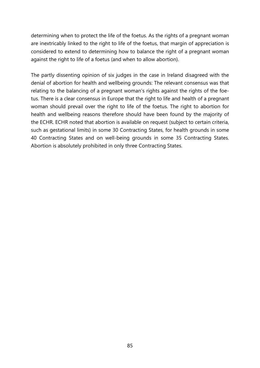determining when to protect the life of the foetus. As the rights of a pregnant woman are inextricably linked to the right to life of the foetus, that margin of appreciation is considered to extend to determining how to balance the right of a pregnant woman against the right to life of a foetus (and when to allow abortion).

The partly dissenting opinion of six judges in the case in Ireland disagreed with the denial of abortion for health and wellbeing grounds: The relevant consensus was that relating to the balancing of a pregnant woman's rights against the rights of the foetus. There is a clear consensus in Europe that the right to life and health of a pregnant woman should prevail over the right to life of the foetus. The right to abortion for health and wellbeing reasons therefore should have been found by the majority of the ECHR. ECHR noted that abortion is available on request (subject to certain criteria, such as gestational limits) in some 30 Contracting States, for health grounds in some 40 Contracting States and on well-being grounds in some 35 Contracting States. Abortion is absolutely prohibited in only three Contracting States.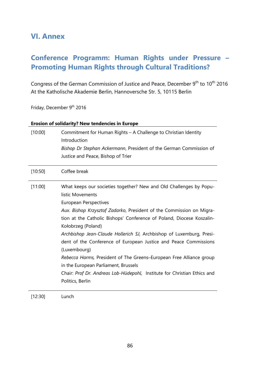## **VI. Annex**

# **Conference Programm: Human Rights under Pressure – Promoting Human Rights through Cultural Traditions?**

Congress of the German Commission of Justice and Peace, December 9<sup>th</sup> to 10<sup>th</sup> 2016 At the Katholische Akademie Berlin, Hannoversche Str. 5, 10115 Berlin

Friday, December 9<sup>th</sup> 2016

## **Erosion of solidarity? New tendencies in Europe**

| [10:00] | Commitment for Human Rights - A Challenge to Christian Identity<br>Introduction<br>Bishop Dr Stephan Ackermann, President of the German Commission of<br>Justice and Peace, Bishop of Trier                                                                                                                                                                                                                                                                                                                                                                                                                                                                              |
|---------|--------------------------------------------------------------------------------------------------------------------------------------------------------------------------------------------------------------------------------------------------------------------------------------------------------------------------------------------------------------------------------------------------------------------------------------------------------------------------------------------------------------------------------------------------------------------------------------------------------------------------------------------------------------------------|
| [10:50] | Coffee break                                                                                                                                                                                                                                                                                                                                                                                                                                                                                                                                                                                                                                                             |
| [11:00] | What keeps our societies together? New and Old Challenges by Popu-<br>listic Movements<br><b>European Perspectives</b><br>Aux. Bishop Krzysztof Zadarko, President of the Commission on Migra-<br>tion at the Catholic Bishops' Conference of Poland, Diocese Koszalin-<br>Kołobrzeg (Poland)<br>Archbishop Jean-Claude Hollerich SJ, Archbishop of Luxemburg, Presi-<br>dent of the Conference of European Justice and Peace Commissions<br>(Luxembourg)<br>Rebecca Harms, President of The Greens-European Free Alliance group<br>in the European Parliament, Brussels<br>Chair: Prof Dr. Andreas Lob-Hüdepohl, Institute for Christian Ethics and<br>Politics, Berlin |

[12:30] Lunch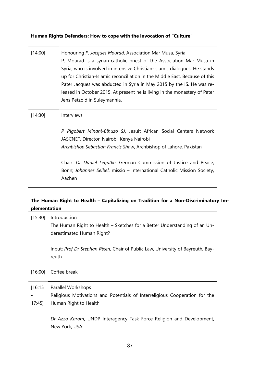## **Human Rights Defenders: How to cope with the invocation of "Culture"**

| [14:00]           | Honouring P. Jacques Mourad, Association Mar Musa, Syria<br>P. Mourad is a syrian-catholic priest of the Association Mar Musa in<br>Syria, who is involved in intensive Christian-Islamic dialogues. He stands<br>up for Christian-Islamic reconciliation in the Middle East. Because of this<br>Pater Jacques was abducted in Syria in May 2015 by the IS. He was re-<br>leased in October 2015. At present he is living in the monastery of Pater<br>Jens Petzold in Suleymannia. |
|-------------------|-------------------------------------------------------------------------------------------------------------------------------------------------------------------------------------------------------------------------------------------------------------------------------------------------------------------------------------------------------------------------------------------------------------------------------------------------------------------------------------|
| [14:30]           | Interviews                                                                                                                                                                                                                                                                                                                                                                                                                                                                          |
|                   | P Rigobert Minani-Bihuzo SJ, Jesuit African Social Centers Network<br>JASCNET, Director, Nairobi, Kenya Nairobi<br>Archbishop Sebastian Francis Shaw, Archbishop of Lahore, Pakistan                                                                                                                                                                                                                                                                                                |
|                   | Chair: Dr Daniel Legutke, German Commission of Justice and Peace,<br>Bonn; Johannes Seibel, missio - International Catholic Mission Society,<br>Aachen                                                                                                                                                                                                                                                                                                                              |
| plementation      | The Human Right to Health - Capitalizing on Tradition for a Non-Discriminatory Im-                                                                                                                                                                                                                                                                                                                                                                                                  |
| [15:30]           | Introduction                                                                                                                                                                                                                                                                                                                                                                                                                                                                        |
|                   | The Human Right to Health – Sketches for a Better Understanding of an Un-<br>derestimated Human Right?                                                                                                                                                                                                                                                                                                                                                                              |
|                   | Input: Prof Dr Stephan Rixen, Chair of Public Law, University of Bayreuth, Bay-<br>reuth                                                                                                                                                                                                                                                                                                                                                                                            |
|                   | Coffee break                                                                                                                                                                                                                                                                                                                                                                                                                                                                        |
| [16:15]           | Parallel Workshops                                                                                                                                                                                                                                                                                                                                                                                                                                                                  |
| [16:00]<br>17:45] | Religious Motivations and Potentials of Interreligious Cooperation for the<br>Human Right to Health                                                                                                                                                                                                                                                                                                                                                                                 |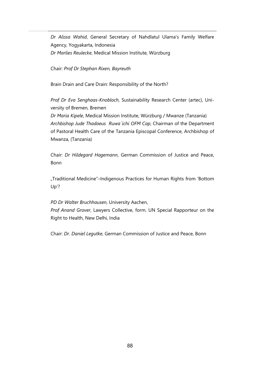*Dr Alissa Wahid*, General Secretary of Nahdlatul Ulama's Family Welfare Agency, Yogyakarta, Indonesia *Dr Marlies Reulecke*, Medical Mission Institute, Würzburg

Chair: *Prof Dr Stephan Rixen, Bayreuth*

Brain Drain and Care Drain: Responsibility of the North?

*Prof Dr Eva Senghaas-Knobloch*, Sustainability Research Center (artec), University of Bremen, Bremen

*Dr Maria Kipele*, Medical Mission Institute, Würzburg / Mwanze (Tanzania) *Archbishop Jude Thadaeus Ruwa´ichi OFM Cap*, Chairman of the Department of Pastoral Health Care of the Tanzania Episcopal Conference, Archbishop of Mwanza, (Tanzania)

Chair: *Dr Hildegard Hagemann*, German Commission of Justice and Peace, Bonn

"Traditional Medicine"–Indigenous Practices for Human Rights from 'Bottom Up'?

*PD Dr Walter Bruchhausen*, University Aachen, *Prof Anand Grover*, Lawyers Collective, form. UN Special Rapporteur on the Right to Health, New Delhi, India

Chair: *Dr. Daniel Legutke*, German Commission of Justice and Peace, Bonn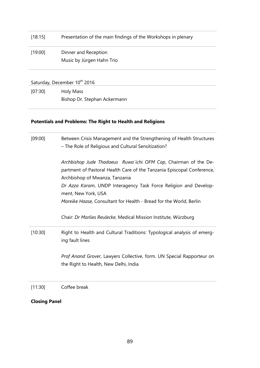| [18:15] | Presentation of the main findings of the Workshops in plenary |
|---------|---------------------------------------------------------------|
| [19:00] | Dinner and Reception<br>Music by Jürgen Hahn Trio             |
|         |                                                               |

Saturday, December 10<sup>th</sup> 2016

[07:30] Holy Mass Bishop Dr. Stephan Ackermann

## **Potentials and Problems: The Right to Health and Religions**

| [09:00] | Between Crisis Management and the Strengthening of Health Structures<br>- The Role of Religious and Cultural Sensitization?                                                                                                                                                                                                                  |  |  |
|---------|----------------------------------------------------------------------------------------------------------------------------------------------------------------------------------------------------------------------------------------------------------------------------------------------------------------------------------------------|--|--|
|         | Archbishop Jude Thadaeus Ruwa ichi OFM Cap, Chairman of the De-<br>partment of Pastoral Health Care of the Tanzania Episcopal Conference,<br>Archbishop of Mwanza, Tanzania<br>Dr Azza Karam, UNDP Interagency Task Force Religion and Develop-<br>ment, New York, USA<br>Mareike Haase, Consultant for Health - Bread for the World, Berlin |  |  |
|         | Chair: Dr Marlies Reulecke, Medical Mission Institute, Würzburg                                                                                                                                                                                                                                                                              |  |  |
| [10:30] | Right to Health and Cultural Traditions: Typological analysis of emerg-<br>ing fault lines                                                                                                                                                                                                                                                   |  |  |
|         | Prof Anand Grover, Lawyers Collective, form. UN Special Rapporteur on<br>the Right to Health, New Delhi, India                                                                                                                                                                                                                               |  |  |
| [11:30] | Coffee break                                                                                                                                                                                                                                                                                                                                 |  |  |

**Closing Panel**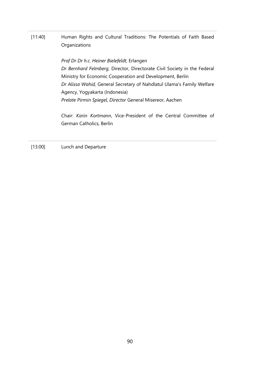[11:40] Human Rights and Cultural Traditions: The Potentials of Faith Based **Organizations** 

> *Prof Dr Dr h.c. Heiner Bielefeldt,* Erlangen *Dr Bernhard Felmberg,* Director, Directorate Civil Society in the Federal Ministry for Economic Cooperation and Development, Berlin *Dr Alissa Wahid,* General Secretary of Nahdlatul Ulama's Family Welfare Agency, Yogyakarta (Indonesia) *Prelate Pirmin Spiegel, Director* General Misereor, Aachen

> Chair: *Karin Kortmann*, Vice-President of the Central Committee of German Catholics, Berlin

[13:00] Lunch and Departure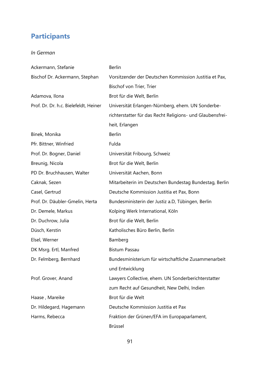# **Participants**

## *In German*

| Ackermann, Stefanie                   | <b>Berlin</b>                                             |
|---------------------------------------|-----------------------------------------------------------|
| Bischof Dr. Ackermann, Stephan        | Vorsitzender der Deutschen Kommission Justitia et Pax,    |
|                                       | Bischof von Trier, Trier                                  |
| Adamova, Ilona                        | Brot für die Welt, Berlin                                 |
| Prof. Dr. Dr. h.c. Bielefeldt, Heiner | Universität Erlangen-Nürnberg, ehem. UN Sonderbe-         |
|                                       | richterstatter für das Recht Religions- und Glaubensfrei- |
|                                       | heit, Erlangen                                            |
| Binek, Monika                         | <b>Berlin</b>                                             |
| Pfr. Bittner, Winfried                | Fulda                                                     |
| Prof. Dr. Bogner, Daniel              | Universität Fribourg, Schweiz                             |
| Breunig, Nicola                       | Brot für die Welt, Berlin                                 |
| PD Dr. Bruchhausen, Walter            | Universität Aachen, Bonn                                  |
| Caknak, Sezen                         | Mitarbeiterin im Deutschen Bundestag Bundestag, Berlin    |
| Casel, Gertrud                        | Deutsche Kommission Justitia et Pax, Bonn                 |
| Prof. Dr. Däubler-Gmelin, Herta       | Bundesministerin der Justiz a.D, Tübingen, Berlin         |
| Dr. Demele, Markus                    | Kolping Werk International, Köln                          |
| Dr. Duchrow, Julia                    | Brot für die Welt, Berlin                                 |
| Düsch, Kerstin                        | Katholisches Büro Berlin, Berlin                          |
| Elsel, Werner                         | Bamberg                                                   |
| DK Msrg. Ertl, Manfred                | <b>Bistum Passau</b>                                      |
| Dr. Felmberg, Bernhard                | Bundesministerium für wirtschaftliche Zusammenarbeit      |
|                                       | und Entwicklung                                           |
| Prof. Grover, Anand                   | Lawyers Collective, ehem. UN Sonderberichterstatter       |
|                                       | zum Recht auf Gesundheit, New Delhi, Indien               |
| Haase, Mareike                        | Brot für die Welt                                         |
| Dr. Hildegard, Hagemann               | Deutsche Kommission Justitia et Pax                       |
| Harms, Rebecca                        | Fraktion der Grünen/EFA im Europaparlament,               |
|                                       | <b>Brüssel</b>                                            |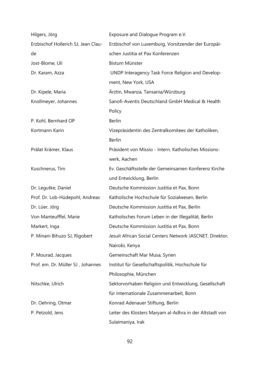| Hilgers, Jörg                       | Exposure and Dialogue Program e.V.                       |
|-------------------------------------|----------------------------------------------------------|
| Erzbischof Hollerich SJ, Jean Clau- | Erzbischof von Luxemburg, Vorsitzender der Europäi-      |
| de                                  | schen Justitia et Pax Konferenzen                        |
| Jost-Blome, Uli                     | Bistum Münster                                           |
| Dr. Karam, Azza                     | UNDP Interagency Task Force Religion and Develop-        |
|                                     | ment, New York, USA                                      |
| Dr. Kipele, Maria                   | Ärztin, Mwanza, Tansania/Würzburg                        |
| Knollmeyer, Johannes                | Sanofi-Aventis Deutschland GmbH Medical & Health         |
|                                     | Policy                                                   |
| P. Kohl, Bernhard OP                | <b>Berlin</b>                                            |
| Kortmann Karin                      | Vizepräsidentin des Zentralkomitees der Katholiken,      |
|                                     | <b>Berlin</b>                                            |
| Prälat Krämer, Klaus                | Präsident von Missio - Intern. Katholisches Missions-    |
|                                     | werk, Aachen                                             |
| Kuschnerus, Tim                     | Ev. Geschäftsstelle der Gemeinsamen Konferenz Kirche     |
|                                     | und Entwicklung, Berlin                                  |
| Dr. Legutke, Daniel                 | Deutsche Kommission Justitia et Pax, Bonn                |
| Prof. Dr. Lob-Hüdepohl, Andreas     | Katholische Hochschule für Sozialwesen, Berlin           |
| Dr. Lüer, Jörg                      | Deutsche Kommission Justitia et Pax, Berlin              |
| Von Manteufffel, Marie              | Katholisches Forum Leben in der Illegalität, Berlin      |
| Markert, Inga                       | Deutsche Kommission Justitia et Pax, Bonn                |
| P. Minani Bihuzo SJ, Rigobert       | Jesuit African Social Centers Network JASCNET, Direktor, |
|                                     | Nairobi, Kenya                                           |
| P. Mourad, Jacques                  | Gemeinschaft Mar Musa, Syrien                            |
| Prof. em. Dr. Müller SJ, Johannes   | Institut für Gesellschaftspolitik, Hochschule für        |
|                                     | Philosophie, München                                     |
| Nitschke, Ulrich                    | Sektorvorhaben Religion und Entwicklung, Gesellschaft    |
|                                     | für Internationale Zusammenarbeit, Bonn                  |
| Dr. Oehring, Otmar                  | Konrad Adenauer Stiftung, Berlin                         |
| P. Petzold, Jens                    | Leiter des Klosters Maryam al-Adhra in der Altstadt von  |
|                                     | Sulaimaniya, Irak                                        |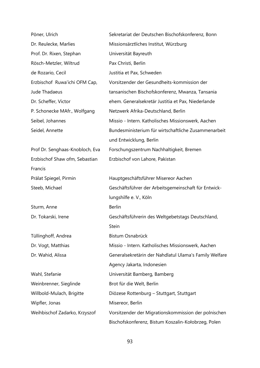| Pöner, Ulrich                   | Sekretariat der Deutschen Bischofskonferenz, Bonn      |
|---------------------------------|--------------------------------------------------------|
| Dr. Reulecke, Marlies           | Missionsärztliches Institut, Würzburg                  |
| Prof. Dr. Rixen, Stephan        | Universität Bayreuth                                   |
| Rösch-Metzler, Wiltrud          | Pax Christi, Berlin                                    |
| de Rozario, Cecil               | Justitia et Pax, Schweden                              |
| Erzbischof Ruwa'ichi OFM Cap,   | Vorsitzender der Gesundheits-kommission der            |
| Jude Thadaeus                   | tansanischen Bischofskonferenz, Mwanza, Tansania       |
| Dr. Scheffer, Victor            | ehem. Generalsekretär Justitia et Pax, Niederlande     |
| P. Schonecke MAfr., Wolfgang    | Netzwerk Afrika-Deutschland, Berlin                    |
| Seibel, Johannes                | Missio - Intern. Katholisches Missionswerk, Aachen     |
| Seidel, Annette                 | Bundesministerium für wirtschaftliche Zusammenarbeit   |
|                                 | und Entwicklung, Berlin                                |
| Prof Dr. Senghaas-Knobloch, Eva | Forschungszentrum Nachhaltigkeit, Bremen               |
| Erzbischof Shaw ofm, Sebastian  | Erzbischof von Lahore, Pakistan                        |
| Francis                         |                                                        |
| Prälat Spiegel, Pirmin          | Hauptgeschäftsführer Misereor Aachen                   |
| Steeb, Michael                  | Geschäftsführer der Arbeitsgemeinschaft für Entwick-   |
|                                 | lungshilfe e. V., Köln                                 |
| Sturm, Anne                     | <b>Berlin</b>                                          |
| Dr. Tokarski, Irene             | Geschäftsführerin des Weltgebetstags Deutschland,      |
|                                 | Stein                                                  |
| Tüllinghoff, Andrea             | Bistum Osnabrück                                       |
| Dr. Vogt, Matthias              | Missio - Intern. Katholisches Missionswerk, Aachen     |
| Dr. Wahid, Alissa               | Generalsekretärin der Nahdlatul Ulama's Family Welfare |
|                                 | Agency Jakarta, Indonesien                             |
| Wahl, Stefanie                  | Universität Bamberg, Bamberg                           |
| Weinbrenner, Sieglinde          | Brot für die Welt, Berlin                              |
| Willbold-Mulach, Brigitte       | Diözese Rottenburg – Stuttgart, Stuttgart              |
| Wipfler, Jonas                  | Misereor, Berlin                                       |
| Weihbischof Zadarko, Krzyszof   | Vorsitzender der Migrationskommission der polnischen   |
|                                 | Bischofskonferenz, Bistum Koszalin-Kołobrzeg, Polen    |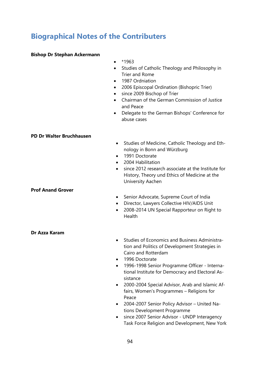# **Biographical Notes of the Contributers**

### **Bishop Dr Stephan Ackermann**

- $•*1963$
- Studies of Catholic Theology and Philosophy in Trier and Rome
- 1987 Ordniation
- 2006 Episcopal Ordination (Bishopric Trier)
- since 2009 Bischop of Trier
- Chairman of the German Commission of Justice and Peace
- Delegate to the German Bishops' Conference for abuse cases

### **PD Dr Walter Bruchhausen**

- Studies of Medicine, Catholic Theology and Ethnology in Bonn and Würzburg
- 1991 Doctorate
- 2004 Habilitation
- since 2012 research associate at the Institute for History, Theory und Ethics of Medicine at the University Aachen

### **Prof Anand Grover**

- Senior Advocate, Supreme Court of India
- Director, Lawyers Collective HIV/AIDS Unit
- 2008-2014 UN Special Rapporteur on Right to Health

**Dr Azza Karam**

- Studies of Economics and Business Administration and Politics of Development Strategies in Cairo and Rotterdam
- 1996 Doctorate
- 1996-1998 Senior Programme Officer International Institute for Democracy and Electoral Assistance
- 2000-2004 Special Advisor, Arab and Islamic Affairs, Women's Programmes – Religions for Peace
- 2004-2007 Senior Policy Advisor United Nations Development Programme
- since 2007 Senior Advisor UNDP Interagency Task Force Religion and Development, New York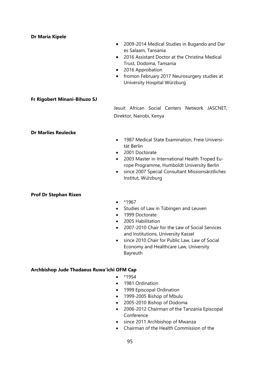### **Dr Maria Kipele**

- 2009-2014 Medical Studies in Bugando and Dar es Salaam, Tansania
- 2016 Assistant Doctor at the Christina Medical Trust, Dodoma, Tansania
- 2016 Approbation
- fromon February 2017 Neurosurgery studies at University Hospital Würzburg

### **Fr Rigobert Minani-Bihuzo SJ**

Jesuit African Social Centers Network JASCNET, Direktor, Nairobi, Kenya

### **Dr Marlies Reulecke**

- 1987 Medical State Examination, Freie Universität Berlin
- 2001 Doctorate
- 2003 Master in International Health Troped Europe Programme, Humboldt University Berlin
- since 2007 Special Consultant Missionsärztliches Institut, Würzburg

### **Prof Dr Stephan Rixen**

- \*1967
- Studies of Law in Tübingen and Leuven
- 1999 Doctorate
- 2005 Habilitation
- 2007-2010 Chair for the Law of Social Services and Institutions, University Kassel
- since 2010 Chair for Public Law, Law of Social Economy and Healthcare Law, University Bayreuth

### **Archbishop Jude Thadaeus Ruwa'ichi OFM Cap**

- $*1954$
- 1981 Ordination
- 1999 Episcopal Ordination
- 1999-2005 Bishop of Mbulu
- 2005-2010 Bishop of Dodoma
- 2006-2012 Chairman of the Tanzania Episcopal Conference
- since 2011 Archbishop of Mwanza
- Chairman of the Health Commission of the